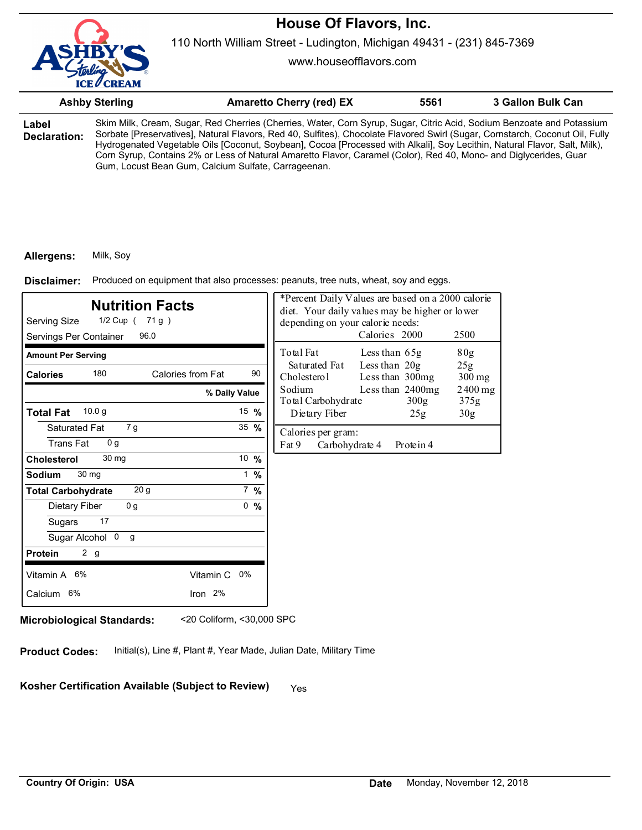

110 North William Street - Ludington, Michigan 49431 - (231) 845-7369

www.houseofflavors.com

|                       | <b>Ashby Sterling</b>                               | <b>Amaretto Cherry (red) EX</b>                                                                                                                                                                                                                                                                                                                                                                                                                                                                         | 5561 | <b>3 Gallon Bulk Can</b> |
|-----------------------|-----------------------------------------------------|---------------------------------------------------------------------------------------------------------------------------------------------------------------------------------------------------------------------------------------------------------------------------------------------------------------------------------------------------------------------------------------------------------------------------------------------------------------------------------------------------------|------|--------------------------|
| Label<br>Declaration: | Gum, Locust Bean Gum, Calcium Sulfate, Carrageenan. | Skim Milk, Cream, Sugar, Red Cherries (Cherries, Water, Corn Syrup, Sugar, Citric Acid, Sodium Benzoate and Potassium<br>Sorbate [Preservatives], Natural Flavors, Red 40, Sulfites), Chocolate Flavored Swirl (Sugar, Cornstarch, Coconut Oil, Fully<br>Hydrogenated Vegetable Oils [Coconut, Soybean], Cocoa [Processed with Alkali], Soy Lecithin, Natural Flavor, Salt, Milk),<br>Corn Syrup, Contains 2% or Less of Natural Amaretto Flavor, Caramel (Color), Red 40, Mono- and Diglycerides, Guar |      |                          |

#### **Allergens:** Milk, Soy

Produced on equipment that also processes: peanuts, tree nuts, wheat, soy and eggs. **Disclaimer:**

| <b>Nutrition Facts</b><br>Serving Size<br>1/2 Cup ( 71 g )<br>Servings Per Container<br>96.0 |                 |    | *Percent Daily Values are based on a 2000 calorie<br>diet. Your daily values may be higher or lower<br>depending on your calorie needs: | Calories 2000                      |                          | 2500            |
|----------------------------------------------------------------------------------------------|-----------------|----|-----------------------------------------------------------------------------------------------------------------------------------------|------------------------------------|--------------------------|-----------------|
| <b>Amount Per Serving</b>                                                                    |                 |    | Total Fat                                                                                                                               | Less than 65g                      |                          | 80 <sub>g</sub> |
| 180<br>Calories from Fat<br><b>Calories</b>                                                  |                 | 90 | Saturated Fat<br>Cholesterol                                                                                                            | Less than $20g$<br>Less than 300mg |                          | 25g<br>$300$ mg |
| % Daily Value                                                                                |                 |    | Sodium<br>Total Carbohydrate                                                                                                            |                                    | Less than 2400mg<br>300g | 2400 mg<br>375g |
| 10.0 g<br><b>Total Fat</b>                                                                   | 15 $%$          |    | Dietary Fiber                                                                                                                           |                                    | 25g                      | 30 <sub>g</sub> |
| Saturated Fat<br>7 g<br><b>Trans Fat</b><br>0 <sub>q</sub>                                   | 35 %            |    | Calories per gram:<br>Fat 9<br>Carbohydrate 4                                                                                           |                                    | Protein 4                |                 |
| 30 mg<br><b>Cholesterol</b>                                                                  | 10 %            |    |                                                                                                                                         |                                    |                          |                 |
| 30 mg<br><b>Sodium</b>                                                                       | $1 \frac{9}{6}$ |    |                                                                                                                                         |                                    |                          |                 |
| 20 <sub>g</sub><br><b>Total Carbohydrate</b>                                                 | $7 \frac{9}{6}$ |    |                                                                                                                                         |                                    |                          |                 |
| 0 <sub>g</sub><br>Dietary Fiber                                                              | 0, 9/6          |    |                                                                                                                                         |                                    |                          |                 |
| 17<br>Sugars                                                                                 |                 |    |                                                                                                                                         |                                    |                          |                 |
| Sugar Alcohol 0<br>g                                                                         |                 |    |                                                                                                                                         |                                    |                          |                 |
| 2 g<br><b>Protein</b>                                                                        |                 |    |                                                                                                                                         |                                    |                          |                 |
| Vitamin A 6%<br>Vitamin C 0%                                                                 |                 |    |                                                                                                                                         |                                    |                          |                 |
| Calcium 6%<br>Iron $2%$                                                                      |                 |    |                                                                                                                                         |                                    |                          |                 |

**Microbiological Standards:** <20 Coliform, <30,000 SPC

**Product Codes:** Initial(s), Line #, Plant #, Year Made, Julian Date, Military Time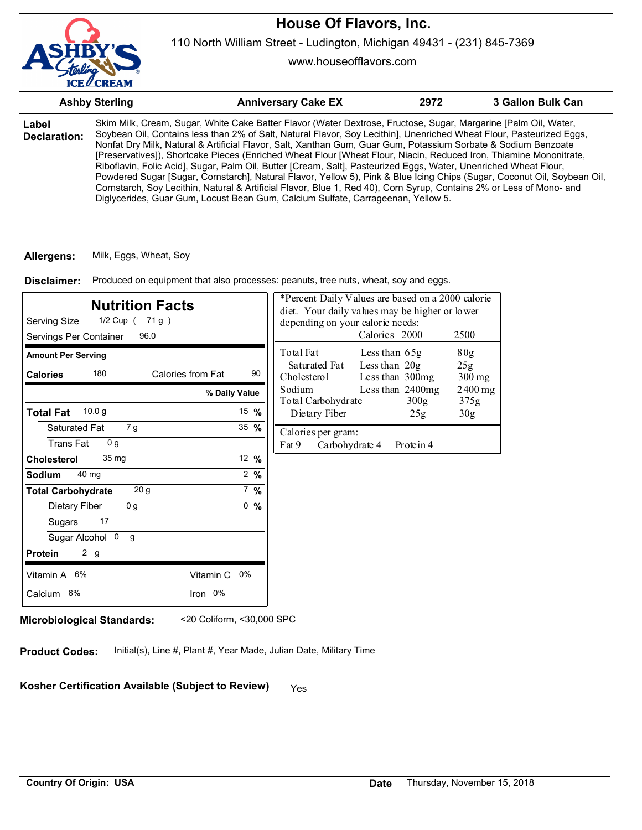

www.houseofflavors.com

|                       | <b>Ashby Sterling</b> | <b>Anniversary Cake EX</b>                                                                                                                                                                                                                                                                                                                                                                                                                                                                                                                                                                                                                                                                                                                                                                                                                                                                                                                  | 2972 | 3 Gallon Bulk Can |
|-----------------------|-----------------------|---------------------------------------------------------------------------------------------------------------------------------------------------------------------------------------------------------------------------------------------------------------------------------------------------------------------------------------------------------------------------------------------------------------------------------------------------------------------------------------------------------------------------------------------------------------------------------------------------------------------------------------------------------------------------------------------------------------------------------------------------------------------------------------------------------------------------------------------------------------------------------------------------------------------------------------------|------|-------------------|
| Label<br>Declaration: |                       | Skim Milk, Cream, Sugar, White Cake Batter Flavor (Water Dextrose, Fructose, Sugar, Margarine [Palm Oil, Water,<br>Soybean Oil, Contains less than 2% of Salt, Natural Flavor, Soy Lecithin], Unenriched Wheat Flour, Pasteurized Eggs,<br>Nonfat Dry Milk, Natural & Artificial Flavor, Salt, Xanthan Gum, Guar Gum, Potassium Sorbate & Sodium Benzoate<br>[Preservatives]), Shortcake Pieces (Enriched Wheat Flour [Wheat Flour, Niacin, Reduced Iron, Thiamine Mononitrate,<br>Riboflavin, Folic Acid], Sugar, Palm Oil, Butter [Cream, Salt], Pasteurized Eggs, Water, Unenriched Wheat Flour,<br>Powdered Sugar [Sugar, Cornstarch], Natural Flavor, Yellow 5), Pink & Blue Icing Chips (Sugar, Coconut Oil, Soybean Oil,<br>Cornstarch, Soy Lecithin, Natural & Artificial Flavor, Blue 1, Red 40), Corn Syrup, Contains 2% or Less of Mono- and<br>Diglycerides, Guar Gum, Locust Bean Gum, Calcium Sulfate, Carrageenan, Yellow 5. |      |                   |

**Allergens:** Milk, Eggs, Wheat, Soy

Produced on equipment that also processes: peanuts, tree nuts, wheat, soy and eggs. **Disclaimer:**

| <b>Nutrition Facts</b><br>Serving Size<br>1/2 Cup ( 71 g )<br>Servings Per Container<br>96.0 |                 | *Percent Daily Values are based on a 2000 calorie<br>diet. Your daily values may be higher or lower<br>depending on your calorie needs:<br>Calories 2000<br>2500 |
|----------------------------------------------------------------------------------------------|-----------------|------------------------------------------------------------------------------------------------------------------------------------------------------------------|
| <b>Amount Per Serving</b>                                                                    |                 | Total Fat<br>80g<br>Less than 65g                                                                                                                                |
| 180<br>Calories from Fat<br><b>Calories</b>                                                  | 90              | Less than 20g<br>Saturated Fat<br>25 <sub>g</sub><br>Cholesterol<br>Less than 300mg<br>$300$ mg                                                                  |
|                                                                                              | % Daily Value   | Sodium<br>Less than 2400mg<br>$2400$ mg<br>Total Carbohydrate<br>300g<br>375g                                                                                    |
| 10.0 <sub>q</sub><br><b>Total Fat</b>                                                        | 15 $\%$         | Dietary Fiber<br>25g<br>30 <sub>g</sub>                                                                                                                          |
| Saturated Fat<br>7 g<br><b>Trans Fat</b><br>0 <sub>q</sub>                                   | 35 $%$          | Calories per gram:<br>Carbohydrate 4<br>Fat 9<br>Protein 4                                                                                                       |
| 35 <sub>mg</sub><br><b>Cholesterol</b>                                                       | 12 %            |                                                                                                                                                                  |
| 40 mg<br>Sodium                                                                              | $2 \frac{9}{6}$ |                                                                                                                                                                  |
| 20 <sub>g</sub><br><b>Total Carbohydrate</b>                                                 | $7\%$           |                                                                                                                                                                  |
| 0 <sub>g</sub><br>Dietary Fiber                                                              | 0, 9/6          |                                                                                                                                                                  |
| 17<br>Sugars                                                                                 |                 |                                                                                                                                                                  |
| Sugar Alcohol 0<br>g                                                                         |                 |                                                                                                                                                                  |
| 2 <sub>g</sub><br><b>Protein</b>                                                             |                 |                                                                                                                                                                  |
| Vitamin A 6%<br>Vitamin C 0%                                                                 |                 |                                                                                                                                                                  |
| Iron 0%<br>Calcium 6%                                                                        |                 |                                                                                                                                                                  |
|                                                                                              |                 |                                                                                                                                                                  |

**Microbiological Standards:** <20 Coliform, <30,000 SPC

**Product Codes:** Initial(s), Line #, Plant #, Year Made, Julian Date, Military Time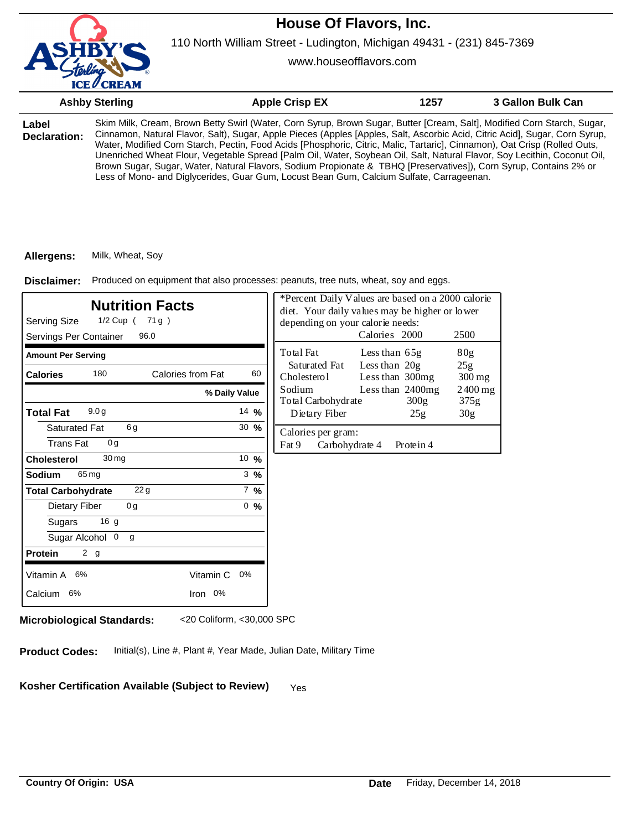

www.houseofflavors.com

|                       | <b>Ashby Sterling</b> | <b>Apple Crisp EX</b>                                                                                                                                                                                                                                                                                                                                                                                                                                                                                                                                                                                                                                                                                                            | 1257 | 3 Gallon Bulk Can |
|-----------------------|-----------------------|----------------------------------------------------------------------------------------------------------------------------------------------------------------------------------------------------------------------------------------------------------------------------------------------------------------------------------------------------------------------------------------------------------------------------------------------------------------------------------------------------------------------------------------------------------------------------------------------------------------------------------------------------------------------------------------------------------------------------------|------|-------------------|
| Label<br>Declaration: |                       | Skim Milk, Cream, Brown Betty Swirl (Water, Corn Syrup, Brown Sugar, Butter [Cream, Salt], Modified Corn Starch, Sugar,<br>Cinnamon, Natural Flavor, Salt), Sugar, Apple Pieces (Apples [Apples, Salt, Ascorbic Acid, Citric Acid], Sugar, Corn Syrup,<br>Water, Modified Corn Starch, Pectin, Food Acids [Phosphoric, Citric, Malic, Tartaric], Cinnamon), Oat Crisp (Rolled Outs,<br>Unenriched Wheat Flour, Vegetable Spread [Palm Oil, Water, Soybean Oil, Salt, Natural Flavor, Soy Lecithin, Coconut Oil,<br>Brown Sugar, Sugar, Water, Natural Flavors, Sodium Propionate & TBHQ [Preservatives]), Corn Syrup, Contains 2% or<br>Less of Mono- and Diglycerides, Guar Gum, Locust Bean Gum, Calcium Sulfate, Carrageenan. |      |                   |

#### **Allergens:** Milk, Wheat, Soy

Produced on equipment that also processes: peanuts, tree nuts, wheat, soy and eggs. **Disclaimer:**

| Serving Size<br>1/2 Cup ( 71g)<br>Servings Per Container  | <b>Nutrition Facts</b><br>96.0 |                  | *Percent Daily Values are based on a 2000 calorie<br>diet. Your daily values may be higher or lower<br>depending on your calorie needs: | Calories 2000                      |                                        | 2500                       |
|-----------------------------------------------------------|--------------------------------|------------------|-----------------------------------------------------------------------------------------------------------------------------------------|------------------------------------|----------------------------------------|----------------------------|
| <b>Amount Per Serving</b>                                 |                                |                  | Total Fat                                                                                                                               | Less than $65g$                    |                                        | 80 <sub>g</sub>            |
| 180<br><b>Calories</b>                                    | Calories from Fat              | 60               | Saturated Fat<br>Cholesterol                                                                                                            | Less than $20g$<br>Less than 300mg |                                        | 25g<br>$300 \,\mathrm{mg}$ |
|                                                           | % Daily Value                  |                  | Sodium<br>Total Carbohydrate                                                                                                            |                                    | Less than $2400mg$<br>300 <sub>g</sub> | $2400$ mg<br>375g          |
| 9.0 <sub>g</sub><br><b>Total Fat</b>                      |                                | 14 %             | Dietary Fiber                                                                                                                           |                                    | 25g                                    | 30 <sub>g</sub>            |
| 6g<br>Saturated Fat<br><b>Trans Fat</b><br>0 <sub>q</sub> |                                | $30 \frac{9}{6}$ | Calories per gram:<br>Fat 9                                                                                                             | Carbohydrate 4                     | Protein 4                              |                            |
| 30 <sub>mg</sub><br><b>Cholesterol</b>                    |                                | 10 $%$           |                                                                                                                                         |                                    |                                        |                            |
| Sodium<br>65 mg                                           |                                | $3 \frac{9}{6}$  |                                                                                                                                         |                                    |                                        |                            |
| <b>Total Carbohydrate</b>                                 | 22g                            | $7\%$            |                                                                                                                                         |                                    |                                        |                            |
| Dietary Fiber<br>0 <sub>g</sub>                           |                                | 0, 96            |                                                                                                                                         |                                    |                                        |                            |
| 16 <sub>g</sub><br>Sugars                                 |                                |                  |                                                                                                                                         |                                    |                                        |                            |
| Sugar Alcohol 0<br>g                                      |                                |                  |                                                                                                                                         |                                    |                                        |                            |
| 2 g<br><b>Protein</b>                                     |                                |                  |                                                                                                                                         |                                    |                                        |                            |
| Vitamin A 6%                                              | Vitamin C 0%                   |                  |                                                                                                                                         |                                    |                                        |                            |
| Calcium 6%                                                | Iron 0%                        |                  |                                                                                                                                         |                                    |                                        |                            |

**Microbiological Standards:** <20 Coliform, <30,000 SPC

**Product Codes:** Initial(s), Line #, Plant #, Year Made, Julian Date, Military Time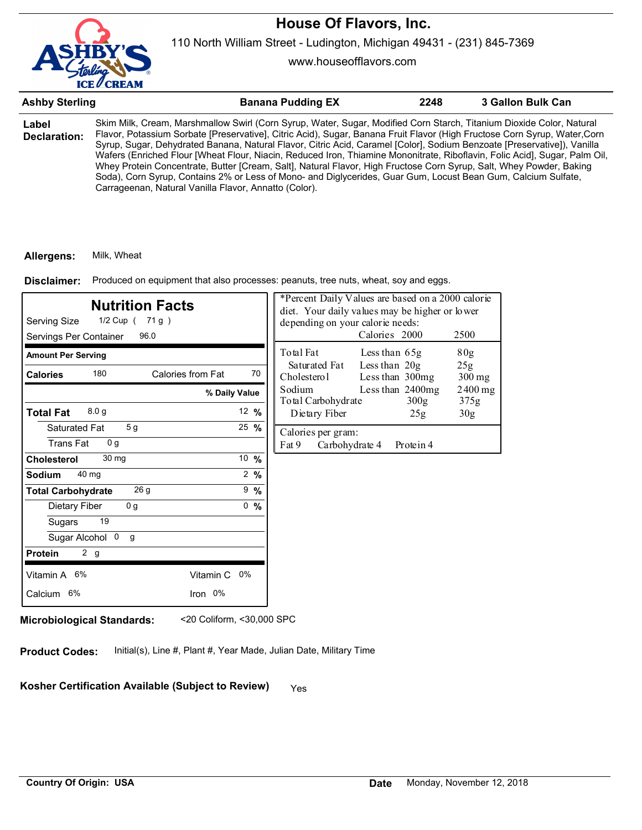

www.houseofflavors.com

| <b>Ashby Sterling</b> | <b>Banana Pudding EX</b>                                                                                                                                                                                                                                                                                                                                                                                                                                                                                                                                                                                                                                                                                                                                                                                    | 2248 | 3 Gallon Bulk Can |
|-----------------------|-------------------------------------------------------------------------------------------------------------------------------------------------------------------------------------------------------------------------------------------------------------------------------------------------------------------------------------------------------------------------------------------------------------------------------------------------------------------------------------------------------------------------------------------------------------------------------------------------------------------------------------------------------------------------------------------------------------------------------------------------------------------------------------------------------------|------|-------------------|
| Label<br>Declaration: | Skim Milk, Cream, Marshmallow Swirl (Corn Syrup, Water, Sugar, Modified Corn Starch, Titanium Dioxide Color, Natural<br>Flavor, Potassium Sorbate [Preservative], Citric Acid), Sugar, Banana Fruit Flavor (High Fructose Corn Syrup, Water, Corn<br>Syrup, Sugar, Dehydrated Banana, Natural Flavor, Citric Acid, Caramel [Color], Sodium Benzoate [Preservative]), Vanilla<br>Wafers (Enriched Flour [Wheat Flour, Niacin, Reduced Iron, Thiamine Mononitrate, Riboflavin, Folic Acid], Sugar, Palm Oil,<br>Whey Protein Concentrate, Butter [Cream, Salt], Natural Flavor, High Fructose Corn Syrup, Salt, Whey Powder, Baking<br>Soda), Corn Syrup, Contains 2% or Less of Mono- and Diglycerides, Guar Gum, Locust Bean Gum, Calcium Sulfate,<br>Carrageenan, Natural Vanilla Flavor, Annatto (Color). |      |                   |

### **Allergens:** Milk, Wheat

Produced on equipment that also processes: peanuts, tree nuts, wheat, soy and eggs. **Disclaimer:**

| <b>Nutrition Facts</b><br>Serving Size<br>1/2 Cup ( 71 g )<br>Servings Per Container<br>96.0 |                  | depending on your calorie needs:                                     | *Percent Daily Values are based on a 2000 calorie<br>diet. Your daily values may be higher or lower<br>Calories 2000 | 2500              |
|----------------------------------------------------------------------------------------------|------------------|----------------------------------------------------------------------|----------------------------------------------------------------------------------------------------------------------|-------------------|
| <b>Amount Per Serving</b>                                                                    |                  | Total Fat                                                            | Less than 65g                                                                                                        | 80 <sub>g</sub>   |
| 180<br>Calories from Fat<br><b>Calories</b>                                                  | 70               | Saturated Fat<br>Cholesterol                                         | Less than $20g$<br>Less than 300mg                                                                                   | 25g<br>$300$ mg   |
|                                                                                              | % Daily Value    | Sodium<br>Less than 2400mg<br>Total Carbohydrate<br>300 <sub>g</sub> |                                                                                                                      | $2400$ mg<br>375g |
| 8.0 <sub>g</sub><br><b>Total Fat</b>                                                         | 12 $%$           | Dietary Fiber                                                        | 25g                                                                                                                  | 30 <sub>g</sub>   |
| 5 <sub>g</sub><br>Saturated Fat<br><b>Trans Fat</b><br>0 <sub>q</sub>                        | $25 \frac{9}{6}$ | Calories per gram:<br>Fat 9<br>Carbohydrate 4                        | Protein 4                                                                                                            |                   |
| 30 mg<br><b>Cholesterol</b>                                                                  | 10 %             |                                                                      |                                                                                                                      |                   |
| 40 mg<br>Sodium                                                                              | $2 \frac{9}{6}$  |                                                                      |                                                                                                                      |                   |
| 26 g<br><b>Total Carbohydrate</b>                                                            | $9\frac{9}{6}$   |                                                                      |                                                                                                                      |                   |
| 0 <sub>g</sub><br>Dietary Fiber                                                              | 0, 9/6           |                                                                      |                                                                                                                      |                   |
| 19<br>Sugars                                                                                 |                  |                                                                      |                                                                                                                      |                   |
| Sugar Alcohol 0<br>g                                                                         |                  |                                                                      |                                                                                                                      |                   |
| 2 g<br><b>Protein</b>                                                                        |                  |                                                                      |                                                                                                                      |                   |
| Vitamin A 6%                                                                                 | Vitamin C 0%     |                                                                      |                                                                                                                      |                   |
| Iron 0%<br>Calcium 6%                                                                        |                  |                                                                      |                                                                                                                      |                   |

**Microbiological Standards:** <20 Coliform, <30,000 SPC

**Product Codes:** Initial(s), Line #, Plant #, Year Made, Julian Date, Military Time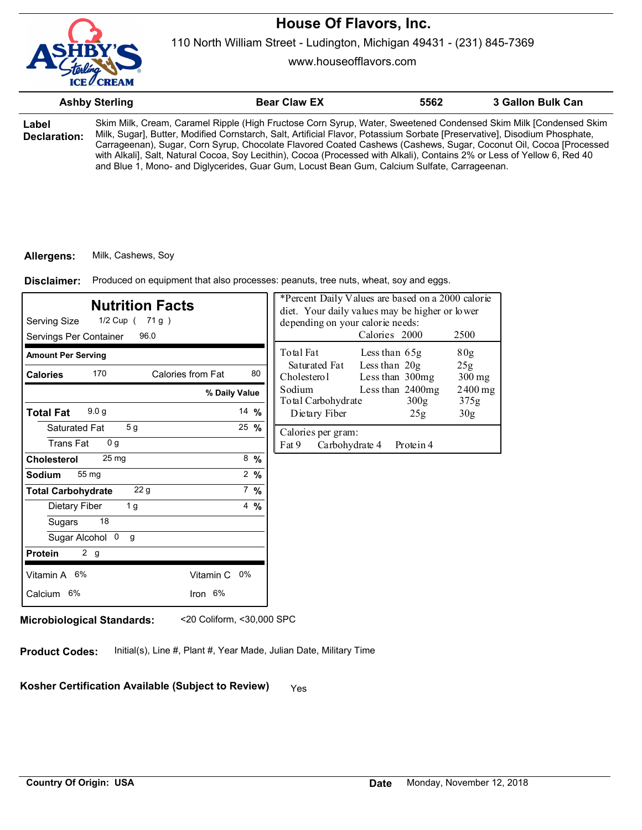

110 North William Street - Ludington, Michigan 49431 - (231) 845-7369

www.houseofflavors.com

|                       | <b>Ashby Sterling</b>                                                                                                                                                                                                                                                                                                                                                                                                                                                                                                                                                                          | <b>Bear Claw EX</b> | 5562 | 3 Gallon Bulk Can |
|-----------------------|------------------------------------------------------------------------------------------------------------------------------------------------------------------------------------------------------------------------------------------------------------------------------------------------------------------------------------------------------------------------------------------------------------------------------------------------------------------------------------------------------------------------------------------------------------------------------------------------|---------------------|------|-------------------|
| Label<br>Declaration: | Skim Milk, Cream, Caramel Ripple (High Fructose Corn Syrup, Water, Sweetened Condensed Skim Milk [Condensed Skim<br>Milk, Sugar], Butter, Modified Cornstarch, Salt, Artificial Flavor, Potassium Sorbate [Preservative], Disodium Phosphate,<br>Carrageenan), Sugar, Corn Syrup, Chocolate Flavored Coated Cashews (Cashews, Sugar, Coconut Oil, Cocoa [Processed<br>with Alkali], Salt, Natural Cocoa, Soy Lecithin), Cocoa (Processed with Alkali), Contains 2% or Less of Yellow 6, Red 40<br>and Blue 1, Mono- and Diglycerides, Guar Gum, Locust Bean Gum, Calcium Sulfate, Carrageenan. |                     |      |                   |

#### **Allergens:** Milk, Cashews, Soy

Produced on equipment that also processes: peanuts, tree nuts, wheat, soy and eggs. **Disclaimer:**

| <b>Nutrition Facts</b><br>Serving Size<br>1/2 Cup ( 71 g )<br>Servings Per Container<br>96.0 |                 | *Percent Daily Values are based on a 2000 calorie<br>diet. Your daily values may be higher or lower<br>depending on your calorie needs:<br>Calories 2000<br>2500 |
|----------------------------------------------------------------------------------------------|-----------------|------------------------------------------------------------------------------------------------------------------------------------------------------------------|
| <b>Amount Per Serving</b>                                                                    |                 | Total Fat<br>Less than 65g<br>80 <sub>g</sub>                                                                                                                    |
| 170<br>Calories from Fat<br><b>Calories</b>                                                  | 80              | Less than $20g$<br>Saturated Fat<br>25g<br>Less than 300mg<br>Cholesterol<br>$300$ mg                                                                            |
|                                                                                              | % Daily Value   | Sodium<br>Less than 2400mg<br>$2400$ mg<br>Total Carbohydrate<br>300 <sub>g</sub><br>375g                                                                        |
| 9.0 <sub>g</sub><br><b>Total Fat</b>                                                         | 14 $%$          | Dietary Fiber<br>30 <sub>g</sub><br>25g                                                                                                                          |
| 5 <sub>g</sub><br>Saturated Fat<br><b>Trans Fat</b><br>0 <sub>q</sub>                        | 25 %            | Calories per gram:<br>Fat 9<br>Carbohydrate 4<br>Protein 4                                                                                                       |
| 25 <sub>mg</sub><br><b>Cholesterol</b>                                                       | $8\frac{9}{6}$  |                                                                                                                                                                  |
| 55 mg<br><b>Sodium</b>                                                                       | $2 \frac{9}{6}$ |                                                                                                                                                                  |
| 22g<br><b>Total Carbohydrate</b>                                                             | $7 \frac{9}{6}$ |                                                                                                                                                                  |
| 1 <sub>g</sub><br>Dietary Fiber                                                              | $4\frac{9}{6}$  |                                                                                                                                                                  |
| 18<br>Sugars                                                                                 |                 |                                                                                                                                                                  |
| Sugar Alcohol 0<br>g                                                                         |                 |                                                                                                                                                                  |
| 2 g<br><b>Protein</b>                                                                        |                 |                                                                                                                                                                  |
| Vitamin A 6%<br>Vitamin C 0%                                                                 |                 |                                                                                                                                                                  |
| Calcium 6%<br>Iron 6%                                                                        |                 |                                                                                                                                                                  |

**Microbiological Standards:** <20 Coliform, <30,000 SPC

**Product Codes:** Initial(s), Line #, Plant #, Year Made, Julian Date, Military Time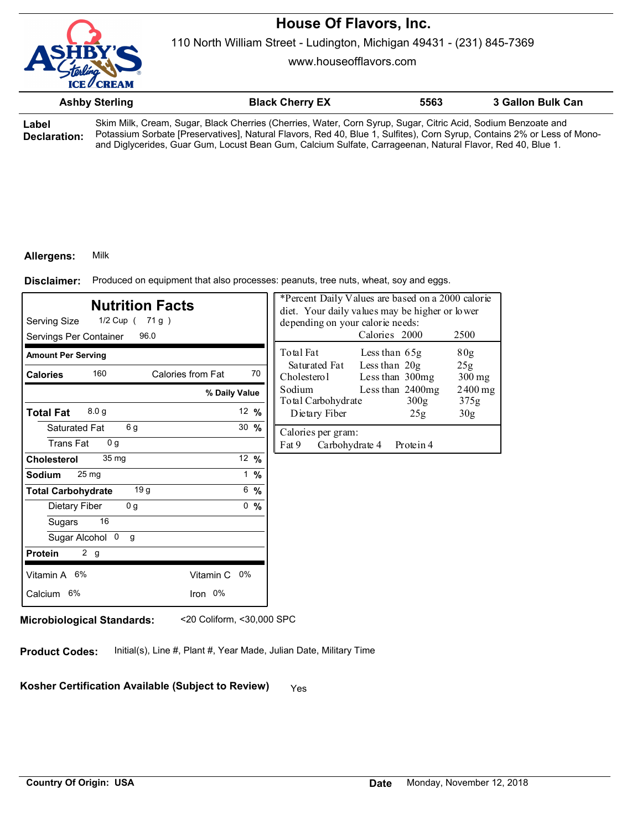

110 North William Street - Ludington, Michigan 49431 - (231) 845-7369

www.houseofflavors.com

|                       | <b>Ashby Sterling</b> | <b>Black Cherry EX</b>                                                                                                                                                                                                                                                                                                                                 | 5563 | 3 Gallon Bulk Can |
|-----------------------|-----------------------|--------------------------------------------------------------------------------------------------------------------------------------------------------------------------------------------------------------------------------------------------------------------------------------------------------------------------------------------------------|------|-------------------|
| ∟abel<br>Declaration: |                       | Skim Milk, Cream, Sugar, Black Cherries (Cherries, Water, Corn Syrup, Sugar, Citric Acid, Sodium Benzoate and<br>Potassium Sorbate [Preservatives], Natural Flavors, Red 40, Blue 1, Sulfites), Corn Syrup, Contains 2% or Less of Mono-<br>and Diglycerides, Guar Gum, Locust Bean Gum, Calcium Sulfate, Carrageenan, Natural Flavor, Red 40, Blue 1. |      |                   |

### **Allergens:** Milk

Produced on equipment that also processes: peanuts, tree nuts, wheat, soy and eggs. **Disclaimer:**

| <b>Nutrition Facts</b><br>Serving Size<br>1/2 Cup ( 71 g )<br>Servings Per Container<br>96.0 |                  | *Percent Daily Values are based on a 2000 calorie<br>diet. Your daily values may be higher or lower<br>depending on your calorie needs:<br>Calories 2000<br>2500 |
|----------------------------------------------------------------------------------------------|------------------|------------------------------------------------------------------------------------------------------------------------------------------------------------------|
| <b>Amount Per Serving</b>                                                                    |                  | Total Fat<br>Less than 65g<br>80 <sub>g</sub>                                                                                                                    |
| 160<br>Calories from Fat<br><b>Calories</b>                                                  | 70               | Less than $20g$<br>Saturated Fat<br>25g<br>Less than 300mg<br>Cholesterol<br>$300$ mg                                                                            |
|                                                                                              | % Daily Value    | Sodium<br>Less than 2400mg<br>2400 mg<br>Total Carbohydrate<br>375g<br>300g                                                                                      |
| 8.0 <sub>g</sub><br><b>Total Fat</b>                                                         | 12 $%$           | Dietary Fiber<br>30 <sub>g</sub><br>25g                                                                                                                          |
| 6 g<br>Saturated Fat<br><b>Trans Fat</b><br>0 <sub>q</sub>                                   | $30 \frac{9}{6}$ | Calories per gram:<br>Fat 9<br>Carbohydrate 4<br>Protein 4                                                                                                       |
| 35 <sub>mg</sub><br><b>Cholesterol</b>                                                       | 12 $%$           |                                                                                                                                                                  |
| 25 mg<br><b>Sodium</b>                                                                       | $1 \frac{9}{6}$  |                                                                                                                                                                  |
| 19 g<br><b>Total Carbohydrate</b>                                                            | 6, 9/6           |                                                                                                                                                                  |
| 0 <sub>g</sub><br>Dietary Fiber                                                              | 0, 9/6           |                                                                                                                                                                  |
| 16<br>Sugars                                                                                 |                  |                                                                                                                                                                  |
| Sugar Alcohol 0<br>g                                                                         |                  |                                                                                                                                                                  |
| 2 g<br><b>Protein</b>                                                                        |                  |                                                                                                                                                                  |
| Vitamin A 6%<br>Vitamin C 0%                                                                 |                  |                                                                                                                                                                  |
| Iron 0%<br>Calcium 6%                                                                        |                  |                                                                                                                                                                  |

**Microbiological Standards:** <20 Coliform, <30,000 SPC

**Product Codes:** Initial(s), Line #, Plant #, Year Made, Julian Date, Military Time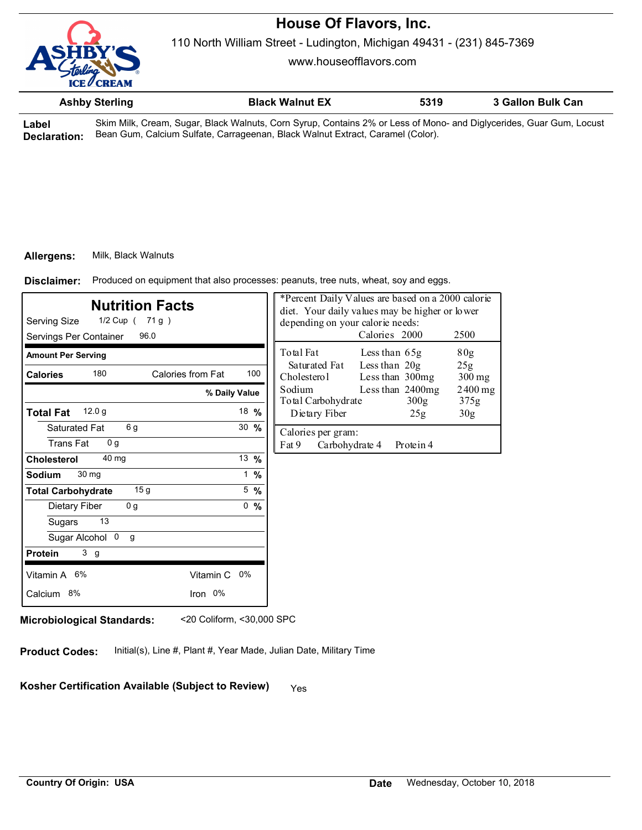

110 North William Street - Ludington, Michigan 49431 - (231) 845-7369

www.houseofflavors.com

| <b>Ashby Sterling</b> | <b>Black Walnut EX</b>    | 5319 | 3 Gallon Bulk Can |  |
|-----------------------|---------------------------|------|-------------------|--|
| _ _ _ _ _ _ _ _ _     | _ _ _ _ _ _ _ _ _ _ _ _ _ | ___  |                   |  |

**Label Declaration:** Skim Milk, Cream, Sugar, Black Walnuts, Corn Syrup, Contains 2% or Less of Mono- and Diglycerides, Guar Gum, Locust Bean Gum, Calcium Sulfate, Carrageenan, Black Walnut Extract, Caramel (Color).

### **Allergens:** Milk, Black Walnuts

Produced on equipment that also processes: peanuts, tree nuts, wheat, soy and eggs. **Disclaimer:**

| <b>Nutrition Facts</b><br>Serving Size<br>1/2 Cup ( 71 g )<br>Servings Per Container<br>96.0 |                   |                  |  | *Percent Daily Values are based on a 2000 calorie<br>diet. Your daily values may be higher or lower<br>depending on your calorie needs:<br>Calories 2000 |                                    |                          | 2500              |
|----------------------------------------------------------------------------------------------|-------------------|------------------|--|----------------------------------------------------------------------------------------------------------------------------------------------------------|------------------------------------|--------------------------|-------------------|
| <b>Amount Per Serving</b>                                                                    |                   |                  |  | Total Fat                                                                                                                                                | Less than $65g$                    |                          | 80g               |
| 180<br><b>Calories</b>                                                                       | Calories from Fat | 100              |  | Saturated Fat<br>Cholesterol                                                                                                                             | Less than $20g$<br>Less than 300mg |                          | 25g<br>$300$ mg   |
|                                                                                              | % Daily Value     |                  |  | Sodium<br>Total Carbohydrate                                                                                                                             |                                    | Less than 2400mg<br>300g | $2400$ mg<br>375g |
| 12.0 <sub>g</sub><br><b>Total Fat</b>                                                        |                   | 18 %             |  | Dietary Fiber                                                                                                                                            |                                    | 25g                      | 30 <sub>g</sub>   |
| 6 g<br>Saturated Fat<br><b>Trans Fat</b><br>0 <sub>q</sub>                                   |                   | $30 \frac{9}{6}$ |  | Calories per gram:<br>Fat 9<br>Carbohydrate 4                                                                                                            |                                    | Protein 4                |                   |
| 40 mg<br>Cholesterol                                                                         |                   | 13 %             |  |                                                                                                                                                          |                                    |                          |                   |
| 30 mg<br>Sodium                                                                              |                   | 1 $%$            |  |                                                                                                                                                          |                                    |                          |                   |
| 15 <sub>g</sub><br><b>Total Carbohydrate</b>                                                 |                   | $5 \frac{9}{6}$  |  |                                                                                                                                                          |                                    |                          |                   |
| 0 <sub>g</sub><br>Dietary Fiber                                                              |                   | 0, 9/6           |  |                                                                                                                                                          |                                    |                          |                   |
| 13<br>Sugars                                                                                 |                   |                  |  |                                                                                                                                                          |                                    |                          |                   |
| Sugar Alcohol 0<br>g                                                                         |                   |                  |  |                                                                                                                                                          |                                    |                          |                   |
| 3 <sub>g</sub><br><b>Protein</b>                                                             |                   |                  |  |                                                                                                                                                          |                                    |                          |                   |
| Vitamin A 6%                                                                                 | Vitamin C 0%      |                  |  |                                                                                                                                                          |                                    |                          |                   |
| Calcium 8%                                                                                   | Iron 0%           |                  |  |                                                                                                                                                          |                                    |                          |                   |
|                                                                                              |                   |                  |  |                                                                                                                                                          |                                    |                          |                   |

**Microbiological Standards:** <20 Coliform, <30,000 SPC

**Product Codes:** Initial(s), Line #, Plant #, Year Made, Julian Date, Military Time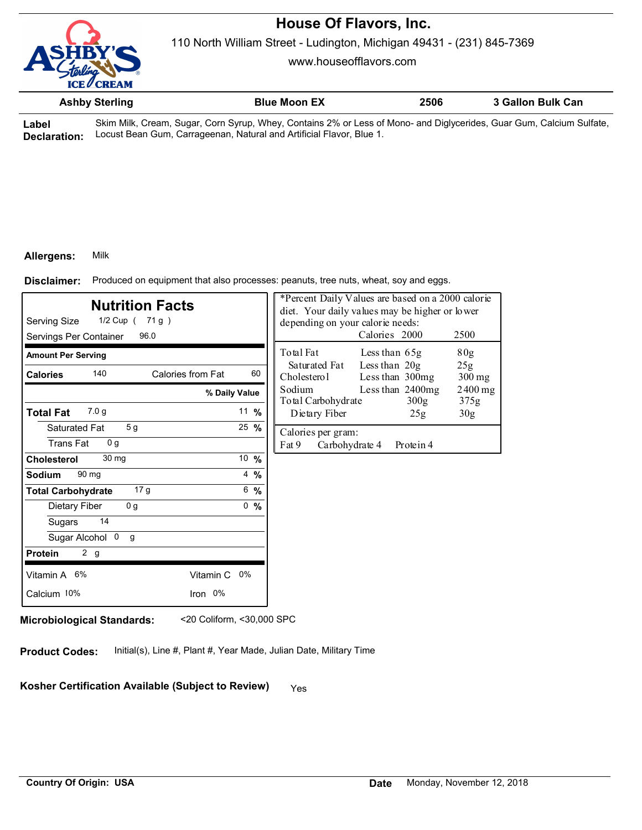

110 North William Street - Ludington, Michigan 49431 - (231) 845-7369

www.houseofflavors.com

|      | <b>Ashby Sterling</b> | <b>Blue Moon EX</b>                                                                                          | 2506 | 3 Gallon Bulk Can |
|------|-----------------------|--------------------------------------------------------------------------------------------------------------|------|-------------------|
| ahol |                       | Skim Milk Cream Sugar Corn Syrup Whey Contains 2% or Less of Mono- and Diglycerides Guar Gum Calcium Sulfate |      |                   |

**Label Declaration:** Locust Bean Gum, Carrageenan, Natural and Artificial Flavor, Blue 1. ugar, Corn Syrup, Whey, Contains 2% or Less of Mono- and Diglycerides, Guar Gum, Calcium Sulfate,

### **Allergens:** Milk

Produced on equipment that also processes: peanuts, tree nuts, wheat, soy and eggs. **Disclaimer:**

| <b>Nutrition Facts</b><br>Serving Size<br>1/2 Cup ( 71 g )<br>96.0<br>Servings Per Container |                         | *Percent Daily Values are based on a 2000 calorie<br>diet. Your daily values may be higher or lower<br>depending on your calorie needs:<br>Calories 2000<br>2500 |           |
|----------------------------------------------------------------------------------------------|-------------------------|------------------------------------------------------------------------------------------------------------------------------------------------------------------|-----------|
| <b>Amount Per Serving</b>                                                                    |                         | Total Fat<br>80 <sub>g</sub><br>Less than 65g                                                                                                                    |           |
| 140<br><b>Calories</b>                                                                       | Calories from Fat<br>60 | Less than 20g<br>Saturated Fat<br>25 <sub>g</sub><br>Cholesterol<br>Less than 300mg<br>$300$ mg                                                                  |           |
|                                                                                              | % Daily Value           | Sodium<br>Less than 2400mg<br>Total Carbohydrate<br>300g<br>375g                                                                                                 | $2400$ mg |
| 7.0 <sub>q</sub><br><b>Total Fat</b>                                                         | 11 $%$                  | Dietary Fiber<br>25g<br>30 <sub>g</sub>                                                                                                                          |           |
| 5 <sub>g</sub><br>Saturated Fat<br><b>Trans Fat</b><br>0 <sub>q</sub>                        | $25 \frac{9}{6}$        | Calories per gram:<br>Fat 9<br>Carbohydrate 4<br>Protein 4                                                                                                       |           |
| 30 <sub>mg</sub><br><b>Cholesterol</b>                                                       | 10 %                    |                                                                                                                                                                  |           |
| 90 mg<br>Sodium                                                                              | $4\frac{9}{6}$          |                                                                                                                                                                  |           |
| 17 <sub>g</sub><br><b>Total Carbohydrate</b>                                                 | 6, 9/6                  |                                                                                                                                                                  |           |
| 0 <sub>g</sub><br>Dietary Fiber                                                              | 0, 9/6                  |                                                                                                                                                                  |           |
| 14<br>Sugars                                                                                 |                         |                                                                                                                                                                  |           |
| Sugar Alcohol 0<br>g                                                                         |                         |                                                                                                                                                                  |           |
| 2 g<br><b>Protein</b>                                                                        |                         |                                                                                                                                                                  |           |
| Vitamin A 6%                                                                                 | Vitamin C 0%            |                                                                                                                                                                  |           |
| Calcium 10%                                                                                  | Iron 0%                 |                                                                                                                                                                  |           |
|                                                                                              |                         |                                                                                                                                                                  |           |

**Microbiological Standards:** <20 Coliform, <30,000 SPC

**Product Codes:** Initial(s), Line #, Plant #, Year Made, Julian Date, Military Time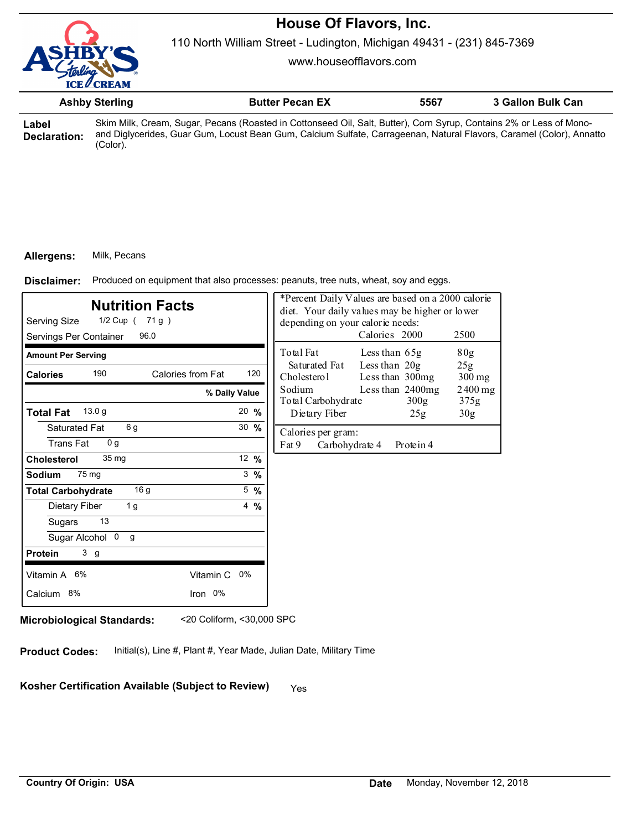

110 North William Street - Ludington, Michigan 49431 - (231) 845-7369

www.houseofflavors.com

|                       | <b>Ashby Sterling</b> | <b>Butter Pecan EX</b>                                                                                                                                                                                                                      | 5567 | 3 Gallon Bulk Can |
|-----------------------|-----------------------|---------------------------------------------------------------------------------------------------------------------------------------------------------------------------------------------------------------------------------------------|------|-------------------|
| Label<br>Declaration: | 'Color).              | Skim Milk, Cream, Sugar, Pecans (Roasted in Cottonseed Oil, Salt, Butter), Corn Syrup, Contains 2% or Less of Mono-<br>and Diglycerides, Guar Gum, Locust Bean Gum, Calcium Sulfate, Carrageenan, Natural Flavors, Caramel (Color), Annatto |      |                   |

### **Allergens:** Milk, Pecans

Produced on equipment that also processes: peanuts, tree nuts, wheat, soy and eggs. **Disclaimer:**

| <b>Nutrition Facts</b><br>Serving Size<br>1/2 Cup ( 71 g )<br>Servings Per Container<br>96.0 | *Percent Daily Values are based on a 2000 calorie<br>diet. Your daily values may be higher or lower<br>depending on your calorie needs:<br>Calories 2000 |     |                                               | 2500                               |                                      |                   |
|----------------------------------------------------------------------------------------------|----------------------------------------------------------------------------------------------------------------------------------------------------------|-----|-----------------------------------------------|------------------------------------|--------------------------------------|-------------------|
| <b>Amount Per Serving</b>                                                                    |                                                                                                                                                          |     | Total Fat                                     | Less than 65g                      |                                      | 80 <sub>g</sub>   |
| 190<br>Calories from Fat<br><b>Calories</b>                                                  |                                                                                                                                                          | 120 | Saturated Fat<br>Cholesterol                  | Less than $20g$<br>Less than 300mg |                                      | 25g<br>$300$ mg   |
| % Daily Value                                                                                |                                                                                                                                                          |     | Sodium<br>Total Carbohydrate                  |                                    | Less than 2400mg<br>300 <sub>g</sub> | $2400$ mg<br>375g |
| 13.0 <sub>g</sub><br><b>Total Fat</b>                                                        | $20 \frac{9}{6}$                                                                                                                                         |     | Dietary Fiber                                 |                                    | 25g                                  | 30 <sub>g</sub>   |
| 6g<br>Saturated Fat<br>Trans Fat<br>0 <sub>q</sub>                                           | $30 \frac{9}{6}$                                                                                                                                         |     | Calories per gram:<br>Fat 9<br>Carbohydrate 4 |                                    | Protein 4                            |                   |
| 35 <sub>mg</sub><br>Cholesterol                                                              | 12 $%$                                                                                                                                                   |     |                                               |                                    |                                      |                   |
| 75 <sub>mg</sub><br>Sodium                                                                   | $3 \frac{9}{6}$                                                                                                                                          |     |                                               |                                    |                                      |                   |
| 16 g<br><b>Total Carbohydrate</b>                                                            | $5 \frac{9}{6}$                                                                                                                                          |     |                                               |                                    |                                      |                   |
| 1 <sub>g</sub><br>Dietary Fiber                                                              | $4\frac{9}{6}$                                                                                                                                           |     |                                               |                                    |                                      |                   |
| 13<br>Sugars                                                                                 |                                                                                                                                                          |     |                                               |                                    |                                      |                   |
| Sugar Alcohol 0<br>g                                                                         |                                                                                                                                                          |     |                                               |                                    |                                      |                   |
| 3 <sub>g</sub><br><b>Protein</b>                                                             |                                                                                                                                                          |     |                                               |                                    |                                      |                   |
| Vitamin A 6%<br>Vitamin C 0%                                                                 |                                                                                                                                                          |     |                                               |                                    |                                      |                   |
| Iron 0%<br>Calcium 8%                                                                        |                                                                                                                                                          |     |                                               |                                    |                                      |                   |

**Microbiological Standards:** <20 Coliform, <30,000 SPC

**Product Codes:** Initial(s), Line #, Plant #, Year Made, Julian Date, Military Time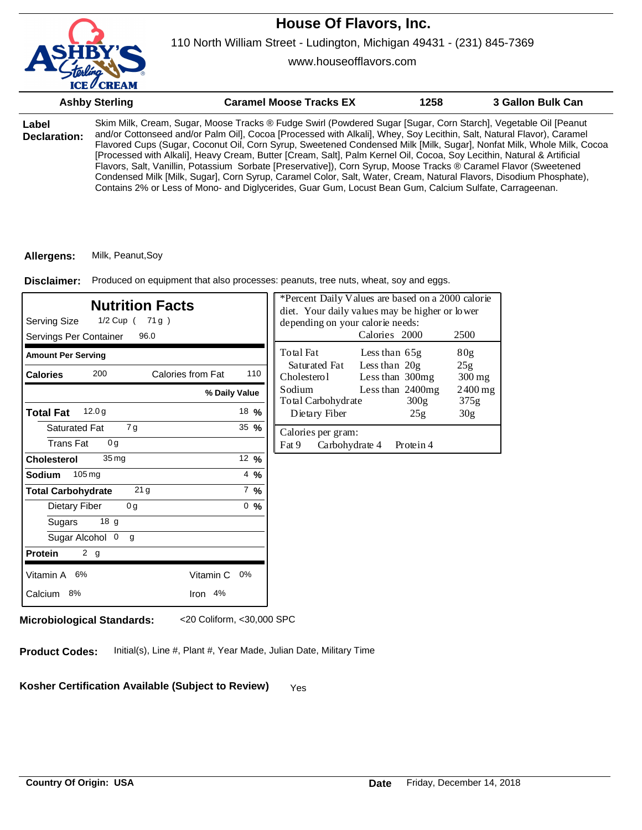

www.houseofflavors.com

|                       | <b>Ashby Sterling</b> | <b>Caramel Moose Tracks EX</b>                                                                                                                                                                                                                                                                                                                                                                                                                                                                                                                                                                                                                                                                                                                                                                                                                   | 1258 | 3 Gallon Bulk Can |
|-----------------------|-----------------------|--------------------------------------------------------------------------------------------------------------------------------------------------------------------------------------------------------------------------------------------------------------------------------------------------------------------------------------------------------------------------------------------------------------------------------------------------------------------------------------------------------------------------------------------------------------------------------------------------------------------------------------------------------------------------------------------------------------------------------------------------------------------------------------------------------------------------------------------------|------|-------------------|
| Label<br>Declaration: |                       | Skim Milk, Cream, Sugar, Moose Tracks ® Fudge Swirl (Powdered Sugar [Sugar, Corn Starch], Vegetable Oil [Peanut<br>and/or Cottonseed and/or Palm Oil], Cocoa [Processed with Alkali], Whey, Soy Lecithin, Salt, Natural Flavor), Caramel<br>Flavored Cups (Sugar, Coconut Oil, Corn Syrup, Sweetened Condensed Milk [Milk, Sugar], Nonfat Milk, Whole Milk, Cocoa<br>[Processed with Alkali], Heavy Cream, Butter [Cream, Salt], Palm Kernel Oil, Cocoa, Soy Lecithin, Natural & Artificial<br>Flavors, Salt, Vanillin, Potassium Sorbate [Preservative]), Corn Syrup, Moose Tracks ® Caramel Flavor (Sweetened<br>Condensed Milk [Milk, Sugar], Corn Syrup, Caramel Color, Salt, Water, Cream, Natural Flavors, Disodium Phosphate),<br>Contains 2% or Less of Mono- and Diglycerides, Guar Gum, Locust Bean Gum, Calcium Sulfate, Carrageenan. |      |                   |

#### **Allergens:** Milk, Peanut,Soy

Produced on equipment that also processes: peanuts, tree nuts, wheat, soy and eggs. **Disclaimer:**

| <b>Nutrition Facts</b><br>Serving Size<br>1/2 Cup ( 71 g )<br>Servings Per Container<br>96.0 | *Percent Daily Values are based on a 2000 calorie<br>diet. Your daily values may be higher or lower<br>depending on your calorie needs:<br>Calories 2000<br>2500 |                                               |                                     |             |                                  |
|----------------------------------------------------------------------------------------------|------------------------------------------------------------------------------------------------------------------------------------------------------------------|-----------------------------------------------|-------------------------------------|-------------|----------------------------------|
| <b>Amount Per Serving</b>                                                                    |                                                                                                                                                                  | Total Fat<br>Saturated Fat                    | Less than 65g<br>Less than 20g      |             | 80 <sub>g</sub><br>25g           |
| 200<br>Calories from Fat<br><b>Calories</b>                                                  | 110<br>% Daily Value                                                                                                                                             | Cholesterol<br>Sodium                         | Less than 300mg<br>Less than 2400mg |             | $300 \,\mathrm{mg}$<br>$2400$ mg |
| 12.0 <sub>g</sub><br><b>Total Fat</b>                                                        | 18, 96                                                                                                                                                           | Total Carbohydrate<br>Dietary Fiber           |                                     | 300g<br>25g | 375g<br>30 <sub>g</sub>          |
| 7g<br><b>Saturated Fat</b><br><b>Trans Fat</b><br>0 <sub>q</sub>                             | $35 \frac{9}{6}$                                                                                                                                                 | Calories per gram:<br>Fat 9<br>Carbohydrate 4 |                                     | Protein 4   |                                  |
| 35 <sub>mg</sub><br><b>Cholesterol</b>                                                       | 12 $%$                                                                                                                                                           |                                               |                                     |             |                                  |
| $105 \,\mathrm{mg}$<br><b>Sodium</b>                                                         | $4\frac{9}{6}$                                                                                                                                                   |                                               |                                     |             |                                  |
| 21 <sub>g</sub><br><b>Total Carbohydrate</b>                                                 | $7 \frac{9}{6}$                                                                                                                                                  |                                               |                                     |             |                                  |
| Dietary Fiber<br>0 <sub>g</sub>                                                              | 0, 96                                                                                                                                                            |                                               |                                     |             |                                  |
| 18 g<br>Sugars                                                                               |                                                                                                                                                                  |                                               |                                     |             |                                  |
| Sugar Alcohol 0<br>g                                                                         |                                                                                                                                                                  |                                               |                                     |             |                                  |
| 2 g<br><b>Protein</b>                                                                        |                                                                                                                                                                  |                                               |                                     |             |                                  |
| Vitamin C<br>Vitamin A 6%                                                                    | 0%                                                                                                                                                               |                                               |                                     |             |                                  |
| Calcium 8%<br>Iron 4%                                                                        |                                                                                                                                                                  |                                               |                                     |             |                                  |

**Microbiological Standards:** <20 Coliform, <30,000 SPC

**Product Codes:** Initial(s), Line #, Plant #, Year Made, Julian Date, Military Time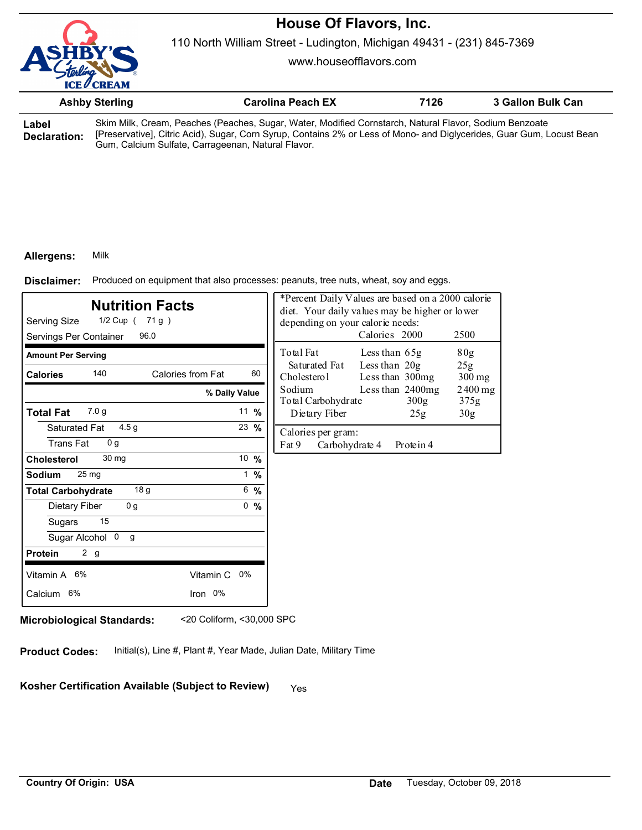110 North William Street - Ludington, Michigan 49431 - (231) 845-7369

www.houseofflavors.com

|                       | <b>Ashby Sterling</b> | <b>Carolina Peach EX</b>                                                                                                                                                                                                                                                              | 7126 | 3 Gallon Bulk Can |
|-----------------------|-----------------------|---------------------------------------------------------------------------------------------------------------------------------------------------------------------------------------------------------------------------------------------------------------------------------------|------|-------------------|
| ∟abel<br>Declaration: |                       | Skim Milk, Cream, Peaches (Peaches, Sugar, Water, Modified Cornstarch, Natural Flavor, Sodium Benzoate<br>[Preservative], Citric Acid), Sugar, Corn Syrup, Contains 2% or Less of Mono- and Diglycerides, Guar Gum, Locust Bean<br>Gum, Calcium Sulfate, Carrageenan, Natural Flavor. |      |                   |

### **Allergens:** Milk

Produced on equipment that also processes: peanuts, tree nuts, wheat, soy and eggs. **Disclaimer:**

| <b>Nutrition Facts</b><br>Serving Size<br>1/2 Cup ( 71 g )<br>Servings Per Container<br>96.0 |                |                 | *Percent Daily Values are based on a 2000 calorie<br>diet. Your daily values may be higher or lower<br>depending on your calorie needs:<br>Calories 2000 |                                    |                          | 2500            |
|----------------------------------------------------------------------------------------------|----------------|-----------------|----------------------------------------------------------------------------------------------------------------------------------------------------------|------------------------------------|--------------------------|-----------------|
| <b>Amount Per Serving</b>                                                                    |                |                 | Total Fat                                                                                                                                                | Less than 65g                      |                          | 80 <sub>g</sub> |
| 140<br>Calories from Fat<br><b>Calories</b>                                                  |                | 60              | Saturated Fat<br>Cholesterol                                                                                                                             | Less than $20g$<br>Less than 300mg |                          | 25g<br>$300$ mg |
| % Daily Value                                                                                |                |                 | Sodium<br>Total Carbohydrate                                                                                                                             |                                    | Less than 2400mg<br>300g | 2400 mg<br>375g |
| 7.0 <sub>q</sub><br><b>Total Fat</b>                                                         | 11 $%$         |                 | Dietary Fiber                                                                                                                                            |                                    | 25g                      | 30 <sub>g</sub> |
| 4.5 <sub>g</sub><br>Saturated Fat<br><b>Trans Fat</b><br>0 <sub>q</sub>                      | 23 %           |                 | Calories per gram:<br>Fat 9<br>Carbohydrate 4                                                                                                            |                                    | Protein 4                |                 |
| 30 mg<br><b>Cholesterol</b>                                                                  | 10 %           |                 |                                                                                                                                                          |                                    |                          |                 |
| 25 mg<br><b>Sodium</b>                                                                       |                | $1 \frac{9}{6}$ |                                                                                                                                                          |                                    |                          |                 |
| 18 g<br><b>Total Carbohydrate</b>                                                            | $6\frac{9}{6}$ |                 |                                                                                                                                                          |                                    |                          |                 |
| 0 <sub>g</sub><br>Dietary Fiber                                                              | 0, 9/6         |                 |                                                                                                                                                          |                                    |                          |                 |
| 15<br>Sugars                                                                                 |                |                 |                                                                                                                                                          |                                    |                          |                 |
| Sugar Alcohol 0<br>g                                                                         |                |                 |                                                                                                                                                          |                                    |                          |                 |
| 2 g<br><b>Protein</b>                                                                        |                |                 |                                                                                                                                                          |                                    |                          |                 |
| Vitamin A 6%<br>Vitamin C 0%                                                                 |                |                 |                                                                                                                                                          |                                    |                          |                 |
| Iron 0%<br>Calcium 6%                                                                        |                |                 |                                                                                                                                                          |                                    |                          |                 |

**Microbiological Standards:** <20 Coliform, <30,000 SPC

**Product Codes:** Initial(s), Line #, Plant #, Year Made, Julian Date, Military Time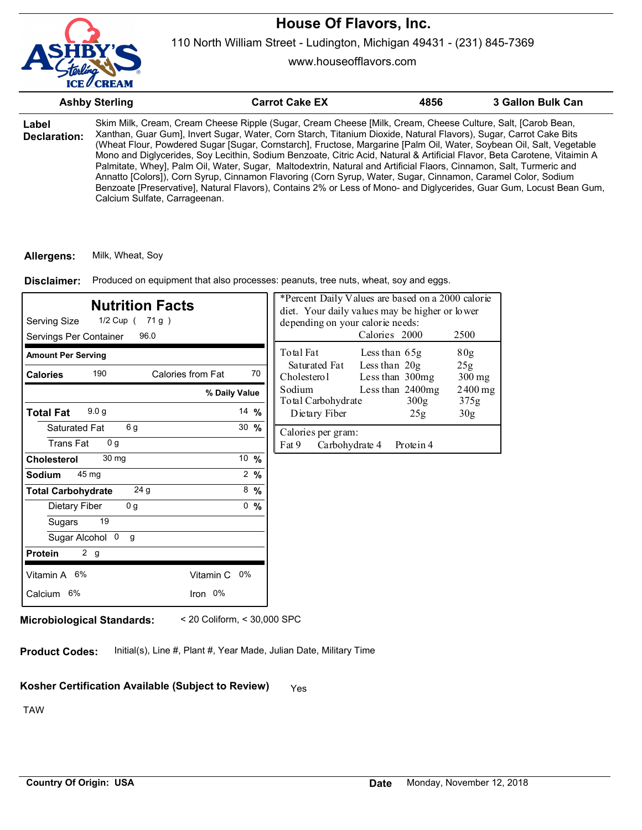

110 North William Street - Ludington, Michigan 49431 - (231) 845-7369

www.houseofflavors.com

|                       | <b>Ashby Sterling</b>         | <b>Carrot Cake EX</b>                                                                                                                                                                                                                                                                                                                                                                                                                                                                                                                                                                                                                                                                                                                                                                                                                                | 4856 | 3 Gallon Bulk Can |
|-----------------------|-------------------------------|------------------------------------------------------------------------------------------------------------------------------------------------------------------------------------------------------------------------------------------------------------------------------------------------------------------------------------------------------------------------------------------------------------------------------------------------------------------------------------------------------------------------------------------------------------------------------------------------------------------------------------------------------------------------------------------------------------------------------------------------------------------------------------------------------------------------------------------------------|------|-------------------|
| Label<br>Declaration: | Calcium Sulfate, Carrageenan. | Skim Milk, Cream, Cream Cheese Ripple (Sugar, Cream Cheese [Milk, Cream, Cheese Culture, Salt, [Carob Bean,<br>Xanthan, Guar Gum], Invert Sugar, Water, Corn Starch, Titanium Dioxide, Natural Flavors), Sugar, Carrot Cake Bits<br>(Wheat Flour, Powdered Sugar [Sugar, Cornstarch], Fructose, Margarine [Palm Oil, Water, Soybean Oil, Salt, Vegetable<br>Mono and Diglycerides, Soy Lecithin, Sodium Benzoate, Citric Acid, Natural & Artificial Flavor, Beta Carotene, Vitaimin A<br>Palmitate, Wheyl, Palm Oil, Water, Sugar, Maltodextrin, Natural and Artificial Flaors, Cinnamon, Salt, Turmeric and<br>Annatto [Colors]), Corn Syrup, Cinnamon Flavoring (Corn Syrup, Water, Sugar, Cinnamon, Caramel Color, Sodium<br>Benzoate [Preservative], Natural Flavors), Contains 2% or Less of Mono- and Diglycerides, Guar Gum, Locust Bean Gum, |      |                   |

**Allergens:** Milk, Wheat, Soy

Produced on equipment that also processes: peanuts, tree nuts, wheat, soy and eggs. **Disclaimer:**

| <b>Nutrition Facts</b><br>Serving Size<br>1/2 Cup ( 71 g )<br>Servings Per Container<br>96.0 | *Percent Daily Values are based on a 2000 calorie<br>diet. Your daily values may be higher or lower<br>depending on your calorie needs:<br>Calories 2000<br>2500 |                                                                                                |  |
|----------------------------------------------------------------------------------------------|------------------------------------------------------------------------------------------------------------------------------------------------------------------|------------------------------------------------------------------------------------------------|--|
| <b>Amount Per Serving</b>                                                                    |                                                                                                                                                                  | Total Fat<br>80g<br>Less than $65g$                                                            |  |
| 190<br>Calories from Fat<br><b>Calories</b>                                                  | 70                                                                                                                                                               | Less than 20g<br>Saturated Fat<br>25g<br>Cholesterol<br>Less than 300mg<br>$300 \,\mathrm{mg}$ |  |
|                                                                                              | % Daily Value                                                                                                                                                    | Sodium<br>Less than 2400mg<br>$2400$ mg<br>Total Carbohydrate<br>300 <sub>g</sub><br>375g      |  |
| 9.0 <sub>q</sub><br>Total Fat                                                                | 14 $%$                                                                                                                                                           | Dietary Fiber<br>30 <sub>g</sub><br>25g                                                        |  |
| 6 g<br>Saturated Fat<br><b>Trans Fat</b><br>0 <sub>q</sub>                                   | $30 \frac{9}{6}$                                                                                                                                                 | Calories per gram:<br>Fat 9<br>Carbohydrate 4<br>Protein 4                                     |  |
| 30 mg<br><b>Cholesterol</b>                                                                  | 10 %                                                                                                                                                             |                                                                                                |  |
| Sodium<br>45 mg                                                                              | $2 \frac{9}{6}$                                                                                                                                                  |                                                                                                |  |
| 24 <sub>g</sub><br><b>Total Carbohydrate</b>                                                 | $8\frac{9}{6}$                                                                                                                                                   |                                                                                                |  |
| 0 <sub>g</sub><br>Dietary Fiber                                                              | 0<br>$\frac{0}{0}$                                                                                                                                               |                                                                                                |  |
| 19<br>Sugars                                                                                 |                                                                                                                                                                  |                                                                                                |  |
| Sugar Alcohol 0<br>g                                                                         |                                                                                                                                                                  |                                                                                                |  |
| 2 g<br><b>Protein</b>                                                                        |                                                                                                                                                                  |                                                                                                |  |
| Vitamin A 6%                                                                                 | Vitamin C<br>0%                                                                                                                                                  |                                                                                                |  |
| Calcium 6%                                                                                   | Iron 0%                                                                                                                                                          |                                                                                                |  |

**Microbiological Standards:** < 20 Coliform, < 30,000 SPC

**Product Codes:** Initial(s), Line #, Plant #, Year Made, Julian Date, Military Time

# Kosher Certification Available (Subject to Review) Yes

TAW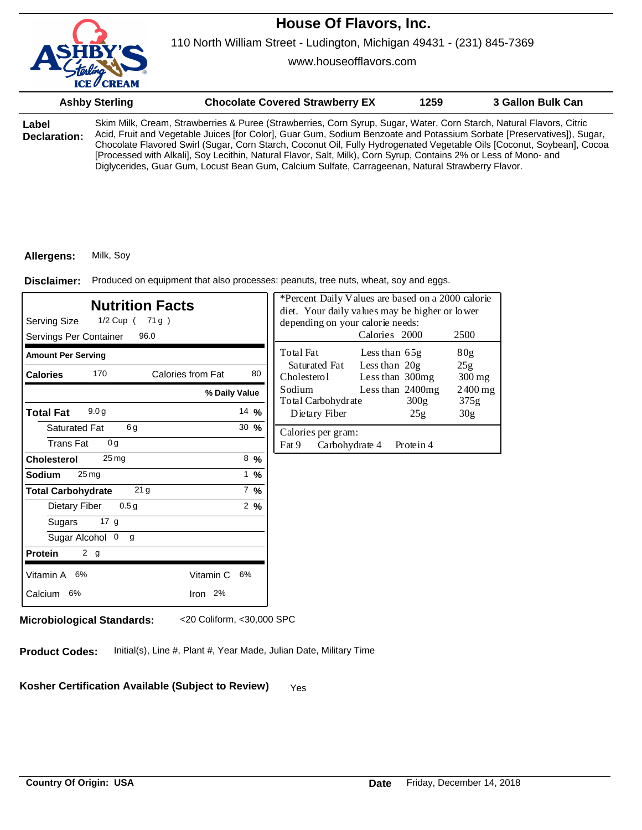

www.houseofflavors.com

|                       | <b>Ashby Sterling</b> | <b>Chocolate Covered Strawberry EX</b>                                                                                                                                                                                                                                                                                                                                                                                                                                                                                                                                                            | 1259 | 3 Gallon Bulk Can |
|-----------------------|-----------------------|---------------------------------------------------------------------------------------------------------------------------------------------------------------------------------------------------------------------------------------------------------------------------------------------------------------------------------------------------------------------------------------------------------------------------------------------------------------------------------------------------------------------------------------------------------------------------------------------------|------|-------------------|
| Label<br>Declaration: |                       | Skim Milk, Cream, Strawberries & Puree (Strawberries, Corn Syrup, Sugar, Water, Corn Starch, Natural Flavors, Citric<br>Acid, Fruit and Vegetable Juices [for Color], Guar Gum, Sodium Benzoate and Potassium Sorbate [Preservatives]), Sugar,<br>Chocolate Flavored Swirl (Sugar, Corn Starch, Coconut Oil, Fully Hydrogenated Vegetable Oils [Coconut, Soybean], Cocoa<br>[Processed with Alkali], Soy Lecithin, Natural Flavor, Salt, Milk), Corn Syrup, Contains 2% or Less of Mono- and<br>Diglycerides, Guar Gum, Locust Bean Gum, Calcium Sulfate, Carrageenan, Natural Strawberry Flavor. |      |                   |

### **Allergens:** Milk, Soy

Disclaimer: Produced on equipment that also processes: peanuts, tree nuts, wheat, soy and eggs.

| <b>Nutrition Facts</b><br>1/2 Cup ( 71 g )<br>Serving Size<br>96.0<br>Servings Per Container |                  | *Percent Daily Values are based on a 2000 calorie<br>diet. Your daily values may be higher or lower<br>depending on your calorie needs:<br>Calories 2000<br>2500 |
|----------------------------------------------------------------------------------------------|------------------|------------------------------------------------------------------------------------------------------------------------------------------------------------------|
| <b>Amount Per Serving</b>                                                                    |                  | Total Fat<br>80 <sub>g</sub><br>Less than $65g$                                                                                                                  |
| 170<br>Calories from Fat<br><b>Calories</b>                                                  | 80               | Less than 20g<br>Saturated Fat<br>25g<br>Cholesterol<br>Less than 300mg<br>$300 \,\mathrm{mg}$                                                                   |
|                                                                                              | % Daily Value    | Less than 2400mg<br>Sodium<br>$2400$ mg<br>375g<br>Total Carbohydrate<br>300g                                                                                    |
| 9.0 <sub>g</sub><br><b>Total Fat</b>                                                         | $14 \frac{9}{6}$ | Dietary Fiber<br>30 <sub>g</sub><br>25g                                                                                                                          |
| 6g<br>Saturated Fat<br><b>Trans Fat</b><br>0 <sub>g</sub>                                    | $30 \frac{9}{6}$ | Calories per gram:<br>Fat 9<br>Carbohydrate 4<br>Protein 4                                                                                                       |
| $25 \,\mathrm{mg}$<br><b>Cholesterol</b>                                                     | $8 \frac{9}{6}$  |                                                                                                                                                                  |
| 25 <sub>mg</sub><br><b>Sodium</b>                                                            | $1 \frac{9}{6}$  |                                                                                                                                                                  |
| <b>Total Carbohydrate</b><br>21 <sub>g</sub>                                                 | $7\%$            |                                                                                                                                                                  |
| 0.5 <sub>g</sub><br>Dietary Fiber                                                            | $2 \frac{9}{6}$  |                                                                                                                                                                  |
| 17 <sub>g</sub><br>Sugars                                                                    |                  |                                                                                                                                                                  |
| Sugar Alcohol 0<br>g                                                                         |                  |                                                                                                                                                                  |
| 2 g<br><b>Protein</b>                                                                        |                  |                                                                                                                                                                  |
| Vitamin A 6%<br>Vitamin C                                                                    | 6%               |                                                                                                                                                                  |
| Calcium 6%<br>Iron 2%                                                                        |                  |                                                                                                                                                                  |
|                                                                                              |                  |                                                                                                                                                                  |

**Microbiological Standards:** <20 Coliform, <30,000 SPC

**Product Codes:** Initial(s), Line #, Plant #, Year Made, Julian Date, Military Time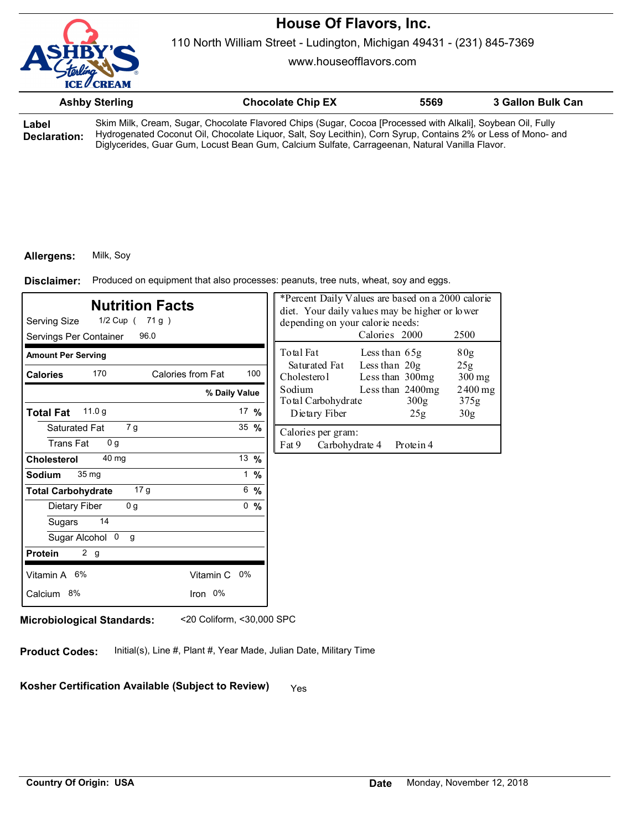

110 North William Street - Ludington, Michigan 49431 - (231) 845-7369

www.houseofflavors.com

|                       | <b>Ashby Sterling</b> | <b>Chocolate Chip EX</b>                                                                                                                                                                                                                                                                                                       | 5569 | 3 Gallon Bulk Can |
|-----------------------|-----------------------|--------------------------------------------------------------------------------------------------------------------------------------------------------------------------------------------------------------------------------------------------------------------------------------------------------------------------------|------|-------------------|
| Label<br>Declaration: |                       | Skim Milk, Cream, Sugar, Chocolate Flavored Chips (Sugar, Cocoa [Processed with Alkali], Soybean Oil, Fully<br>Hydrogenated Coconut Oil, Chocolate Liquor, Salt, Soy Lecithin), Corn Syrup, Contains 2% or Less of Mono- and<br>Diglycerides, Guar Gum, Locust Bean Gum, Calcium Sulfate, Carrageenan, Natural Vanilla Flavor. |      |                   |

### **Allergens:** Milk, Soy

Produced on equipment that also processes: peanuts, tree nuts, wheat, soy and eggs. **Disclaimer:**

| <b>Nutrition Facts</b><br>Serving Size<br>1/2 Cup ( 71 g )<br>Servings Per Container<br>96.0 |                 |     | *Percent Daily Values are based on a 2000 calorie<br>diet. Your daily values may be higher or lower<br>depending on your calorie needs: | Calories 2000                      |                          | 2500            |
|----------------------------------------------------------------------------------------------|-----------------|-----|-----------------------------------------------------------------------------------------------------------------------------------------|------------------------------------|--------------------------|-----------------|
| <b>Amount Per Serving</b>                                                                    |                 |     | Total Fat                                                                                                                               | Less than 65g                      |                          | 80 <sub>g</sub> |
| 170<br>Calories from Fat<br><b>Calories</b>                                                  |                 | 100 | Saturated Fat<br>Cholesterol                                                                                                            | Less than $20g$<br>Less than 300mg |                          | 25g<br>$300$ mg |
| % Daily Value                                                                                |                 |     | Sodium<br>Total Carbohydrate                                                                                                            |                                    | Less than 2400mg<br>300g | 2400 mg<br>375g |
| 11.0 g<br><b>Total Fat</b>                                                                   | 17 $%$          |     | Dietary Fiber                                                                                                                           |                                    | 25g                      | 30 <sub>g</sub> |
| Saturated Fat<br>7 g<br><b>Trans Fat</b><br>0 <sub>q</sub>                                   | 35 $%$          |     | Calories per gram:<br>Fat 9<br>Carbohydrate 4                                                                                           |                                    | Protein 4                |                 |
| 40 mg<br><b>Cholesterol</b>                                                                  | 13 $%$          |     |                                                                                                                                         |                                    |                          |                 |
| 35 <sub>mg</sub><br><b>Sodium</b>                                                            | $1 \frac{9}{6}$ |     |                                                                                                                                         |                                    |                          |                 |
| 17 <sub>g</sub><br><b>Total Carbohydrate</b>                                                 | $6\frac{9}{6}$  |     |                                                                                                                                         |                                    |                          |                 |
| 0 <sub>g</sub><br>Dietary Fiber                                                              | 0, 9/6          |     |                                                                                                                                         |                                    |                          |                 |
| 14<br>Sugars                                                                                 |                 |     |                                                                                                                                         |                                    |                          |                 |
| Sugar Alcohol 0<br>g                                                                         |                 |     |                                                                                                                                         |                                    |                          |                 |
| 2 g<br><b>Protein</b>                                                                        |                 |     |                                                                                                                                         |                                    |                          |                 |
| Vitamin A 6%<br>Vitamin C 0%                                                                 |                 |     |                                                                                                                                         |                                    |                          |                 |
| Iron 0%<br>Calcium 8%                                                                        |                 |     |                                                                                                                                         |                                    |                          |                 |

**Microbiological Standards:** <20 Coliform, <30,000 SPC

**Product Codes:** Initial(s), Line #, Plant #, Year Made, Julian Date, Military Time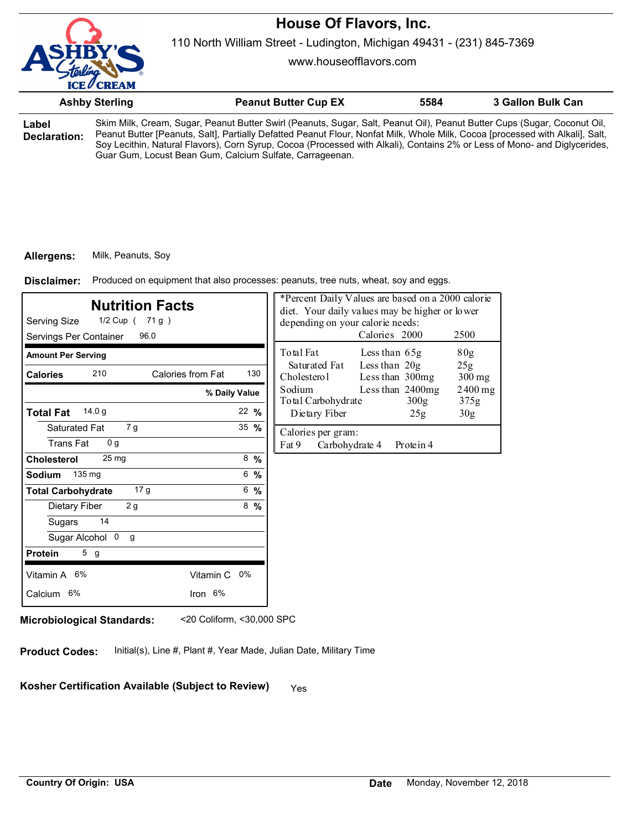110 North William Street - Ludington, Michigan 49431 - (231) 845-7369

www.houseofflavors.com

|              | <b>Ashby Sterling</b>                                                                                                         | <b>Peanut Butter Cup EX</b> | 5584 | 3 Gallon Bulk Can |  |
|--------------|-------------------------------------------------------------------------------------------------------------------------------|-----------------------------|------|-------------------|--|
| Label        | Skim Milk, Cream, Sugar, Peanut Butter Swirl (Peanuts, Sugar, Salt, Peanut Oil), Peanut Butter Cups (Sugar, Coconut Oil,      |                             |      |                   |  |
| Doclaration: | Peanut Butter [Peanuts, Salt], Partially Defatted Peanut Flour, Nonfat Milk, Whole Milk, Cocoa [processed with Alkali], Salt, |                             |      |                   |  |

**Declaration:** Peanut Butter [Peanuts, Salt], Partially Defatted Peanut Flour, Nonfat Milk, Whole Milk, Cocoa [processed with Alkali], Salt, Soy Lecithin, Natural Flavors), Corn Syrup, Cocoa (Processed with Alkali), Contains 2% or Less of Mono- and Diglycerides, Guar Gum, Locust Bean Gum, Calcium Sulfate, Carrageenan.

### **Allergens:** Milk, Peanuts, Soy

Produced on equipment that also processes: peanuts, tree nuts, wheat, soy and eggs. **Disclaimer:**

| <b>Nutrition Facts</b><br>Serving Size<br>1/2 Cup ( 71 g )<br>Servings Per Container<br>96.0 |                  | *Percent Daily Values are based on a 2000 calorie<br>diet. Your daily values may be higher or lower<br>depending on your calorie needs: | Calories 2000                        | 2500                        |
|----------------------------------------------------------------------------------------------|------------------|-----------------------------------------------------------------------------------------------------------------------------------------|--------------------------------------|-----------------------------|
| <b>Amount Per Serving</b>                                                                    |                  | Total Fat                                                                                                                               | Less than 65g                        | 80 <sub>g</sub>             |
| 210<br>Calories from Fat<br><b>Calories</b>                                                  | 130              | Saturated Fat<br>Cholesterol                                                                                                            | Less than 20g<br>Less than 300mg     | 25 <sub>g</sub><br>$300$ mg |
|                                                                                              | % Daily Value    | Sodium<br>Total Carbohydrate                                                                                                            | Less than 2400mg<br>300 <sub>g</sub> | $2400$ mg<br>375g           |
| 14.0q<br><b>Total Fat</b>                                                                    | $22 \frac{9}{6}$ | Dietary Fiber                                                                                                                           | 25g                                  | 30 <sub>g</sub>             |
| Saturated Fat<br>7g<br><b>Trans Fat</b><br>0 <sub>q</sub>                                    | $35 \frac{9}{6}$ | Calories per gram:<br>Fat 9<br>Carbohydrate 4                                                                                           | Protein 4                            |                             |
| 25 <sub>mg</sub><br><b>Cholesterol</b>                                                       | $8\frac{9}{6}$   |                                                                                                                                         |                                      |                             |
| 135 mg<br><b>Sodium</b>                                                                      | $6 - 96$         |                                                                                                                                         |                                      |                             |
| 17 <sub>g</sub><br><b>Total Carbohydrate</b>                                                 | 6, 9/6           |                                                                                                                                         |                                      |                             |
| 2 g<br>Dietary Fiber                                                                         | $8\frac{9}{6}$   |                                                                                                                                         |                                      |                             |
| 14<br>Sugars                                                                                 |                  |                                                                                                                                         |                                      |                             |
| Sugar Alcohol 0<br>g                                                                         |                  |                                                                                                                                         |                                      |                             |
| 5g<br><b>Protein</b>                                                                         |                  |                                                                                                                                         |                                      |                             |
| Vitamin A 6%<br>Vitamin C 0%                                                                 |                  |                                                                                                                                         |                                      |                             |
| Iron 6%<br>Calcium 6%                                                                        |                  |                                                                                                                                         |                                      |                             |
|                                                                                              |                  |                                                                                                                                         |                                      |                             |

**Microbiological Standards:** <20 Coliform, <30,000 SPC

**Product Codes:** Initial(s), Line #, Plant #, Year Made, Julian Date, Military Time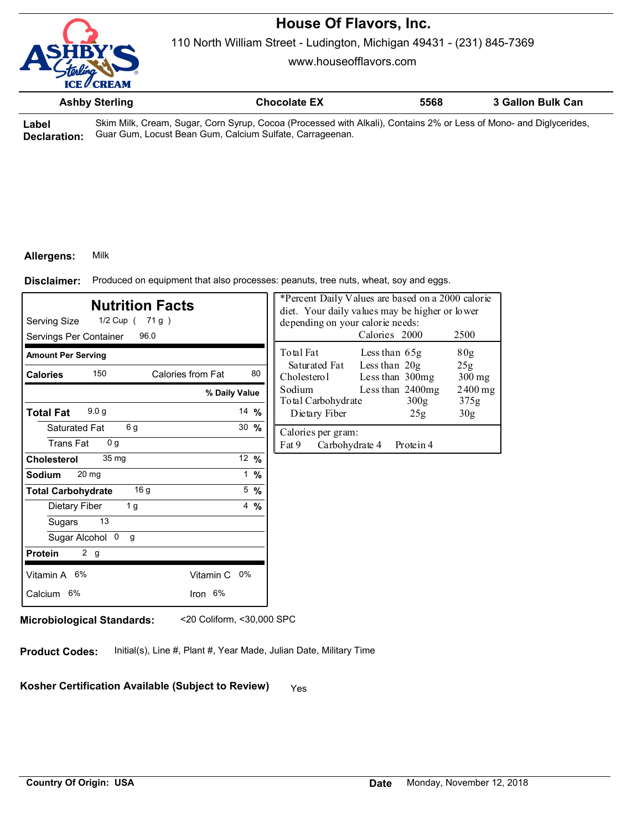

110 North William Street - Ludington, Michigan 49431 - (231) 845-7369

www.houseofflavors.com

|       | <b>Ashby Sterling</b> | <b>Chocolate EX</b>                                                                                                | 5568 | 3 Gallon Bulk Can |
|-------|-----------------------|--------------------------------------------------------------------------------------------------------------------|------|-------------------|
| _abel |                       | Skim Milk, Cream, Sugar, Corn Syrup, Cocoa (Processed with Alkali), Contains 2% or Less of Mono- and Diglycerides, |      |                   |

**Label Declaration:** Guar Gum, Locust Bean Gum, Calcium Sulfate, Carrageenan.

#### **Allergens:** Milk

Produced on equipment that also processes: peanuts, tree nuts, wheat, soy and eggs. **Disclaimer:**

| <b>Nutrition Facts</b><br>Serving Size<br>1/2 Cup ( 71 g )<br>Servings Per Container<br>96.0 |                   |                  | *Percent Daily Values are based on a 2000 calorie<br>diet. Your daily values may be higher or lower<br>depending on your calorie needs:<br>Calories 2000<br>2500 |                                    |                          |                 |
|----------------------------------------------------------------------------------------------|-------------------|------------------|------------------------------------------------------------------------------------------------------------------------------------------------------------------|------------------------------------|--------------------------|-----------------|
| <b>Amount Per Serving</b>                                                                    |                   |                  | Total Fat                                                                                                                                                        | Less than 65g                      |                          | 80g             |
| 150<br><b>Calories</b>                                                                       | Calories from Fat | 80               | Saturated Fat<br>Cholesterol                                                                                                                                     | Less than $20g$<br>Less than 300mg |                          | 25g<br>$300$ mg |
|                                                                                              | % Daily Value     |                  | Sodium<br>Total Carbohydrate                                                                                                                                     |                                    | Less than 2400mg<br>300g | 2400 mg<br>375g |
| 9.0 <sub>g</sub><br><b>Total Fat</b>                                                         |                   | 14 $%$           | Dietary Fiber                                                                                                                                                    |                                    | 25g                      | 30 <sub>g</sub> |
| 6 g<br>Saturated Fat<br><b>Trans Fat</b><br>0 <sub>q</sub>                                   |                   | $30 \frac{9}{6}$ | Calories per gram:<br>Fat 9<br>Carbohydrate 4                                                                                                                    |                                    | Protein 4                |                 |
| 35 mg<br><b>Cholesterol</b>                                                                  |                   | 12 %             |                                                                                                                                                                  |                                    |                          |                 |
| 20 <sub>mg</sub><br><b>Sodium</b>                                                            |                   | $1 \frac{9}{6}$  |                                                                                                                                                                  |                                    |                          |                 |
| 16 g<br><b>Total Carbohydrate</b>                                                            |                   | $5\frac{9}{6}$   |                                                                                                                                                                  |                                    |                          |                 |
| 1 <sub>g</sub><br>Dietary Fiber                                                              |                   | $4\frac{9}{6}$   |                                                                                                                                                                  |                                    |                          |                 |
| 13<br>Sugars                                                                                 |                   |                  |                                                                                                                                                                  |                                    |                          |                 |
| Sugar Alcohol 0<br>g                                                                         |                   |                  |                                                                                                                                                                  |                                    |                          |                 |
| 2 <sub>g</sub><br><b>Protein</b>                                                             |                   |                  |                                                                                                                                                                  |                                    |                          |                 |
| Vitamin A 6%                                                                                 | Vitamin C 0%      |                  |                                                                                                                                                                  |                                    |                          |                 |
| Calcium 6%                                                                                   | Iron 6%           |                  |                                                                                                                                                                  |                                    |                          |                 |
|                                                                                              |                   |                  |                                                                                                                                                                  |                                    |                          |                 |

**Microbiological Standards:** <20 Coliform, <30,000 SPC

**Product Codes:** Initial(s), Line #, Plant #, Year Made, Julian Date, Military Time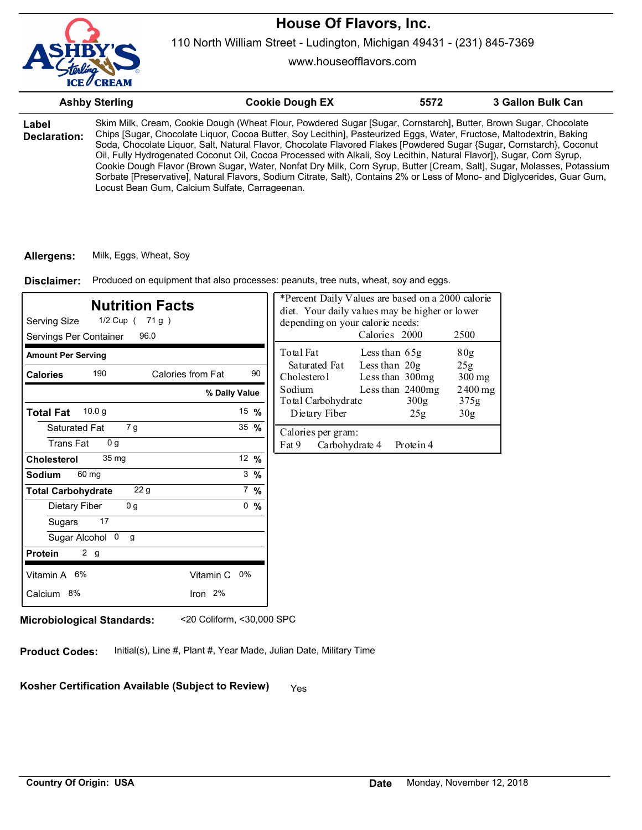

www.houseofflavors.com

|                              | <b>Ashby Sterling</b>                          | <b>Cookie Dough EX</b>                                                                                                                                                                                                                                                                                                                                                                                                                                                                                                                                                                                                                                                                                                                        | 5572 | 3 Gallon Bulk Can |
|------------------------------|------------------------------------------------|-----------------------------------------------------------------------------------------------------------------------------------------------------------------------------------------------------------------------------------------------------------------------------------------------------------------------------------------------------------------------------------------------------------------------------------------------------------------------------------------------------------------------------------------------------------------------------------------------------------------------------------------------------------------------------------------------------------------------------------------------|------|-------------------|
| Label<br><b>Declaration:</b> | Locust Bean Gum, Calcium Sulfate, Carrageenan. | Skim Milk, Cream, Cookie Dough (Wheat Flour, Powdered Sugar [Sugar, Cornstarch], Butter, Brown Sugar, Chocolate<br>Chips [Sugar, Chocolate Liquor, Cocoa Butter, Soy Lecithin], Pasteurized Eggs, Water, Fructose, Maltodextrin, Baking<br>Soda, Chocolate Liguor, Salt, Natural Flavor, Chocolate Flavored Flakes [Powdered Sugar {Sugar, Cornstarch}, Coconut<br>Oil, Fully Hydrogenated Coconut Oil, Cocoa Processed with Alkali, Soy Lecithin, Natural Flavor]), Sugar, Corn Syrup,<br>Cookie Dough Flavor (Brown Sugar, Water, Nonfat Dry Milk, Corn Syrup, Butter [Cream, Salt], Sugar, Molasses, Potassium<br>Sorbate [Preservative], Natural Flavors, Sodium Citrate, Salt), Contains 2% or Less of Mono- and Diglycerides, Guar Gum, |      |                   |

#### **Allergens:** Milk, Eggs, Wheat, Soy

Produced on equipment that also processes: peanuts, tree nuts, wheat, soy and eggs. **Disclaimer:**

| <b>Nutrition Facts</b><br>Serving Size<br>1/2 Cup ( 71 g )<br>Servings Per Container<br>96.0 |                 | *Percent Daily Values are based on a 2000 calorie<br>diet. Your daily values may be higher or lower<br>depending on your calorie needs:<br>Calories 2000<br>2500 |
|----------------------------------------------------------------------------------------------|-----------------|------------------------------------------------------------------------------------------------------------------------------------------------------------------|
| <b>Amount Per Serving</b>                                                                    |                 | Total Fat<br>80g<br>Less than $65g$                                                                                                                              |
| 190<br>Calories from Fat<br><b>Calories</b>                                                  | 90              | Less than 20g<br>Saturated Fat<br>25g<br>Less than 300mg<br>Cholesterol<br>$300$ mg                                                                              |
|                                                                                              | % Daily Value   | Less than 2400mg<br>Sodium<br>$2400$ mg<br>Total Carbohydrate<br>300 <sub>g</sub><br>375g                                                                        |
| 10.0 <sub>q</sub><br><b>Total Fat</b>                                                        | 15 $%$          | Dietary Fiber<br>30 <sub>g</sub><br>25g                                                                                                                          |
| 7 g<br>Saturated Fat<br><b>Trans Fat</b><br>0 <sub>q</sub>                                   | 35 $%$          | Calories per gram:<br>Fat 9<br>Carbohydrate 4<br>Protein 4                                                                                                       |
| 35 <sub>mg</sub><br><b>Cholesterol</b>                                                       | 12 $%$          |                                                                                                                                                                  |
| 60 mg<br><b>Sodium</b>                                                                       | $3 \frac{9}{6}$ |                                                                                                                                                                  |
| 22 <sub>g</sub><br><b>Total Carbohydrate</b>                                                 | $7\%$           |                                                                                                                                                                  |
| 0g<br>Dietary Fiber                                                                          | 0, 9/6          |                                                                                                                                                                  |
| 17<br>Sugars                                                                                 |                 |                                                                                                                                                                  |
| Sugar Alcohol 0<br>g                                                                         |                 |                                                                                                                                                                  |
| 2 g<br><b>Protein</b>                                                                        |                 |                                                                                                                                                                  |
| Vitamin A 6%<br>Vitamin C 0%                                                                 |                 |                                                                                                                                                                  |
| Iron 2%<br>Calcium 8%                                                                        |                 |                                                                                                                                                                  |

**Microbiological Standards:** <20 Coliform, <30,000 SPC

**Product Codes:** Initial(s), Line #, Plant #, Year Made, Julian Date, Military Time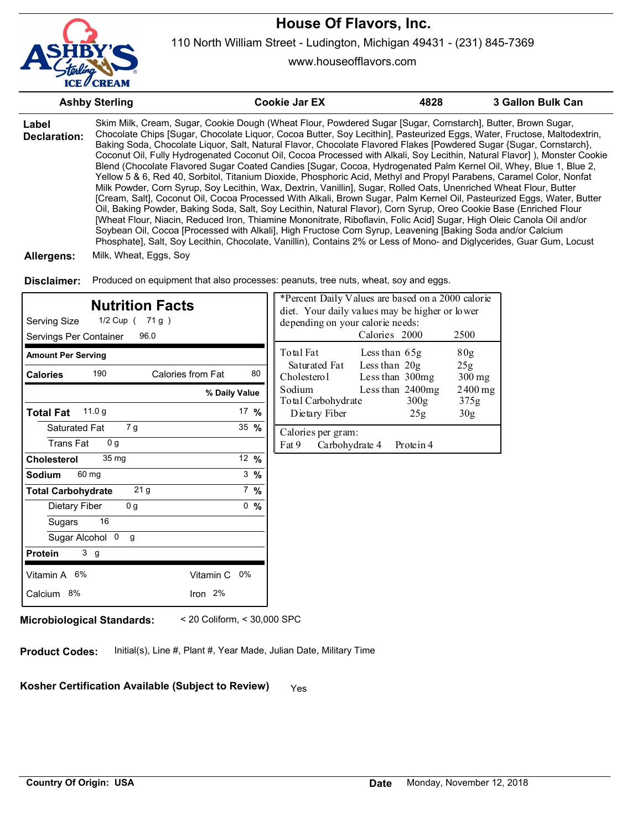

www.houseofflavors.com

|                                                       | <b>Ashby Sterling</b>                              |                             | <b>Cookie Jar EX</b>                                                                                                                                                                                                                                                                                                                                                                                                                                                                                                                                                                                                                                                                                                                                                                                                                                                                                                                                                                                                                                                                                                                                                                                                                                                                                                                                                                                                                                                           | 4828                                               | 3 Gallon Bulk Can |
|-------------------------------------------------------|----------------------------------------------------|-----------------------------|--------------------------------------------------------------------------------------------------------------------------------------------------------------------------------------------------------------------------------------------------------------------------------------------------------------------------------------------------------------------------------------------------------------------------------------------------------------------------------------------------------------------------------------------------------------------------------------------------------------------------------------------------------------------------------------------------------------------------------------------------------------------------------------------------------------------------------------------------------------------------------------------------------------------------------------------------------------------------------------------------------------------------------------------------------------------------------------------------------------------------------------------------------------------------------------------------------------------------------------------------------------------------------------------------------------------------------------------------------------------------------------------------------------------------------------------------------------------------------|----------------------------------------------------|-------------------|
| Label<br><b>Declaration:</b><br>Allergens:            | Milk, Wheat, Eggs, Soy                             |                             | Skim Milk, Cream, Sugar, Cookie Dough (Wheat Flour, Powdered Sugar [Sugar, Cornstarch], Butter, Brown Sugar,<br>Chocolate Chips [Sugar, Chocolate Liquor, Cocoa Butter, Soy Lecithin], Pasteurized Eggs, Water, Fructose, Maltodextrin,<br>Baking Soda, Chocolate Liquor, Salt, Natural Flavor, Chocolate Flavored Flakes [Powdered Sugar {Sugar, Cornstarch},<br>Coconut Oil, Fully Hydrogenated Coconut Oil, Cocoa Processed with Alkali, Soy Lecithin, Natural Flavor]), Monster Cookie<br>Blend (Chocolate Flavored Sugar Coated Candies [Sugar, Cocoa, Hydrogenated Palm Kernel Oil, Whey, Blue 1, Blue 2,<br>Yellow 5 & 6, Red 40, Sorbitol, Titanium Dioxide, Phosphoric Acid, Methyl and Propyl Parabens, Caramel Color, Nonfat<br>Milk Powder, Corn Syrup, Soy Lecithin, Wax, Dextrin, Vanillin], Sugar, Rolled Oats, Unenriched Wheat Flour, Butter<br>[Cream, Salt], Coconut Oil, Cocoa Processed With Alkali, Brown Sugar, Palm Kernel Oil, Pasteurized Eggs, Water, Butter<br>Oil, Baking Powder, Baking Soda, Salt, Soy Lecithin, Natural Flavor), Corn Syrup, Oreo Cookie Base (Enriched Flour<br>[Wheat Flour, Niacin, Reduced Iron, Thiamine Mononitrate, Riboflavin, Folic Acid] Sugar, High Oleic Canola Oil and/or<br>Soybean Oil, Cocoa [Processed with Alkali], High Fructose Corn Syrup, Leavening [Baking Soda and/or Calcium<br>Phosphate], Salt, Soy Lecithin, Chocolate, Vanillin), Contains 2% or Less of Mono- and Diglycerides, Guar Gum, Locust |                                                    |                   |
|                                                       |                                                    |                             |                                                                                                                                                                                                                                                                                                                                                                                                                                                                                                                                                                                                                                                                                                                                                                                                                                                                                                                                                                                                                                                                                                                                                                                                                                                                                                                                                                                                                                                                                |                                                    |                   |
| Disclaimer:                                           |                                                    |                             | Produced on equipment that also processes: peanuts, tree nuts, wheat, soy and eggs.                                                                                                                                                                                                                                                                                                                                                                                                                                                                                                                                                                                                                                                                                                                                                                                                                                                                                                                                                                                                                                                                                                                                                                                                                                                                                                                                                                                            |                                                    |                   |
| <b>Serving Size</b><br>Servings Per Container         | <b>Nutrition Facts</b><br>1/2 Cup ( 71 g )<br>96.0 |                             | *Percent Daily Values are based on a 2000 calorie<br>diet. Your daily values may be higher or lower<br>depending on your calorie needs:<br>Calories 2000                                                                                                                                                                                                                                                                                                                                                                                                                                                                                                                                                                                                                                                                                                                                                                                                                                                                                                                                                                                                                                                                                                                                                                                                                                                                                                                       | 2500                                               |                   |
| <b>Amount Per Serving</b>                             |                                                    |                             | Total Fat<br>Less than 65g                                                                                                                                                                                                                                                                                                                                                                                                                                                                                                                                                                                                                                                                                                                                                                                                                                                                                                                                                                                                                                                                                                                                                                                                                                                                                                                                                                                                                                                     | 80g                                                |                   |
| <b>Calories</b>                                       | 190<br>Calories from Fat                           | 80                          | Saturated Fat<br>Less than 20g<br>Cholesterol<br>Less than 300mg                                                                                                                                                                                                                                                                                                                                                                                                                                                                                                                                                                                                                                                                                                                                                                                                                                                                                                                                                                                                                                                                                                                                                                                                                                                                                                                                                                                                               | 25 <sub>g</sub><br>300 mg                          |                   |
|                                                       |                                                    | % Daily Value               | Sodium<br>Less than 2400mg                                                                                                                                                                                                                                                                                                                                                                                                                                                                                                                                                                                                                                                                                                                                                                                                                                                                                                                                                                                                                                                                                                                                                                                                                                                                                                                                                                                                                                                     |                                                    | $2400$ mg         |
| <b>Total Fat</b>                                      | 11.0 g                                             | 17 %                        | Total Carbohydrate<br>Dietary Fiber                                                                                                                                                                                                                                                                                                                                                                                                                                                                                                                                                                                                                                                                                                                                                                                                                                                                                                                                                                                                                                                                                                                                                                                                                                                                                                                                                                                                                                            | 300 <sub>g</sub><br>375g<br>25g<br>30 <sub>g</sub> |                   |
| Saturated Fat                                         | 7 g                                                | 35 %                        | Calories per gram:                                                                                                                                                                                                                                                                                                                                                                                                                                                                                                                                                                                                                                                                                                                                                                                                                                                                                                                                                                                                                                                                                                                                                                                                                                                                                                                                                                                                                                                             |                                                    |                   |
| <b>Trans Fat</b>                                      | 0 g                                                |                             | Fat 9<br>Carbohydrate 4                                                                                                                                                                                                                                                                                                                                                                                                                                                                                                                                                                                                                                                                                                                                                                                                                                                                                                                                                                                                                                                                                                                                                                                                                                                                                                                                                                                                                                                        | Protein 4                                          |                   |
| <b>Cholesterol</b>                                    | 35 mg                                              | 12 %                        |                                                                                                                                                                                                                                                                                                                                                                                                                                                                                                                                                                                                                                                                                                                                                                                                                                                                                                                                                                                                                                                                                                                                                                                                                                                                                                                                                                                                                                                                                |                                                    |                   |
| Sodium<br>60 mg                                       |                                                    | $3 \frac{9}{6}$             |                                                                                                                                                                                                                                                                                                                                                                                                                                                                                                                                                                                                                                                                                                                                                                                                                                                                                                                                                                                                                                                                                                                                                                                                                                                                                                                                                                                                                                                                                |                                                    |                   |
| <b>Total Carbohydrate</b>                             | 21 <sub>g</sub>                                    | $7 \frac{9}{6}$             |                                                                                                                                                                                                                                                                                                                                                                                                                                                                                                                                                                                                                                                                                                                                                                                                                                                                                                                                                                                                                                                                                                                                                                                                                                                                                                                                                                                                                                                                                |                                                    |                   |
| Dietary Fiber                                         | 0 <sub>g</sub>                                     | 0, 9/6                      |                                                                                                                                                                                                                                                                                                                                                                                                                                                                                                                                                                                                                                                                                                                                                                                                                                                                                                                                                                                                                                                                                                                                                                                                                                                                                                                                                                                                                                                                                |                                                    |                   |
| Sugars                                                | 16                                                 |                             |                                                                                                                                                                                                                                                                                                                                                                                                                                                                                                                                                                                                                                                                                                                                                                                                                                                                                                                                                                                                                                                                                                                                                                                                                                                                                                                                                                                                                                                                                |                                                    |                   |
| Sugar Alcohol 0 g<br><b>Protein</b><br>3 <sub>g</sub> |                                                    |                             |                                                                                                                                                                                                                                                                                                                                                                                                                                                                                                                                                                                                                                                                                                                                                                                                                                                                                                                                                                                                                                                                                                                                                                                                                                                                                                                                                                                                                                                                                |                                                    |                   |
|                                                       |                                                    |                             |                                                                                                                                                                                                                                                                                                                                                                                                                                                                                                                                                                                                                                                                                                                                                                                                                                                                                                                                                                                                                                                                                                                                                                                                                                                                                                                                                                                                                                                                                |                                                    |                   |
| Vitamin A 6%                                          | Vitamin C 0%                                       |                             |                                                                                                                                                                                                                                                                                                                                                                                                                                                                                                                                                                                                                                                                                                                                                                                                                                                                                                                                                                                                                                                                                                                                                                                                                                                                                                                                                                                                                                                                                |                                                    |                   |
| Calcium 8%                                            | Iron 2%                                            |                             |                                                                                                                                                                                                                                                                                                                                                                                                                                                                                                                                                                                                                                                                                                                                                                                                                                                                                                                                                                                                                                                                                                                                                                                                                                                                                                                                                                                                                                                                                |                                                    |                   |
| <b>Microbiological Standards:</b>                     |                                                    | < 20 Coliform, < 30,000 SPC |                                                                                                                                                                                                                                                                                                                                                                                                                                                                                                                                                                                                                                                                                                                                                                                                                                                                                                                                                                                                                                                                                                                                                                                                                                                                                                                                                                                                                                                                                |                                                    |                   |

**Product Codes:** Initial(s), Line #, Plant #, Year Made, Julian Date, Military Time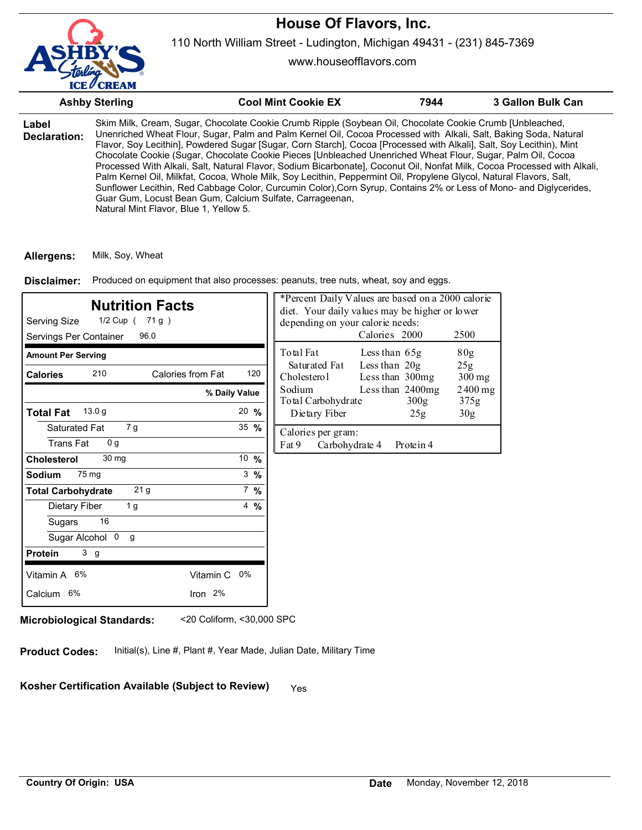

110 North William Street - Ludington, Michigan 49431 - (231) 845-7369

www.houseofflavors.com

|                       | <b>Ashby Sterling</b>                  | <b>Cool Mint Cookie EX</b>                                                                                                                                                                                                                                                                                                                                                                                                                                                                                                                                                                                                                                                                                                                                                                                                                                                                               | 7944 | 3 Gallon Bulk Can |
|-----------------------|----------------------------------------|----------------------------------------------------------------------------------------------------------------------------------------------------------------------------------------------------------------------------------------------------------------------------------------------------------------------------------------------------------------------------------------------------------------------------------------------------------------------------------------------------------------------------------------------------------------------------------------------------------------------------------------------------------------------------------------------------------------------------------------------------------------------------------------------------------------------------------------------------------------------------------------------------------|------|-------------------|
| Label<br>Declaration: | Natural Mint Flavor, Blue 1, Yellow 5. | Skim Milk, Cream, Sugar, Chocolate Cookie Crumb Ripple (Soybean Oil, Chocolate Cookie Crumb [Unbleached,<br>Unenriched Wheat Flour, Sugar, Palm and Palm Kernel Oil, Cocoa Processed with Alkali, Salt, Baking Soda, Natural<br>Flavor, Soy Lecithin], Powdered Sugar [Sugar, Corn Starch], Cocoa [Processed with Alkali], Salt, Soy Lecithin), Mint<br>Chocolate Cookie (Sugar, Chocolate Cookie Pieces [Unbleached Unenriched Wheat Flour, Sugar, Palm Oil, Cocoa<br>Processed With Alkali, Salt, Natural Flavor, Sodium Bicarbonate], Coconut Oil, Nonfat Milk, Cocoa Processed with Alkali,<br>Palm Kernel Oil, Milkfat, Cocoa, Whole Milk, Soy Lecithin, Peppermint Oil, Propylene Glycol, Natural Flavors, Salt,<br>Sunflower Lecithin, Red Cabbage Color, Curcumin Color), Corn Syrup, Contains 2% or Less of Mono- and Diglycerides,<br>Guar Gum, Locust Bean Gum, Calcium Sulfate, Carrageenan, |      |                   |

**Allergens:** Milk, Soy, Wheat

Produced on equipment that also processes: peanuts, tree nuts, wheat, soy and eggs. **Disclaimer:**

| <b>Nutrition Facts</b><br>Serving Size<br>1/2 Cup ( 71 g )<br>96.0<br>Servings Per Container |                  | depending on your calorie needs:              | *Percent Daily Values are based on a 2000 calorie<br>diet. Your daily values may be higher or lower<br>Calories 2000 | 2500              |
|----------------------------------------------------------------------------------------------|------------------|-----------------------------------------------|----------------------------------------------------------------------------------------------------------------------|-------------------|
| <b>Amount Per Serving</b>                                                                    |                  | Total Fat                                     | Less than $65g$                                                                                                      | 80 <sub>g</sub>   |
| 210<br>Calories from Fat<br><b>Calories</b>                                                  | 120              | Saturated Fat<br>Cholesterol                  | Less than 20g<br>Less than 300mg                                                                                     | 25g<br>$300$ mg   |
|                                                                                              | % Daily Value    | Sodium<br>Total Carbohydrate                  | Less than 2400mg<br>300g                                                                                             | $2400$ mg<br>375g |
| 13.0 <sub>g</sub><br><b>Total Fat</b>                                                        | $20 \frac{9}{6}$ | Dietary Fiber                                 | 25g                                                                                                                  | 30 <sub>g</sub>   |
| Saturated Fat<br>7 g<br><b>Trans Fat</b><br>0 <sub>q</sub>                                   | $35 \frac{9}{6}$ | Calories per gram:<br>Fat 9<br>Carbohydrate 4 | Protein 4                                                                                                            |                   |
| 30 mg<br><b>Cholesterol</b>                                                                  | 10 $%$           |                                               |                                                                                                                      |                   |
| 75 mg<br><b>Sodium</b>                                                                       | $3\%$            |                                               |                                                                                                                      |                   |
| 21 <sub>g</sub><br><b>Total Carbohydrate</b>                                                 | $7 \frac{9}{6}$  |                                               |                                                                                                                      |                   |
| Dietary Fiber<br>1 g                                                                         | $4\frac{9}{6}$   |                                               |                                                                                                                      |                   |
| 16<br>Sugars                                                                                 |                  |                                               |                                                                                                                      |                   |
| Sugar Alcohol 0<br>g                                                                         |                  |                                               |                                                                                                                      |                   |
| 3 <sub>g</sub><br><b>Protein</b>                                                             |                  |                                               |                                                                                                                      |                   |
| Vitamin A 6%<br>Vitamin C                                                                    | 0%               |                                               |                                                                                                                      |                   |
| Calcium 6%<br>Iron 2%                                                                        |                  |                                               |                                                                                                                      |                   |

**Microbiological Standards:** <20 Coliform, <30,000 SPC

**Product Codes:** Initial(s), Line #, Plant #, Year Made, Julian Date, Military Time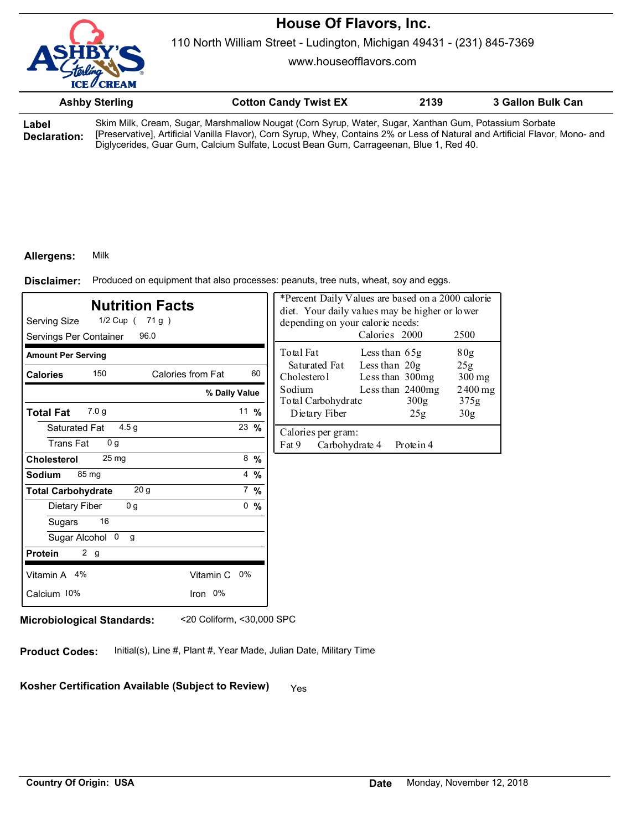

110 North William Street - Ludington, Michigan 49431 - (231) 845-7369

www.houseofflavors.com

|       | <b>Ashby Sterling</b> | <b>Cotton Candy Twist EX</b>                                                                          | 2139 | 3 Gallon Bulk Can |  |
|-------|-----------------------|-------------------------------------------------------------------------------------------------------|------|-------------------|--|
| Label |                       | Skim Milk, Cream, Sugar, Marshmallow Nougat (Corn Syrup, Water, Sugar, Xanthan Gum, Potassium Sorbate |      |                   |  |

**Declaration:** Skim Milk, Cream, Sugar, Marshmallow Nougat (Corn Syrup, Water, Sugar, Xanthan Gum, Potassium Sorbate [Preservative], Artificial Vanilla Flavor), Corn Syrup, Whey, Contains 2% or Less of Natural and Artificial Flavor, Mono- and Diglycerides, Guar Gum, Calcium Sulfate, Locust Bean Gum, Carrageenan, Blue 1, Red 40.

### **Allergens:** Milk

Produced on equipment that also processes: peanuts, tree nuts, wheat, soy and eggs. **Disclaimer:**

| <b>Nutrition Facts</b><br>1/2 Cup ( 71 g )<br>Serving Size<br>Servings Per Container<br>96.0 |                | *Percent Daily Values are based on a 2000 calorie<br>diet. Your daily values may be higher or lower<br>depending on your calorie needs:<br>Calories 2000<br>2500 |
|----------------------------------------------------------------------------------------------|----------------|------------------------------------------------------------------------------------------------------------------------------------------------------------------|
| <b>Amount Per Serving</b>                                                                    |                | Total Fat<br>Less than 65g<br>80 <sub>g</sub>                                                                                                                    |
| 150<br>Calories from Fat<br><b>Calories</b>                                                  | 60             | Less than $20g$<br>Saturated Fat<br>25g<br>Cholesterol<br>Less than 300mg<br>300 mg                                                                              |
|                                                                                              | % Daily Value  | Sodium<br>Less than 2400mg<br>$2400$ mg<br>Total Carbohydrate<br>300g<br>375g                                                                                    |
| 7.0 <sub>q</sub><br><b>Total Fat</b>                                                         | 11 $%$         | Dietary Fiber<br>30 <sub>g</sub><br>25g                                                                                                                          |
| 4.5 <sub>q</sub><br>Saturated Fat<br><b>Trans Fat</b><br>0 <sub>q</sub>                      | 23 $%$         | Calories per gram:<br>Fat 9<br>Carbohydrate 4<br>Protein 4                                                                                                       |
| 25 <sub>mg</sub><br><b>Cholesterol</b>                                                       | $8\frac{9}{6}$ |                                                                                                                                                                  |
| 85 mg<br>Sodium                                                                              | 4 $%$          |                                                                                                                                                                  |
| 20 <sub>g</sub><br><b>Total Carbohydrate</b>                                                 | $7\%$          |                                                                                                                                                                  |
| 0 <sub>g</sub><br>Dietary Fiber                                                              | 0, 9/6         |                                                                                                                                                                  |
| 16<br>Sugars                                                                                 |                |                                                                                                                                                                  |
| Sugar Alcohol 0<br>g                                                                         |                |                                                                                                                                                                  |
| 2 <sub>g</sub><br><b>Protein</b>                                                             |                |                                                                                                                                                                  |
| Vitamin A 4%<br>Vitamin C 0%                                                                 |                |                                                                                                                                                                  |
| Iron 0%<br>Calcium 10%                                                                       |                |                                                                                                                                                                  |
|                                                                                              |                |                                                                                                                                                                  |

**Microbiological Standards:** <20 Coliform, <30,000 SPC

**Product Codes:** Initial(s), Line #, Plant #, Year Made, Julian Date, Military Time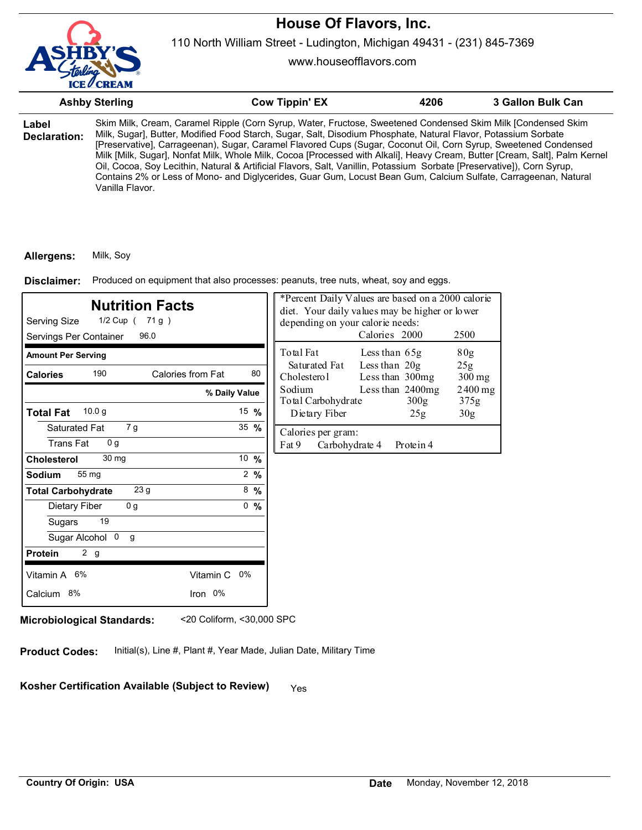

110 North William Street - Ludington, Michigan 49431 - (231) 845-7369

www.houseofflavors.com

|                       | <b>Ashby Sterling</b> | <b>Cow Tippin' EX</b>                                                                                                                                                                                                                                                                                                                                                                                                                                                                                                                                                                                                                                                                                                        | 4206 | 3 Gallon Bulk Can |
|-----------------------|-----------------------|------------------------------------------------------------------------------------------------------------------------------------------------------------------------------------------------------------------------------------------------------------------------------------------------------------------------------------------------------------------------------------------------------------------------------------------------------------------------------------------------------------------------------------------------------------------------------------------------------------------------------------------------------------------------------------------------------------------------------|------|-------------------|
| Label<br>Declaration: | Vanilla Flavor.       | Skim Milk, Cream, Caramel Ripple (Corn Syrup, Water, Fructose, Sweetened Condensed Skim Milk [Condensed Skim<br>Milk, Sugar], Butter, Modified Food Starch, Sugar, Salt, Disodium Phosphate, Natural Flavor, Potassium Sorbate<br>[Preservative], Carrageenan), Sugar, Caramel Flavored Cups (Sugar, Coconut Oil, Corn Syrup, Sweetened Condensed<br>Milk [Milk, Sugar], Nonfat Milk, Whole Milk, Cocoa [Processed with Alkali], Heavy Cream, Butter [Cream, Salt], Palm Kernel<br>Oil, Cocoa, Soy Lecithin, Natural & Artificial Flavors, Salt, Vanillin, Potassium Sorbate [Preservative]), Corn Syrup,<br>Contains 2% or Less of Mono- and Diglycerides, Guar Gum, Locust Bean Gum, Calcium Sulfate, Carrageenan, Natural |      |                   |

### **Allergens:** Milk, Soy

Produced on equipment that also processes: peanuts, tree nuts, wheat, soy and eggs. **Disclaimer:**

| <b>Nutrition Facts</b><br>Serving Size<br>1/2 Cup ( 71 g )<br>Servings Per Container<br>96.0 |                 | *Percent Daily Values are based on a 2000 calorie<br>diet. Your daily values may be higher or lower<br>depending on your calorie needs:<br>Calories 2000<br>2500 |
|----------------------------------------------------------------------------------------------|-----------------|------------------------------------------------------------------------------------------------------------------------------------------------------------------|
| <b>Amount Per Serving</b>                                                                    |                 | Total Fat<br>80g<br>Less than 65g                                                                                                                                |
| 190<br>Calories from Fat<br><b>Calories</b>                                                  | 80              | Less than $20g$<br>Saturated Fat<br>25g<br>Cholesterol<br>Less than 300mg<br>$300$ mg                                                                            |
|                                                                                              | % Daily Value   | Less than 2400mg<br>Sodium<br>$2400$ mg<br>Total Carbohydrate<br>300g<br>375g                                                                                    |
| 10.0 <sub>g</sub><br><b>Total Fat</b>                                                        | 15 $%$          | Dietary Fiber<br>30 <sub>g</sub><br>25g                                                                                                                          |
| 7 g<br>Saturated Fat<br><b>Trans Fat</b><br>0 <sub>q</sub>                                   | 35 $%$          | Calories per gram:<br>Fat 9<br>Carbohydrate 4<br>Protein 4                                                                                                       |
| 30 mg<br><b>Cholesterol</b>                                                                  | 10 %            |                                                                                                                                                                  |
| 55 mg<br><b>Sodium</b>                                                                       | $2 \frac{9}{6}$ |                                                                                                                                                                  |
| 23 g<br><b>Total Carbohydrate</b>                                                            | $8\frac{9}{6}$  |                                                                                                                                                                  |
| 0 <sub>g</sub><br>Dietary Fiber                                                              | 0, 9/6          |                                                                                                                                                                  |
| 19<br>Sugars                                                                                 |                 |                                                                                                                                                                  |
| Sugar Alcohol 0<br>g                                                                         |                 |                                                                                                                                                                  |
| 2 <sub>g</sub><br><b>Protein</b>                                                             |                 |                                                                                                                                                                  |
| Vitamin A 6%<br>Vitamin C 0%                                                                 |                 |                                                                                                                                                                  |
| Iron 0%<br>Calcium 8%                                                                        |                 |                                                                                                                                                                  |
|                                                                                              |                 |                                                                                                                                                                  |

**Microbiological Standards:** <20 Coliform, <30,000 SPC

**Product Codes:** Initial(s), Line #, Plant #, Year Made, Julian Date, Military Time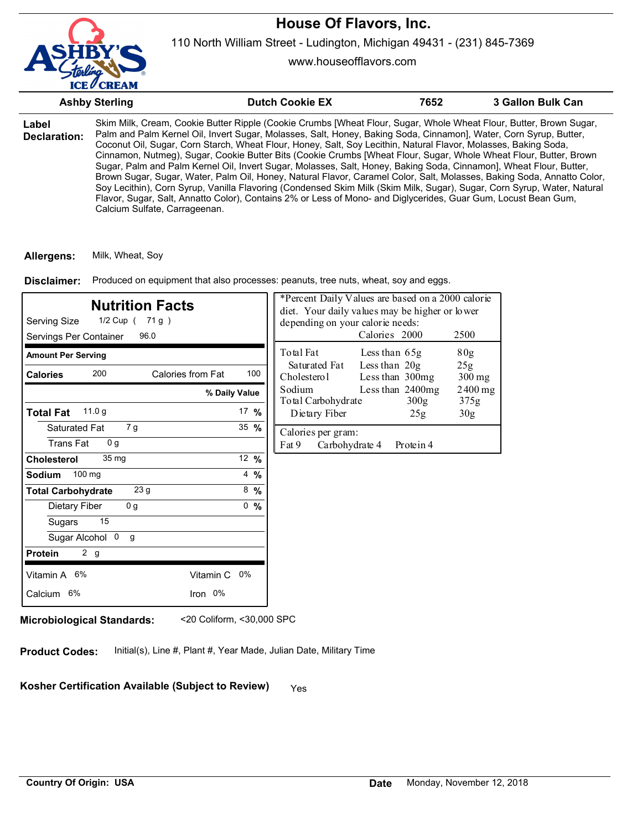

110 North William Street - Ludington, Michigan 49431 - (231) 845-7369

www.houseofflavors.com

|                       | <b>Ashby Sterling</b>         | <b>Dutch Cookie EX</b>                                                                                                                                                                                                                                                                                                                                                                                                                                                                                                                                                                                                                                                                                                                                                                                                                                                                                                                                                       | 7652 | 3 Gallon Bulk Can |
|-----------------------|-------------------------------|------------------------------------------------------------------------------------------------------------------------------------------------------------------------------------------------------------------------------------------------------------------------------------------------------------------------------------------------------------------------------------------------------------------------------------------------------------------------------------------------------------------------------------------------------------------------------------------------------------------------------------------------------------------------------------------------------------------------------------------------------------------------------------------------------------------------------------------------------------------------------------------------------------------------------------------------------------------------------|------|-------------------|
| Label<br>Declaration: | Calcium Sulfate, Carrageenan. | Skim Milk, Cream, Cookie Butter Ripple (Cookie Crumbs [Wheat Flour, Sugar, Whole Wheat Flour, Butter, Brown Sugar,<br>Palm and Palm Kernel Oil, Invert Sugar, Molasses, Salt, Honey, Baking Soda, Cinnamon], Water, Corn Syrup, Butter,<br>Coconut Oil, Sugar, Corn Starch, Wheat Flour, Honey, Salt, Soy Lecithin, Natural Flavor, Molasses, Baking Soda,<br>Cinnamon, Nutmeg), Sugar, Cookie Butter Bits (Cookie Crumbs [Wheat Flour, Sugar, Whole Wheat Flour, Butter, Brown<br>Sugar, Palm and Palm Kernel Oil, Invert Sugar, Molasses, Salt, Honey, Baking Soda, Cinnamon], Wheat Flour, Butter,<br>Brown Sugar, Sugar, Water, Palm Oil, Honey, Natural Flavor, Caramel Color, Salt, Molasses, Baking Soda, Annatto Color,<br>Soy Lecithin), Corn Syrup, Vanilla Flavoring (Condensed Skim Milk (Skim Milk, Sugar), Sugar, Corn Syrup, Water, Natural<br>Flavor, Sugar, Salt, Annatto Color), Contains 2% or Less of Mono- and Diglycerides, Guar Gum, Locust Bean Gum, |      |                   |

**Allergens:** Milk, Wheat, Soy

Produced on equipment that also processes: peanuts, tree nuts, wheat, soy and eggs. **Disclaimer:**

| <b>Nutrition Facts</b><br>1/2 Cup ( 71 g )<br>Serving Size<br>Servings Per Container<br>96.0 |                  | depending on your calorie needs:              | *Percent Daily Values are based on a 2000 calorie<br>diet. Your daily values may be higher or lower<br>Calories 2000 | 2500              |
|----------------------------------------------------------------------------------------------|------------------|-----------------------------------------------|----------------------------------------------------------------------------------------------------------------------|-------------------|
| <b>Amount Per Serving</b>                                                                    |                  | Total Fat                                     | Less than $65g$                                                                                                      | 80 <sub>g</sub>   |
| 200<br>Calories from Fat<br><b>Calories</b>                                                  | 100              | Saturated Fat<br>Cholesterol                  | Less than $20g$<br>Less than 300mg                                                                                   | 25g<br>$300$ mg   |
|                                                                                              | % Daily Value    | Sodium<br>Total Carbohydrate                  | Less than 2400mg<br>300 <sub>g</sub>                                                                                 | $2400$ mg<br>375g |
| 11.0 <sub>g</sub><br><b>Total Fat</b>                                                        | 17 $%$           | Dietary Fiber                                 | 25 <sub>g</sub>                                                                                                      | 30 <sub>g</sub>   |
| Saturated Fat<br>7 g<br><b>Trans Fat</b><br>0 <sub>q</sub>                                   | $35 \frac{9}{6}$ | Calories per gram:<br>Fat 9<br>Carbohydrate 4 | Protein 4                                                                                                            |                   |
| 35 <sub>mg</sub><br><b>Cholesterol</b>                                                       | 12 $%$           |                                               |                                                                                                                      |                   |
| 100 mg<br>Sodium                                                                             | $4\frac{9}{6}$   |                                               |                                                                                                                      |                   |
| 23 g<br><b>Total Carbohydrate</b>                                                            | $8\frac{9}{6}$   |                                               |                                                                                                                      |                   |
| 0 <sub>g</sub><br>Dietary Fiber                                                              | 0, 9/6           |                                               |                                                                                                                      |                   |
| 15<br>Sugars                                                                                 |                  |                                               |                                                                                                                      |                   |
| Sugar Alcohol 0<br>g                                                                         |                  |                                               |                                                                                                                      |                   |
| 2 g<br><b>Protein</b>                                                                        |                  |                                               |                                                                                                                      |                   |
| Vitamin A 6%<br>Vitamin C                                                                    | 0%               |                                               |                                                                                                                      |                   |
| Calcium 6%<br>Iron 0%                                                                        |                  |                                               |                                                                                                                      |                   |

**Microbiological Standards:** <20 Coliform, <30,000 SPC

**Product Codes:** Initial(s), Line #, Plant #, Year Made, Julian Date, Military Time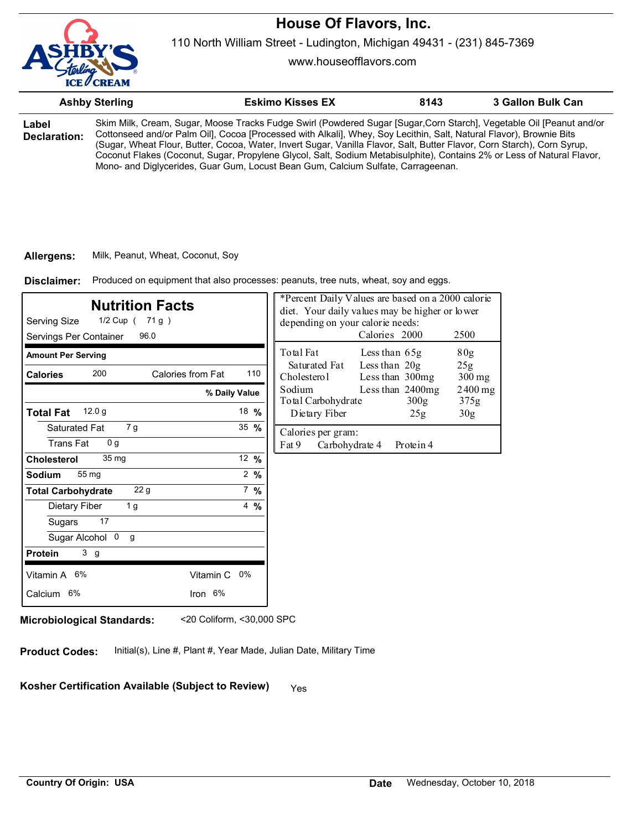

www.houseofflavors.com

|                       | <b>Ashby Sterling</b> | <b>Eskimo Kisses EX</b>                                                                                                                                                                                                                                                                                                                                                                                                                                                                                                                                                             | 8143 | 3 Gallon Bulk Can |
|-----------------------|-----------------------|-------------------------------------------------------------------------------------------------------------------------------------------------------------------------------------------------------------------------------------------------------------------------------------------------------------------------------------------------------------------------------------------------------------------------------------------------------------------------------------------------------------------------------------------------------------------------------------|------|-------------------|
| Label<br>Declaration: |                       | Skim Milk, Cream, Sugar, Moose Tracks Fudge Swirl (Powdered Sugar [Sugar,Corn Starch], Vegetable Oil [Peanut and/or<br>Cottonseed and/or Palm Oil], Cocoa [Processed with Alkali], Whey, Soy Lecithin, Salt, Natural Flavor), Brownie Bits<br>(Sugar, Wheat Flour, Butter, Cocoa, Water, Invert Sugar, Vanilla Flavor, Salt, Butter Flavor, Corn Starch), Corn Syrup,<br>Coconut Flakes (Coconut, Sugar, Propylene Glycol, Salt, Sodium Metabisulphite), Contains 2% or Less of Natural Flavor,<br>Mono- and Diglycerides, Guar Gum, Locust Bean Gum, Calcium Sulfate, Carrageenan. |      |                   |

#### **Allergens:** Milk, Peanut, Wheat, Coconut, Soy

Produced on equipment that also processes: peanuts, tree nuts, wheat, soy and eggs. **Disclaimer:**

| <b>Nutrition Facts</b><br>1/2 Cup ( 71 g )<br>Serving Size<br>Servings Per Container<br>96.0 |                 | *Percent Daily Values are based on a 2000 calorie<br>diet. Your daily values may be higher or lower<br>depending on your calorie needs:<br>Calories 2000<br>2500 |
|----------------------------------------------------------------------------------------------|-----------------|------------------------------------------------------------------------------------------------------------------------------------------------------------------|
| <b>Amount Per Serving</b>                                                                    |                 | Total Fat<br>80g<br>Less than 65g                                                                                                                                |
| 200<br>Calories from Fat<br><b>Calories</b>                                                  | 110             | Less than $20g$<br>Saturated Fat<br>25g<br>Cholesterol<br>Less than 300mg<br>$300$ mg                                                                            |
|                                                                                              | % Daily Value   | Sodium<br>Less than 2400mg<br>$2400$ mg<br>Total Carbohydrate<br>300g<br>375g                                                                                    |
| 12.0 <sub>g</sub><br><b>Total Fat</b>                                                        | 18 %            | Dietary Fiber<br>30 <sub>g</sub><br>25g                                                                                                                          |
| 7g<br>Saturated Fat<br><b>Trans Fat</b><br>0 <sub>q</sub>                                    | 35 $%$          | Calories per gram:<br>Fat 9<br>Carbohydrate 4<br>Protein 4                                                                                                       |
| 35 <sub>mg</sub><br><b>Cholesterol</b>                                                       | 12 $%$          |                                                                                                                                                                  |
| 55 mg<br><b>Sodium</b>                                                                       | $2 \frac{9}{6}$ |                                                                                                                                                                  |
| 22g<br><b>Total Carbohydrate</b>                                                             | $7 \frac{9}{6}$ |                                                                                                                                                                  |
| Dietary Fiber<br>1 g                                                                         | $4\frac{9}{6}$  |                                                                                                                                                                  |
| 17<br>Sugars                                                                                 |                 |                                                                                                                                                                  |
| Sugar Alcohol 0<br>g                                                                         |                 |                                                                                                                                                                  |
| 3 <sub>g</sub><br><b>Protein</b>                                                             |                 |                                                                                                                                                                  |
| Vitamin A 6%<br>Vitamin C 0%                                                                 |                 |                                                                                                                                                                  |
| Iron 6%<br>Calcium 6%                                                                        |                 |                                                                                                                                                                  |
|                                                                                              |                 |                                                                                                                                                                  |

**Microbiological Standards:** <20 Coliform, <30,000 SPC

**Product Codes:** Initial(s), Line #, Plant #, Year Made, Julian Date, Military Time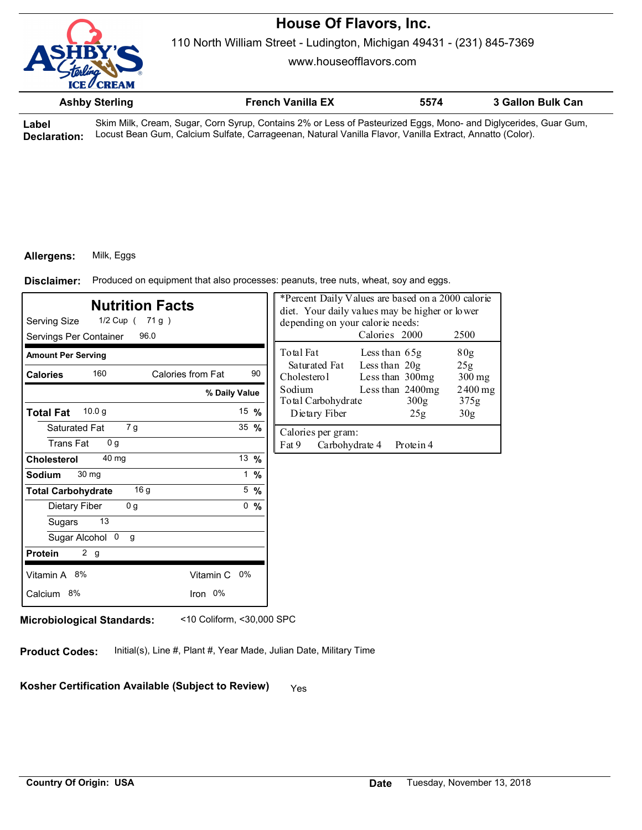

110 North William Street - Ludington, Michigan 49431 - (231) 845-7369

www.houseofflavors.com

|  | <b>Ashby Sterling</b> |                             |  |        |  | <b>French Vanilla EX</b>    |  |  |   | 5574 |  | 3 Gallon Bulk Can |  |
|--|-----------------------|-----------------------------|--|--------|--|-----------------------------|--|--|---|------|--|-------------------|--|
|  |                       | $\sim$ $\sim$ $\sim$ $\sim$ |  | $\sim$ |  | $\sim$ $\sim$ $\sim$ $\sim$ |  |  | . |      |  |                   |  |

**Label Declaration:** Skim Milk, Cream, Sugar, Corn Syrup, Contains 2% or Less of Pasteurized Eggs, Mono- and Diglycerides, Guar Gum, Locust Bean Gum, Calcium Sulfate, Carrageenan, Natural Vanilla Flavor, Vanilla Extract, Annatto (Color).

#### **Allergens:** Milk, Eggs

Produced on equipment that also processes: peanuts, tree nuts, wheat, soy and eggs. **Disclaimer:**

| <b>Nutrition Facts</b><br>Serving Size<br>1/2 Cup ( 71 g )<br>Servings Per Container<br>96.0 |                         | *Percent Daily Values are based on a 2000 calorie<br>diet. Your daily values may be higher or lower<br>depending on your calorie needs:<br>Calories 2000<br>2500 |
|----------------------------------------------------------------------------------------------|-------------------------|------------------------------------------------------------------------------------------------------------------------------------------------------------------|
| <b>Amount Per Serving</b>                                                                    |                         | Total Fat<br>80g<br>Less than $65g$                                                                                                                              |
| 160<br><b>Calories</b>                                                                       | Calories from Fat<br>90 | Less than $20g$<br>Saturated Fat<br>25g<br>Cholesterol<br>Less than 300mg<br>$300$ mg                                                                            |
|                                                                                              | % Daily Value           | Less than 2400mg<br>Sodium<br>2400 mg<br>Total Carbohydrate<br>300g<br>375g                                                                                      |
| 10.0 <sub>g</sub><br><b>Total Fat</b>                                                        | 15 $%$                  | Dietary Fiber<br>25g<br>30 <sub>g</sub>                                                                                                                          |
| Saturated Fat<br>7 g<br><b>Trans Fat</b><br>0 <sub>q</sub>                                   | $35 \frac{9}{6}$        | Calories per gram:<br>Fat 9<br>Carbohydrate 4<br>Protein 4                                                                                                       |
| 40 mg<br><b>Cholesterol</b>                                                                  | 13 $%$                  |                                                                                                                                                                  |
| 30 mg<br><b>Sodium</b>                                                                       | 1 $%$                   |                                                                                                                                                                  |
| 16 <sub>g</sub><br><b>Total Carbohydrate</b>                                                 | $5 \frac{9}{6}$         |                                                                                                                                                                  |
| Dietary Fiber<br>0 <sub>g</sub>                                                              | 0, 9/6                  |                                                                                                                                                                  |
| 13<br>Sugars                                                                                 |                         |                                                                                                                                                                  |
| Sugar Alcohol 0<br>g                                                                         |                         |                                                                                                                                                                  |
| 2 g<br><b>Protein</b>                                                                        |                         |                                                                                                                                                                  |
| Vitamin A 8%                                                                                 | Vitamin C<br>0%         |                                                                                                                                                                  |
| Calcium 8%                                                                                   | Iron 0%                 |                                                                                                                                                                  |

**Microbiological Standards:** <10 Coliform, <30,000 SPC

**Product Codes:** Initial(s), Line #, Plant #, Year Made, Julian Date, Military Time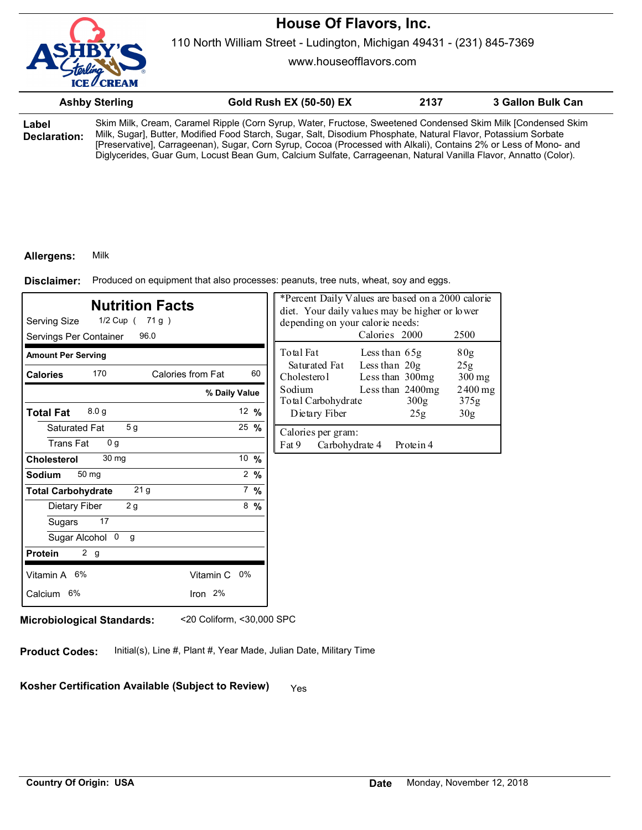

www.houseofflavors.com

|        | <b>Ashby Sterling</b> | <b>Gold Rush EX (50-50) EX</b>                                                                               | 2137 | 3 Gallon Bulk Can |
|--------|-----------------------|--------------------------------------------------------------------------------------------------------------|------|-------------------|
| l ahel |                       | Skim Milk, Cream, Caramel Ripple (Corn Syrup, Water, Fructose, Sweetened Condensed Skim Milk [Condensed Skim |      |                   |

**Label Declaration:** Skim Milk, Cream, Caramel Ripple (Corn Syrup, Water, Fructose, Sweetened Condensed Skim Milk [Condensed Skim Milk, Sugar], Butter, Modified Food Starch, Sugar, Salt, Disodium Phosphate, Natural Flavor, Potassium Sorbate [Preservative], Carrageenan), Sugar, Corn Syrup, Cocoa (Processed with Alkali), Contains 2% or Less of Mono- and Diglycerides, Guar Gum, Locust Bean Gum, Calcium Sulfate, Carrageenan, Natural Vanilla Flavor, Annatto (Color).

#### **Allergens:** Milk

Produced on equipment that also processes: peanuts, tree nuts, wheat, soy and eggs. **Disclaimer:**

| *Percent Daily Values are based on a 2000 calorie<br><b>Nutrition Facts</b><br>diet. Your daily values may be higher or lower<br>1/2 Cup ( 71 g )<br>Serving Size<br>depending on your calorie needs:<br>Calories 2000<br>Servings Per Container<br>96.0 |                  |                                                                      | 2500              |  |
|----------------------------------------------------------------------------------------------------------------------------------------------------------------------------------------------------------------------------------------------------------|------------------|----------------------------------------------------------------------|-------------------|--|
| <b>Amount Per Serving</b>                                                                                                                                                                                                                                |                  | Total Fat<br>Less than $65g$                                         | 80g               |  |
| 170<br>Calories from Fat<br><b>Calories</b>                                                                                                                                                                                                              | 60               | Less than $20g$<br>Saturated Fat<br>Cholesterol<br>Less than 300mg   | 25g<br>$300$ mg   |  |
|                                                                                                                                                                                                                                                          | % Daily Value    | Sodium<br>Less than 2400mg<br>Total Carbohydrate<br>300 <sub>g</sub> | $2400$ mg<br>375g |  |
| 8.0 <sub>g</sub><br><b>Total Fat</b>                                                                                                                                                                                                                     | 12 $%$           | Dietary Fiber<br>25g                                                 | 30 <sub>g</sub>   |  |
| 5 <sub>g</sub><br>Saturated Fat<br><b>Trans Fat</b><br>0 <sub>q</sub>                                                                                                                                                                                    | $25 \frac{9}{6}$ | Calories per gram:<br>Fat 9<br>Carbohydrate 4<br>Protein 4           |                   |  |
| 30 mg<br><b>Cholesterol</b>                                                                                                                                                                                                                              | 10 $%$           |                                                                      |                   |  |
| 50 mg<br>Sodium                                                                                                                                                                                                                                          | $2 \frac{9}{6}$  |                                                                      |                   |  |
| 21 <sub>g</sub><br><b>Total Carbohydrate</b>                                                                                                                                                                                                             | $7\%$            |                                                                      |                   |  |
| 2g<br>Dietary Fiber                                                                                                                                                                                                                                      | $8\frac{9}{6}$   |                                                                      |                   |  |
| 17<br>Sugars                                                                                                                                                                                                                                             |                  |                                                                      |                   |  |
| Sugar Alcohol 0<br>g                                                                                                                                                                                                                                     |                  |                                                                      |                   |  |
| 2 g<br><b>Protein</b>                                                                                                                                                                                                                                    |                  |                                                                      |                   |  |
| Vitamin A 6%<br>Vitamin C 0%                                                                                                                                                                                                                             |                  |                                                                      |                   |  |
| Calcium 6%<br>Iron 2%                                                                                                                                                                                                                                    |                  |                                                                      |                   |  |

**Microbiological Standards:** <20 Coliform, <30,000 SPC

**Product Codes:** Initial(s), Line #, Plant #, Year Made, Julian Date, Military Time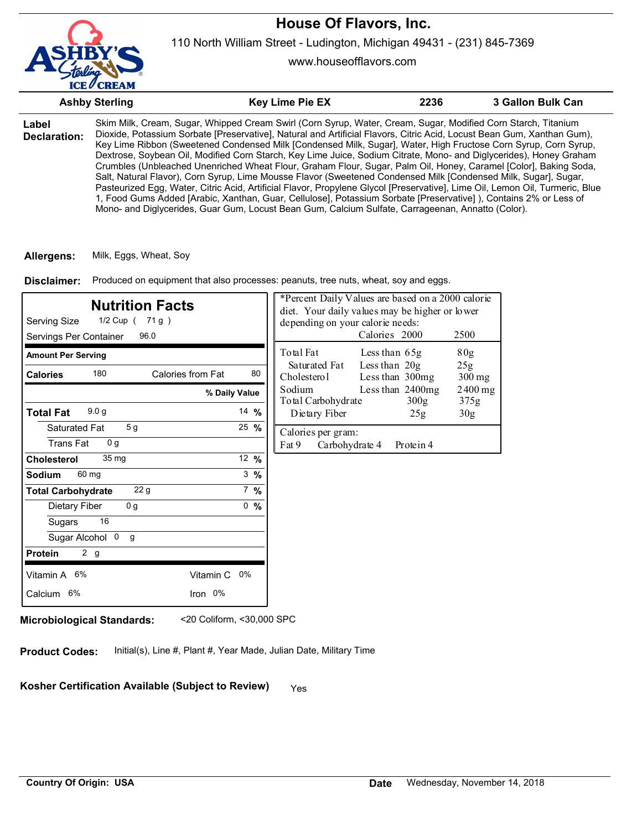

110 North William Street - Ludington, Michigan 49431 - (231) 845-7369

www.houseofflavors.com

|                              | <b>Ashby Sterling</b> | <b>Key Lime Pie EX</b>                                                                                                                                                                                                                                                                                                                                                                                                                                                                                                                                                                                                                                                                                                                                                                                                                                                                                                                                                                                                                                                           | 2236 | 3 Gallon Bulk Can |
|------------------------------|-----------------------|----------------------------------------------------------------------------------------------------------------------------------------------------------------------------------------------------------------------------------------------------------------------------------------------------------------------------------------------------------------------------------------------------------------------------------------------------------------------------------------------------------------------------------------------------------------------------------------------------------------------------------------------------------------------------------------------------------------------------------------------------------------------------------------------------------------------------------------------------------------------------------------------------------------------------------------------------------------------------------------------------------------------------------------------------------------------------------|------|-------------------|
| Label<br><b>Declaration:</b> |                       | Skim Milk, Cream, Sugar, Whipped Cream Swirl (Corn Syrup, Water, Cream, Sugar, Modified Corn Starch, Titanium<br>Dioxide, Potassium Sorbate [Preservative], Natural and Artificial Flavors, Citric Acid, Locust Bean Gum, Xanthan Gum),<br>Key Lime Ribbon (Sweetened Condensed Milk [Condensed Milk, Sugar], Water, High Fructose Corn Syrup, Corn Syrup,<br>Dextrose, Soybean Oil, Modified Corn Starch, Key Lime Juice, Sodium Citrate, Mono- and Diglycerides), Honey Graham<br>Crumbles (Unbleached Unenriched Wheat Flour, Graham Flour, Sugar, Palm Oil, Honey, Caramel [Color], Baking Soda,<br>Salt, Natural Flavor), Corn Syrup, Lime Mousse Flavor (Sweetened Condensed Milk [Condensed Milk, Sugar], Sugar,<br>Pasteurized Egg, Water, Citric Acid, Artificial Flavor, Propylene Glycol [Preservative], Lime Oil, Lemon Oil, Turmeric, Blue<br>1, Food Gums Added [Arabic, Xanthan, Guar, Cellulose], Potassium Sorbate [Preservative]), Contains 2% or Less of<br>Mono- and Diglycerides, Guar Gum, Locust Bean Gum, Calcium Sulfate, Carrageenan, Annatto (Color). |      |                   |

**Allergens:** Milk, Eggs, Wheat, Soy

Produced on equipment that also processes: peanuts, tree nuts, wheat, soy and eggs. **Disclaimer:**

| <b>Nutrition Facts</b><br>Serving Size<br>1/2 Cup ( 71 g )<br>Servings Per Container<br>96.0 |                   |                 | *Percent Daily Values are based on a 2000 calorie<br>diet. Your daily values may be higher or lower<br>depending on your calorie needs:<br>Calories 2000 |                                  |                                      | 2500                               |
|----------------------------------------------------------------------------------------------|-------------------|-----------------|----------------------------------------------------------------------------------------------------------------------------------------------------------|----------------------------------|--------------------------------------|------------------------------------|
| <b>Amount Per Serving</b>                                                                    |                   |                 | Total Fat<br>Saturated Fat                                                                                                                               | Less than 65g<br>Less than $20g$ |                                      | 80 <sub>g</sub><br>25 <sub>g</sub> |
| 180<br><b>Calories</b>                                                                       | Calories from Fat | 80              | Cholesterol                                                                                                                                              | Less than 300mg                  |                                      | $300$ mg                           |
|                                                                                              | % Daily Value     |                 | Sodium<br>Total Carbohydrate                                                                                                                             |                                  | Less than 2400mg<br>300 <sub>g</sub> | $2400$ mg<br>375g                  |
| 9.0 <sub>g</sub><br><b>Total Fat</b>                                                         |                   | 14 $%$          | Dietary Fiber                                                                                                                                            |                                  | 25g                                  | 30 <sub>g</sub>                    |
| 5 <sub>q</sub><br>Saturated Fat                                                              |                   | 25 $%$          | Calories per gram:                                                                                                                                       |                                  |                                      |                                    |
| 0 <sub>q</sub><br>Trans Fat                                                                  |                   |                 | Fat 9<br>Carbohydrate 4                                                                                                                                  |                                  | Protein 4                            |                                    |
| 35 <sub>mg</sub><br><b>Cholesterol</b>                                                       |                   | 12 %            |                                                                                                                                                          |                                  |                                      |                                    |
| 60 mg<br>Sodium                                                                              |                   | $3 \frac{9}{6}$ |                                                                                                                                                          |                                  |                                      |                                    |
| 22 <sub>g</sub><br><b>Total Carbohydrate</b>                                                 |                   | $7 \frac{9}{6}$ |                                                                                                                                                          |                                  |                                      |                                    |
| 0 g<br>Dietary Fiber                                                                         |                   | 0, 9/6          |                                                                                                                                                          |                                  |                                      |                                    |
| 16<br>Sugars                                                                                 |                   |                 |                                                                                                                                                          |                                  |                                      |                                    |
| Sugar Alcohol 0<br>g                                                                         |                   |                 |                                                                                                                                                          |                                  |                                      |                                    |
| 2 g<br><b>Protein</b>                                                                        |                   |                 |                                                                                                                                                          |                                  |                                      |                                    |
| Vitamin A 6%                                                                                 | Vitamin C<br>0%   |                 |                                                                                                                                                          |                                  |                                      |                                    |
| Calcium 6%                                                                                   | Iron 0%           |                 |                                                                                                                                                          |                                  |                                      |                                    |

**Microbiological Standards:** <20 Coliform, <30,000 SPC

**Product Codes:** Initial(s), Line #, Plant #, Year Made, Julian Date, Military Time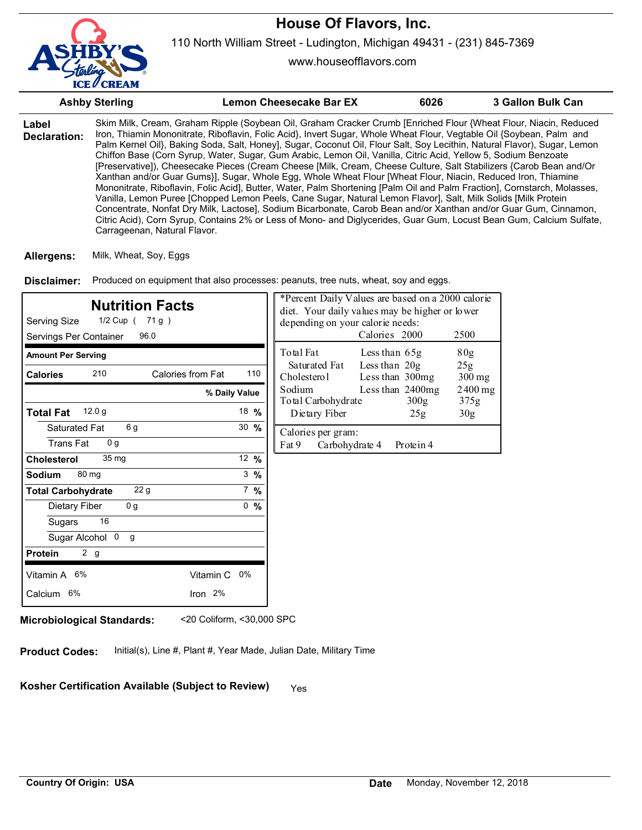

www.houseofflavors.com

|                       | <b>Ashby Sterling</b>        | <b>Lemon Cheesecake Bar EX</b>                                                                                                                                                                                                                                                                                                                                                                                                                                                                                                                                                                                                                                                                                                                                                                                                                                                                                                                                                                                                                                                                                                                                                                                        | 6026 | <b>3 Gallon Bulk Can</b> |
|-----------------------|------------------------------|-----------------------------------------------------------------------------------------------------------------------------------------------------------------------------------------------------------------------------------------------------------------------------------------------------------------------------------------------------------------------------------------------------------------------------------------------------------------------------------------------------------------------------------------------------------------------------------------------------------------------------------------------------------------------------------------------------------------------------------------------------------------------------------------------------------------------------------------------------------------------------------------------------------------------------------------------------------------------------------------------------------------------------------------------------------------------------------------------------------------------------------------------------------------------------------------------------------------------|------|--------------------------|
| Label<br>Declaration: | Carrageenan, Natural Flavor. | Skim Milk, Cream, Graham Ripple (Soybean Oil, Graham Cracker Crumb [Enriched Flour {Wheat Flour, Niacin, Reduced<br>Iron, Thiamin Mononitrate, Riboflavin, Folic Acid}, Invert Sugar, Whole Wheat Flour, Vegtable Oil {Soybean, Palm and<br>Palm Kernel Oil}, Baking Soda, Salt, Honey], Sugar, Coconut Oil, Flour Salt, Soy Lecithin, Natural Flavor), Sugar, Lemon<br>Chiffon Base (Corn Syrup, Water, Sugar, Gum Arabic, Lemon Oil, Vanilla, Citric Acid, Yellow 5, Sodium Benzoate<br>[Preservative]), Cheesecake Pieces (Cream Cheese [Milk, Cream, Cheese Culture, Salt Stabilizers {Carob Bean and/Or<br>Xanthan and/or Guar Gums}], Sugar, Whole Egg, Whole Wheat Flour [Wheat Flour, Niacin, Reduced Iron, Thiamine<br>Mononitrate, Riboflavin, Folic Acid], Butter, Water, Palm Shortening [Palm Oil and Palm Fraction], Cornstarch, Molasses,<br>Vanilla, Lemon Puree [Chopped Lemon Peels, Cane Sugar, Natural Lemon Flavor], Salt, Milk Solids [Milk Protein<br>Concentrate, Nonfat Dry Milk, Lactose], Sodium Bicarbonate, Carob Bean and/or Xanthan and/or Guar Gum, Cinnamon,<br>Citric Acid), Corn Syrup, Contains 2% or Less of Mono- and Diglycerides, Guar Gum, Locust Bean Gum, Calcium Sulfate, |      |                          |

**Allergens:** Milk, Wheat, Soy, Eggs

Produced on equipment that also processes: peanuts, tree nuts, wheat, soy and eggs. **Disclaimer:**

| <b>Nutrition Facts</b><br>Serving Size<br>1/2 Cup ( 71 g )<br>Servings Per Container<br>96.0 |                  | *Percent Daily Values are based on a 2000 calorie<br>diet. Your daily values may be higher or lower<br>depending on your calorie needs:<br>Calories 2000<br>2500 |  |  |
|----------------------------------------------------------------------------------------------|------------------|------------------------------------------------------------------------------------------------------------------------------------------------------------------|--|--|
| <b>Amount Per Serving</b>                                                                    |                  | Total Fat<br>80g<br>Less than $65g$                                                                                                                              |  |  |
| 210<br>Calories from Fat<br><b>Calories</b>                                                  | 110              | Less than $20g$<br>Saturated Fat<br>25g<br>Cholesterol<br>Less than 300mg<br>300 mg                                                                              |  |  |
| % Daily Value                                                                                |                  | Sodium<br>Less than $2400mg$<br>$2400$ mg<br>Total Carbohydrate<br>300 <sub>g</sub><br>375g                                                                      |  |  |
| 12.0 g<br><b>Total Fat</b>                                                                   | 18 $%$           | Dietary Fiber<br>30 <sub>g</sub><br>25g                                                                                                                          |  |  |
| 6 g<br>Saturated Fat<br>0 <sub>q</sub><br><b>Trans Fat</b>                                   | $30 \frac{9}{6}$ | Calories per gram:<br>Fat 9<br>Carbohydrate 4<br>Protein 4                                                                                                       |  |  |
| 35 <sub>mg</sub><br><b>Cholesterol</b>                                                       | 12 $%$           |                                                                                                                                                                  |  |  |
| 80 mg<br><b>Sodium</b>                                                                       | $3\frac{9}{6}$   |                                                                                                                                                                  |  |  |
| 22 <sub>g</sub><br><b>Total Carbohydrate</b>                                                 | $7\%$            |                                                                                                                                                                  |  |  |
| 0 <sub>g</sub><br>Dietary Fiber                                                              | 0, 9/6           |                                                                                                                                                                  |  |  |
| 16<br>Sugars                                                                                 |                  |                                                                                                                                                                  |  |  |
| Sugar Alcohol 0<br>g                                                                         |                  |                                                                                                                                                                  |  |  |
| 2 g<br><b>Protein</b>                                                                        |                  |                                                                                                                                                                  |  |  |
| Vitamin A 6%<br>Vitamin C                                                                    | $0\%$            |                                                                                                                                                                  |  |  |
| Calcium 6%<br>Iron $2%$                                                                      |                  |                                                                                                                                                                  |  |  |

**Microbiological Standards:** <20 Coliform, <30,000 SPC

**Product Codes:** Initial(s), Line #, Plant #, Year Made, Julian Date, Military Time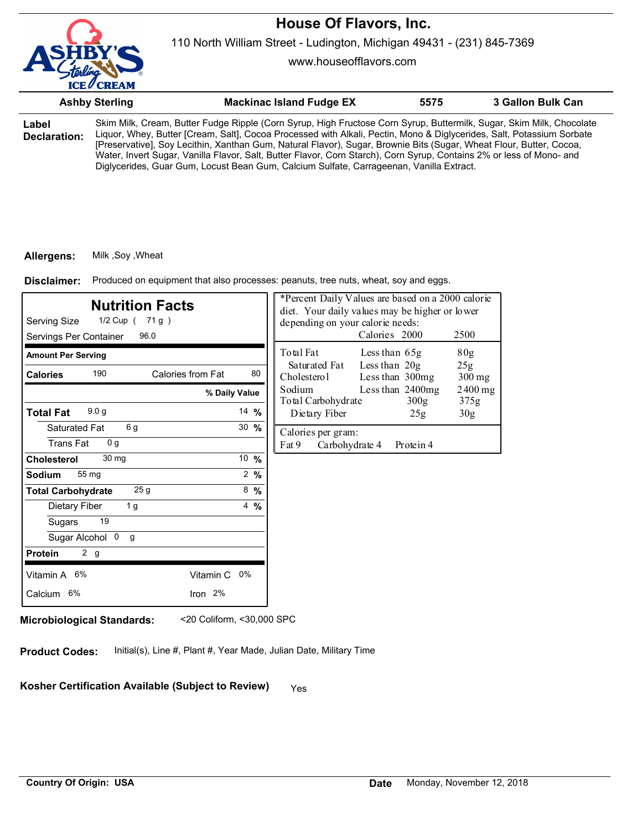

110 North William Street - Ludington, Michigan 49431 - (231) 845-7369

www.houseofflavors.com

|                       | <b>Ashby Sterling</b> | <b>Mackinac Island Fudge EX</b>                                                                                                                                                                                                                                                                                                                                      | 5575 | 3 Gallon Bulk Can |
|-----------------------|-----------------------|----------------------------------------------------------------------------------------------------------------------------------------------------------------------------------------------------------------------------------------------------------------------------------------------------------------------------------------------------------------------|------|-------------------|
| Label<br>Declaration: |                       | Skim Milk, Cream, Butter Fudge Ripple (Corn Syrup, High Fructose Corn Syrup, Buttermilk, Sugar, Skim Milk, Chocolate<br>Liquor, Whey, Butter [Cream, Salt], Cocoa Processed with Alkali, Pectin, Mono & Diglycerides, Salt, Potassium Sorbate<br>[Preservative], Sov Lecithin, Xanthan Gum, Natural Flavor), Sugar, Brownie Bits (Sugar, Wheat Flour, Butter, Cocoa, |      |                   |

[Preservative], Soy Lecithin, Xanthan Gum, Natural Flavor), Sugar, Brownie Bits (Sugar, Wheat Flour, Butter, Cocoa, Water, Invert Sugar, Vanilla Flavor, Salt, Butter Flavor, Corn Starch), Corn Syrup, Contains 2% or less of Mono- and Diglycerides, Guar Gum, Locust Bean Gum, Calcium Sulfate, Carrageenan, Vanilla Extract.

### **Allergens:** Milk ,Soy ,Wheat

Produced on equipment that also processes: peanuts, tree nuts, wheat, soy and eggs. **Disclaimer:**

| <b>Nutrition Facts</b><br>Serving Size<br>1/2 Cup ( 71 g )<br>Servings Per Container<br>96.0 |                  | *Percent Daily Values are based on a 2000 calorie<br>diet. Your daily values may be higher or lower<br>depending on your calorie needs:<br>Calories 2000<br>2500 |
|----------------------------------------------------------------------------------------------|------------------|------------------------------------------------------------------------------------------------------------------------------------------------------------------|
| <b>Amount Per Serving</b>                                                                    |                  | Total Fat<br>Less than $65g$<br>80g                                                                                                                              |
| 190<br>Calories from Fat<br><b>Calories</b>                                                  | 80               | Less than $20g$<br>Saturated Fat<br>25g<br>Cholesterol<br>Less than 300mg<br>$300$ mg                                                                            |
|                                                                                              | % Daily Value    | Sodium<br>Less than $2400mg$<br>$2400$ mg<br>Total Carbohydrate<br>300 <sub>g</sub><br>375g                                                                      |
| 9.0 <sub>g</sub><br><b>Total Fat</b>                                                         | 14 $%$           | Dietary Fiber<br>30 <sub>g</sub><br>25g                                                                                                                          |
| 6g<br>Saturated Fat<br><b>Trans Fat</b><br>0 <sub>q</sub>                                    | $30 \frac{9}{6}$ | Calories per gram:<br>Fat 9<br>Carbohydrate 4<br>Protein 4                                                                                                       |
| 30 <sub>mg</sub><br><b>Cholesterol</b>                                                       | 10 $%$           |                                                                                                                                                                  |
| 55 mg<br><b>Sodium</b>                                                                       | $2 \frac{9}{6}$  |                                                                                                                                                                  |
| 25g<br><b>Total Carbohydrate</b>                                                             | $8\frac{9}{6}$   |                                                                                                                                                                  |
| 1 <sub>g</sub><br>Dietary Fiber                                                              | $4\frac{9}{6}$   |                                                                                                                                                                  |
| 19<br>Sugars                                                                                 |                  |                                                                                                                                                                  |
| Sugar Alcohol 0<br>g                                                                         |                  |                                                                                                                                                                  |
| 2 g<br><b>Protein</b>                                                                        |                  |                                                                                                                                                                  |
| Vitamin A 6%<br>Vitamin C 0%                                                                 |                  |                                                                                                                                                                  |
| Iron 2%<br>Calcium 6%                                                                        |                  |                                                                                                                                                                  |

**Microbiological Standards:** <20 Coliform, <30,000 SPC

**Product Codes:** Initial(s), Line #, Plant #, Year Made, Julian Date, Military Time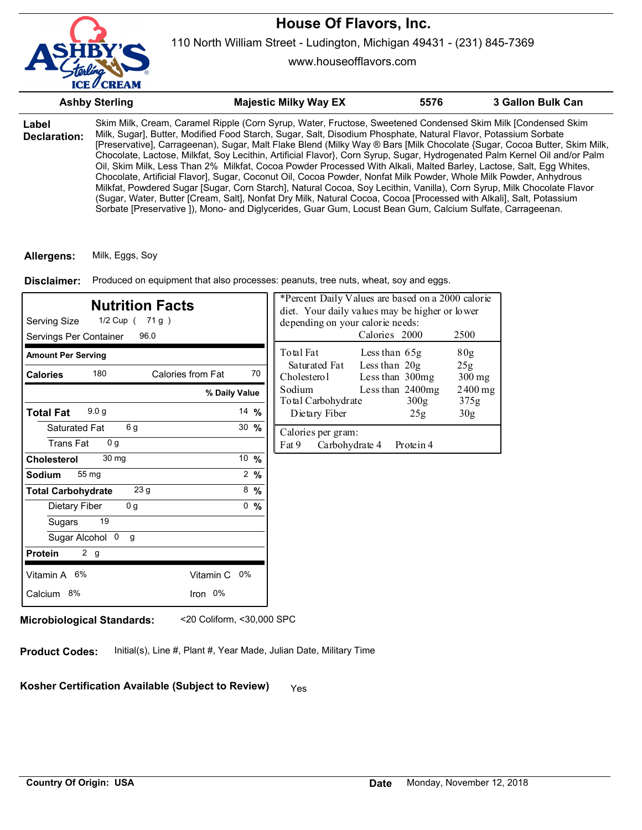

www.houseofflavors.com

|                       | <b>Ashby Sterling</b> | <b>Majestic Milky Way EX</b>                                                                                                                                                                                                                                                                                                                                                                                                                                                                                                                                                                                                                                                                                                                                                                                                                                                                                                                                                                                                                                                                        | 5576 | 3 Gallon Bulk Can |
|-----------------------|-----------------------|-----------------------------------------------------------------------------------------------------------------------------------------------------------------------------------------------------------------------------------------------------------------------------------------------------------------------------------------------------------------------------------------------------------------------------------------------------------------------------------------------------------------------------------------------------------------------------------------------------------------------------------------------------------------------------------------------------------------------------------------------------------------------------------------------------------------------------------------------------------------------------------------------------------------------------------------------------------------------------------------------------------------------------------------------------------------------------------------------------|------|-------------------|
| Label<br>Declaration: |                       | Skim Milk, Cream, Caramel Ripple (Corn Syrup, Water, Fructose, Sweetened Condensed Skim Milk [Condensed Skim<br>Milk, Sugar], Butter, Modified Food Starch, Sugar, Salt, Disodium Phosphate, Natural Flavor, Potassium Sorbate<br>(Preservative), Carrageenan), Sugar, Malt Flake Blend (Milky Way ® Bars [Milk Chocolate {Sugar, Cocoa Butter, Skim Milk,<br>Chocolate, Lactose, Milkfat, Soy Lecithin, Artificial Flavor}, Corn Syrup, Sugar, Hydrogenated Palm Kernel Oil and/or Palm<br>Oil, Skim Milk, Less Than 2% Milkfat, Cocoa Powder Processed With Alkali, Malted Barley, Lactose, Salt, Egg Whites,<br>Chocolate, Artificial Flavor], Sugar, Coconut Oil, Cocoa Powder, Nonfat Milk Powder, Whole Milk Powder, Anhydrous<br>Milkfat, Powdered Sugar [Sugar, Corn Starch], Natural Cocoa, Soy Lecithin, Vanilla), Corn Syrup, Milk Chocolate Flavor<br>(Sugar, Water, Butter [Cream, Salt], Nonfat Dry Milk, Natural Cocoa, Cocoa [Processed with Alkali], Salt, Potassium<br>Sorbate [Preservative ]), Mono- and Diglycerides, Guar Gum, Locust Bean Gum, Calcium Sulfate, Carrageenan. |      |                   |

**Allergens:** Milk, Eggs, Soy

Produced on equipment that also processes: peanuts, tree nuts, wheat, soy and eggs. **Disclaimer:**

| <b>Nutrition Facts</b><br>Serving Size<br>1/2 Cup ( 71 g )<br>96.0<br>Servings Per Container |                   |                 | *Percent Daily Values are based on a 2000 calorie<br>diet. Your daily values may be higher or lower<br>depending on your calorie needs:<br>Calories 2000<br>2500 |                                  |                            |                   |
|----------------------------------------------------------------------------------------------|-------------------|-----------------|------------------------------------------------------------------------------------------------------------------------------------------------------------------|----------------------------------|----------------------------|-------------------|
| <b>Amount Per Serving</b>                                                                    |                   |                 | Total Fat                                                                                                                                                        | Less than 65g                    |                            | 80g               |
| 180<br><b>Calories</b>                                                                       | Calories from Fat | 70              | Saturated Fat<br>Cholesterol                                                                                                                                     | Less than 20g<br>Less than 300mg |                            | 25g<br>300 mg     |
|                                                                                              | % Daily Value     |                 | Sodium<br>Total Carbohydrate                                                                                                                                     |                                  | Less than $2400mg$<br>300g | $2400$ mg<br>375g |
| 9.0 <sub>g</sub><br><b>Total Fat</b>                                                         |                   | 14 $%$          | Dietary Fiber                                                                                                                                                    |                                  | 25g                        | 30 <sub>g</sub>   |
| 6 g<br>Saturated Fat                                                                         |                   | 30 $%$          | Calories per gram:                                                                                                                                               |                                  |                            |                   |
| 0 <sub>q</sub><br><b>Trans Fat</b>                                                           |                   |                 | Fat 9<br>Carbohydrate 4                                                                                                                                          |                                  | Protein 4                  |                   |
| 30 mg<br><b>Cholesterol</b>                                                                  |                   | 10 $%$          |                                                                                                                                                                  |                                  |                            |                   |
| 55 mg<br>Sodium                                                                              |                   | $2 \frac{9}{6}$ |                                                                                                                                                                  |                                  |                            |                   |
| 23 g<br><b>Total Carbohydrate</b>                                                            |                   | $8\frac{9}{6}$  |                                                                                                                                                                  |                                  |                            |                   |
| 0 <sub>g</sub><br>Dietary Fiber                                                              |                   | 0<br>%          |                                                                                                                                                                  |                                  |                            |                   |
| 19<br>Sugars                                                                                 |                   |                 |                                                                                                                                                                  |                                  |                            |                   |
| Sugar Alcohol 0<br>g                                                                         |                   |                 |                                                                                                                                                                  |                                  |                            |                   |
| 2 g<br><b>Protein</b>                                                                        |                   |                 |                                                                                                                                                                  |                                  |                            |                   |
| Vitamin A 6%                                                                                 | Vitamin C<br>0%   |                 |                                                                                                                                                                  |                                  |                            |                   |
| Calcium 8%                                                                                   | Iron 0%           |                 |                                                                                                                                                                  |                                  |                            |                   |

**Microbiological Standards:** <20 Coliform, <30,000 SPC

**Product Codes:** Initial(s), Line #, Plant #, Year Made, Julian Date, Military Time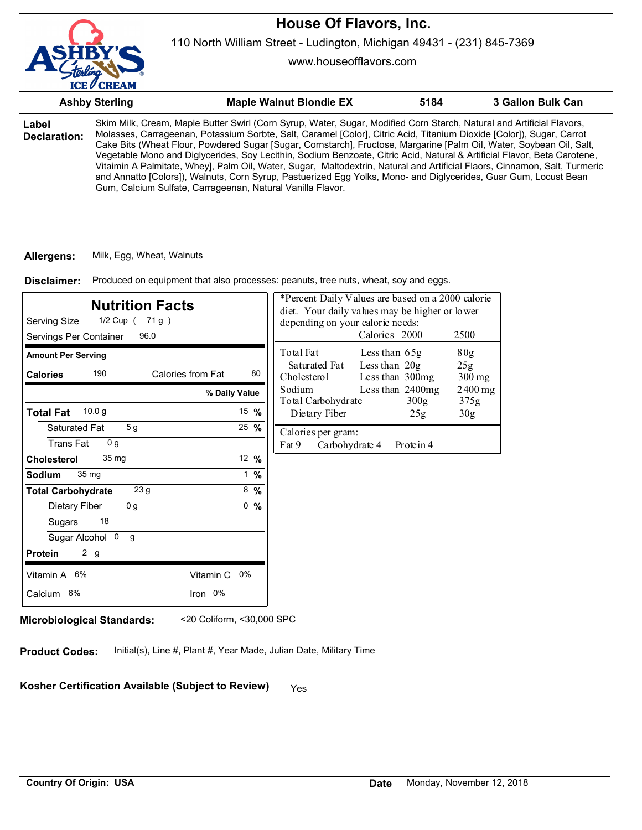110 North William Street - Ludington, Michigan 49431 - (231) 845-7369

www.houseofflavors.com

|                       | <b>Ashby Sterling</b>                                      | <b>Maple Walnut Blondie EX</b>                                                                                                                                                                                                                                                                                                                                                                                                                                                                                                                                                                                                                                                                                                                       | 5184 | 3 Gallon Bulk Can |
|-----------------------|------------------------------------------------------------|------------------------------------------------------------------------------------------------------------------------------------------------------------------------------------------------------------------------------------------------------------------------------------------------------------------------------------------------------------------------------------------------------------------------------------------------------------------------------------------------------------------------------------------------------------------------------------------------------------------------------------------------------------------------------------------------------------------------------------------------------|------|-------------------|
| Label<br>Declaration: | Gum, Calcium Sulfate, Carrageenan, Natural Vanilla Flavor. | Skim Milk, Cream, Maple Butter Swirl (Corn Syrup, Water, Sugar, Modified Corn Starch, Natural and Artificial Flavors,<br>Molasses, Carrageenan, Potassium Sorbte, Salt, Caramel [Color], Citric Acid, Titanium Dioxide [Color]), Sugar, Carrot<br>Cake Bits (Wheat Flour, Powdered Sugar [Sugar, Cornstarch], Fructose, Margarine [Palm Oil, Water, Soybean Oil, Salt,<br>Vegetable Mono and Diglycerides, Soy Lecithin, Sodium Benzoate, Citric Acid, Natural & Artificial Flavor, Beta Carotene,<br>Vitaimin A Palmitate, Whey], Palm Oil, Water, Sugar, Maltodextrin, Natural and Artificial Flaors, Cinnamon, Salt, Turmeric<br>and Annatto [Colors]), Walnuts, Corn Syrup, Pastuerized Egg Yolks, Mono- and Diglycerides, Guar Gum, Locust Bean |      |                   |

#### **Allergens:** Milk, Egg, Wheat, Walnuts

Produced on equipment that also processes: peanuts, tree nuts, wheat, soy and eggs. **Disclaimer:**

| <b>Nutrition Facts</b><br>Serving Size<br>1/2 Cup ( 71 g )<br>Servings Per Container<br>96.0 |                  | *Percent Daily Values are based on a 2000 calorie<br>diet. Your daily values may be higher or lower<br>depending on your calorie needs:<br>Calories 2000<br>2500 |  |  |
|----------------------------------------------------------------------------------------------|------------------|------------------------------------------------------------------------------------------------------------------------------------------------------------------|--|--|
| <b>Amount Per Serving</b>                                                                    |                  | Total Fat<br>80g<br>Less than 65g                                                                                                                                |  |  |
| 190<br>Calories from Fat<br><b>Calories</b>                                                  | 80               | Less than $20g$<br>Saturated Fat<br>25g<br>Cholesterol<br>Less than 300mg<br>$300$ mg                                                                            |  |  |
|                                                                                              | % Daily Value    | Sodium<br>Less than 2400mg<br>$2400$ mg<br>Total Carbohydrate<br>300g<br>375g                                                                                    |  |  |
| 10.0 g<br><b>Total Fat</b>                                                                   | 15 $%$           | Dietary Fiber<br>30 <sub>g</sub><br>25g                                                                                                                          |  |  |
| 5 <sub>g</sub><br>Saturated Fat<br><b>Trans Fat</b><br>0 <sub>q</sub>                        | $25 \frac{9}{6}$ | Calories per gram:<br>Fat 9<br>Carbohydrate 4<br>Protein 4                                                                                                       |  |  |
| 35 mg<br><b>Cholesterol</b>                                                                  | 12 $%$           |                                                                                                                                                                  |  |  |
| 35 mg<br><b>Sodium</b>                                                                       | $1 \frac{9}{6}$  |                                                                                                                                                                  |  |  |
| 23 <sub>g</sub><br><b>Total Carbohydrate</b>                                                 | $8\frac{9}{6}$   |                                                                                                                                                                  |  |  |
| Dietary Fiber<br>0 <sub>g</sub>                                                              | 0, 9/6           |                                                                                                                                                                  |  |  |
| 18<br>Sugars                                                                                 |                  |                                                                                                                                                                  |  |  |
| Sugar Alcohol 0<br>g                                                                         |                  |                                                                                                                                                                  |  |  |
| 2 g<br><b>Protein</b>                                                                        |                  |                                                                                                                                                                  |  |  |
| Vitamin A 6%<br>Vitamin C 0%                                                                 |                  |                                                                                                                                                                  |  |  |
| Iron 0%<br>Calcium 6%                                                                        |                  |                                                                                                                                                                  |  |  |
|                                                                                              |                  |                                                                                                                                                                  |  |  |

**Microbiological Standards:** <20 Coliform, <30,000 SPC

**Product Codes:** Initial(s), Line #, Plant #, Year Made, Julian Date, Military Time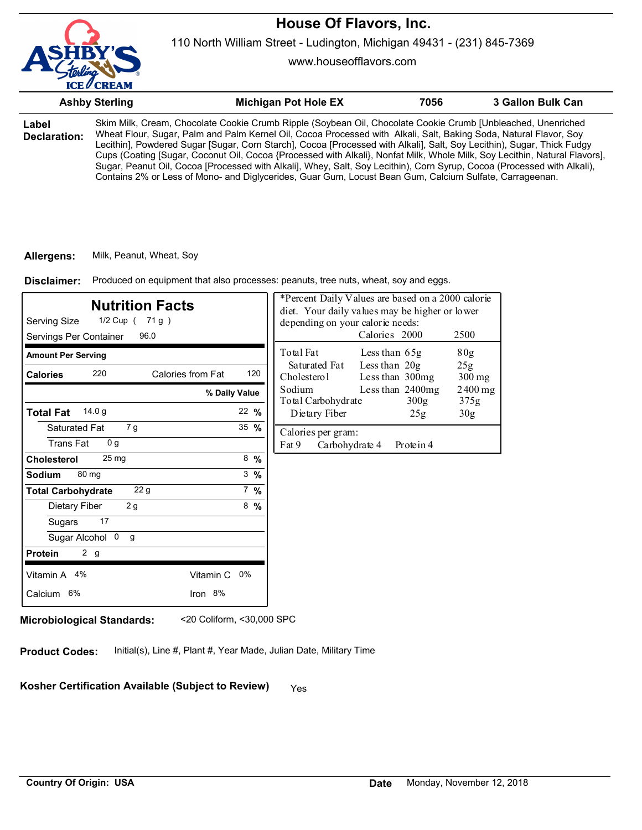

www.houseofflavors.com

|                       | <b>Ashby Sterling</b> | <b>Michigan Pot Hole EX</b>                                                                                                                                                                                                                                                                                                                                                                                                                                                                                                                                                                                                                                                                                                     | 7056 | 3 Gallon Bulk Can |
|-----------------------|-----------------------|---------------------------------------------------------------------------------------------------------------------------------------------------------------------------------------------------------------------------------------------------------------------------------------------------------------------------------------------------------------------------------------------------------------------------------------------------------------------------------------------------------------------------------------------------------------------------------------------------------------------------------------------------------------------------------------------------------------------------------|------|-------------------|
| Label<br>Declaration: |                       | Skim Milk, Cream, Chocolate Cookie Crumb Ripple (Soybean Oil, Chocolate Cookie Crumb [Unbleached, Unenriched<br>Wheat Flour, Sugar, Palm and Palm Kernel Oil, Cocoa Processed with Alkali, Salt, Baking Soda, Natural Flavor, Soy<br>Lecithin], Powdered Sugar [Sugar, Corn Starch], Cocoa [Processed with Alkali], Salt, Soy Lecithin), Sugar, Thick Fudgy<br>Cups (Coating [Sugar, Coconut Oil, Cocoa {Processed with Alkali}, Nonfat Milk, Whole Milk, Soy Lecithin, Natural Flavors],<br>Sugar, Peanut Oil, Cocoa [Processed with Alkali], Whey, Salt, Soy Lecithin), Corn Syrup, Cocoa (Processed with Alkali),<br>Contains 2% or Less of Mono- and Diglycerides, Guar Gum, Locust Bean Gum, Calcium Sulfate, Carrageenan. |      |                   |

#### **Allergens:** Milk, Peanut, Wheat, Soy

Produced on equipment that also processes: peanuts, tree nuts, wheat, soy and eggs. **Disclaimer:**

| <b>Nutrition Facts</b><br>Serving Size<br>1/2 Cup ( 71 g )<br>Servings Per Container<br>96.0 |                  | *Percent Daily Values are based on a 2000 calorie<br>diet. Your daily values may be higher or lower<br>depending on your calorie needs:<br>Calories 2000<br>2500 |  |  |
|----------------------------------------------------------------------------------------------|------------------|------------------------------------------------------------------------------------------------------------------------------------------------------------------|--|--|
| <b>Amount Per Serving</b>                                                                    |                  | Total Fat<br>80g<br>Less than 65g                                                                                                                                |  |  |
| 220<br>Calories from Fat<br><b>Calories</b>                                                  | 120              | Less than $20g$<br>Saturated Fat<br>25g<br>Cholesterol<br>Less than 300mg<br>$300$ mg                                                                            |  |  |
|                                                                                              | % Daily Value    | Sodium<br>Less than 2400mg<br>$2400$ mg<br>Total Carbohydrate<br>300g<br>375g                                                                                    |  |  |
| 14.0 g<br><b>Total Fat</b>                                                                   | $22 \frac{9}{6}$ | Dietary Fiber<br>30 <sub>g</sub><br>25g                                                                                                                          |  |  |
| 7 g<br>Saturated Fat<br><b>Trans Fat</b><br>0 <sub>q</sub>                                   | 35 $%$           | Calories per gram:<br>Fat 9<br>Carbohydrate 4<br>Protein 4                                                                                                       |  |  |
| 25 <sub>mg</sub><br><b>Cholesterol</b>                                                       | $8\frac{9}{6}$   |                                                                                                                                                                  |  |  |
| 80 mg<br><b>Sodium</b>                                                                       | $3 \frac{9}{6}$  |                                                                                                                                                                  |  |  |
| 22 g<br><b>Total Carbohydrate</b>                                                            | $7\%$            |                                                                                                                                                                  |  |  |
| 2g<br>Dietary Fiber                                                                          | $8\frac{9}{6}$   |                                                                                                                                                                  |  |  |
| 17<br>Sugars                                                                                 |                  |                                                                                                                                                                  |  |  |
| Sugar Alcohol 0<br>g                                                                         |                  |                                                                                                                                                                  |  |  |
| 2 <sub>g</sub><br><b>Protein</b>                                                             |                  |                                                                                                                                                                  |  |  |
| Vitamin A 4%<br>Vitamin C 0%                                                                 |                  |                                                                                                                                                                  |  |  |
| Iron 8%<br>Calcium 6%                                                                        |                  |                                                                                                                                                                  |  |  |
|                                                                                              |                  |                                                                                                                                                                  |  |  |

**Microbiological Standards:** <20 Coliform, <30,000 SPC

**Product Codes:** Initial(s), Line #, Plant #, Year Made, Julian Date, Military Time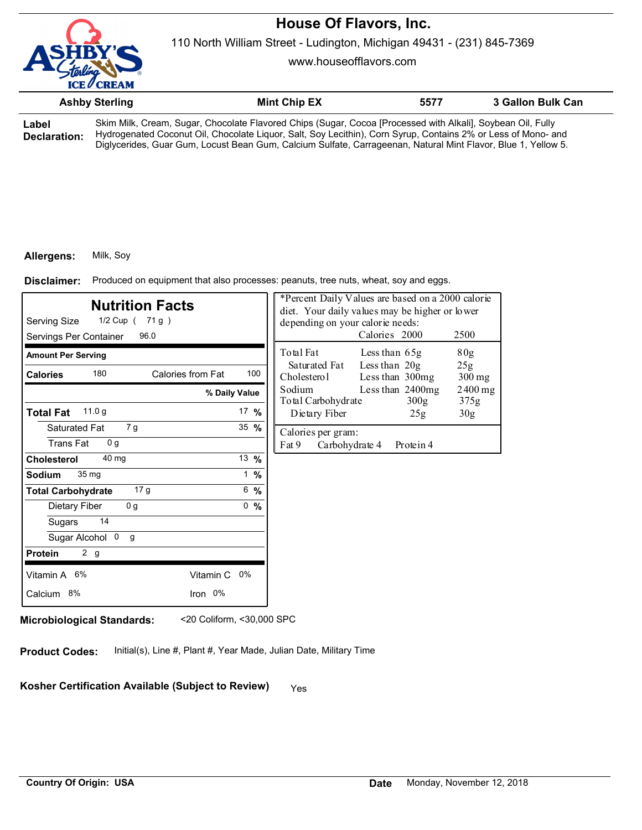

110 North William Street - Ludington, Michigan 49431 - (231) 845-7369

www.houseofflavors.com

|                       | <b>Ashby Sterling</b> | <b>Mint Chip EX</b>                                                                                                                                                                                                                                                                                                                           | 5577 | 3 Gallon Bulk Can |
|-----------------------|-----------------------|-----------------------------------------------------------------------------------------------------------------------------------------------------------------------------------------------------------------------------------------------------------------------------------------------------------------------------------------------|------|-------------------|
| Label<br>Declaration: |                       | Skim Milk, Cream, Sugar, Chocolate Flavored Chips (Sugar, Cocoa [Processed with Alkali], Soybean Oil, Fully<br>Hydrogenated Coconut Oil, Chocolate Liquor, Salt, Soy Lecithin), Corn Syrup, Contains 2% or Less of Mono- and<br>Diglycerides, Guar Gum, Locust Bean Gum, Calcium Sulfate, Carrageenan, Natural Mint Flavor, Blue 1, Yellow 5. |      |                   |

#### **Allergens:** Milk, Soy

Produced on equipment that also processes: peanuts, tree nuts, wheat, soy and eggs. **Disclaimer:**

| <b>Nutrition Facts</b><br>Serving Size<br>1/2 Cup ( 71 g )<br>Servings Per Container<br>96.0 |                 | *Percent Daily Values are based on a 2000 calorie<br>diet. Your daily values may be higher or lower<br>depending on your calorie needs:<br>Calories 2000<br>2500 |
|----------------------------------------------------------------------------------------------|-----------------|------------------------------------------------------------------------------------------------------------------------------------------------------------------|
| <b>Amount Per Serving</b>                                                                    |                 | Total Fat<br>80 <sub>g</sub><br>Less than 65g                                                                                                                    |
| 180<br>Calories from Fat<br><b>Calories</b>                                                  | 100             | Less than 20g<br>Saturated Fat<br>25g<br>Less than 300mg<br>Cholesterol<br>$300$ mg                                                                              |
| % Daily Value                                                                                |                 | Less than 2400mg<br>Sodium<br>$2400$ mg<br>Total Carbohydrate<br>300 <sub>g</sub><br>375g                                                                        |
| 11.0 <sub>g</sub><br><b>Total Fat</b>                                                        | 17 $%$          | Dietary Fiber<br>30 <sub>g</sub><br>25g                                                                                                                          |
| Saturated Fat<br>7 g<br><b>Trans Fat</b><br>0 <sub>q</sub>                                   | 35 $%$          | Calories per gram:<br>Fat 9<br>Carbohydrate 4<br>Protein 4                                                                                                       |
| 40 mg<br><b>Cholesterol</b>                                                                  | 13 %            |                                                                                                                                                                  |
| 35 <sub>mg</sub><br><b>Sodium</b>                                                            | $1 \frac{9}{6}$ |                                                                                                                                                                  |
| 17 <sub>g</sub><br><b>Total Carbohydrate</b>                                                 | 6, 9/6          |                                                                                                                                                                  |
| 0 <sub>g</sub><br>Dietary Fiber                                                              | 0, 9/6          |                                                                                                                                                                  |
| 14<br>Sugars                                                                                 |                 |                                                                                                                                                                  |
| Sugar Alcohol 0<br>g                                                                         |                 |                                                                                                                                                                  |
| 2 <sub>g</sub><br><b>Protein</b>                                                             |                 |                                                                                                                                                                  |
| Vitamin A 6%<br>Vitamin C 0%                                                                 |                 |                                                                                                                                                                  |
| Iron 0%<br>Calcium 8%                                                                        |                 |                                                                                                                                                                  |

**Microbiological Standards:** <20 Coliform, <30,000 SPC

**Product Codes:** Initial(s), Line #, Plant #, Year Made, Julian Date, Military Time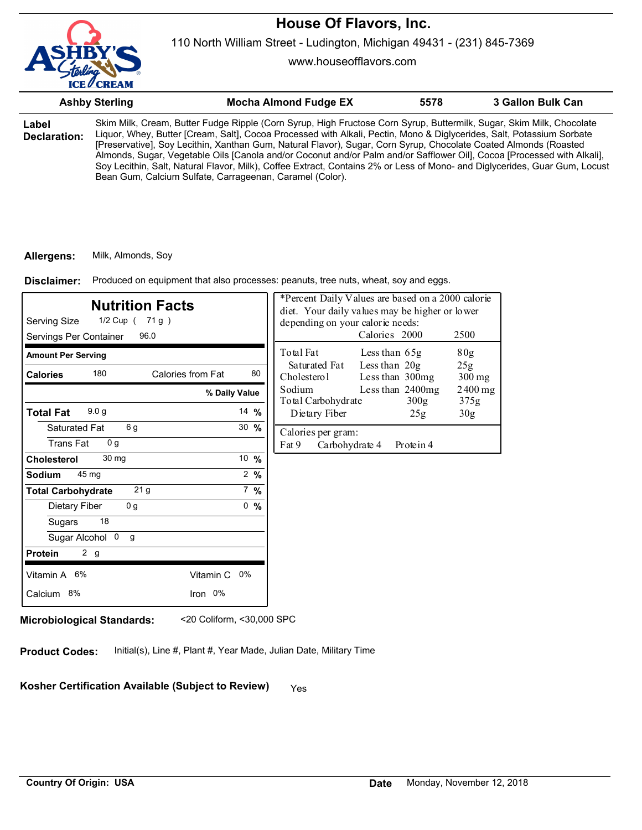

110 North William Street - Ludington, Michigan 49431 - (231) 845-7369

www.houseofflavors.com

|                       | <b>Ashby Sterling</b> | <b>Mocha Almond Fudge EX</b>                                                                                                                                                                                                                                                                                                                                                                                                                                                                                                                                                                                                                                                           | 5578 | 3 Gallon Bulk Can |
|-----------------------|-----------------------|----------------------------------------------------------------------------------------------------------------------------------------------------------------------------------------------------------------------------------------------------------------------------------------------------------------------------------------------------------------------------------------------------------------------------------------------------------------------------------------------------------------------------------------------------------------------------------------------------------------------------------------------------------------------------------------|------|-------------------|
| Label<br>Declaration: |                       | Skim Milk, Cream, Butter Fudge Ripple (Corn Syrup, High Fructose Corn Syrup, Buttermilk, Sugar, Skim Milk, Chocolate<br>Liquor, Whey, Butter [Cream, Salt], Cocoa Processed with Alkali, Pectin, Mono & Diglycerides, Salt, Potassium Sorbate<br>[Preservative], Soy Lecithin, Xanthan Gum, Natural Flavor), Sugar, Corn Syrup, Chocolate Coated Almonds (Roasted<br>Almonds, Sugar, Vegetable Oils [Canola and/or Coconut and/or Palm and/or Safflower Oil], Cocoa [Processed with Alkali],<br>Soy Lecithin, Salt, Natural Flavor, Milk), Coffee Extract, Contains 2% or Less of Mono- and Diglycerides, Guar Gum, Locust<br>Bean Gum, Calcium Sulfate, Carrageenan, Caramel (Color). |      |                   |

#### **Allergens:** Milk, Almonds, Soy

Produced on equipment that also processes: peanuts, tree nuts, wheat, soy and eggs. **Disclaimer:**

| <b>Nutrition Facts</b><br>Serving Size<br>1/2 Cup ( 71 g )<br>96.0<br>Servings Per Container |                         | *Percent Daily Values are based on a 2000 calorie<br>diet. Your daily values may be higher or lower<br>depending on your calorie needs:<br>Calories 2000<br>2500 |
|----------------------------------------------------------------------------------------------|-------------------------|------------------------------------------------------------------------------------------------------------------------------------------------------------------|
| <b>Amount Per Serving</b>                                                                    |                         | Total Fat<br>80 <sub>g</sub><br>Less than 65g<br>Less than 20g<br>Saturated Fat<br>25g                                                                           |
| 180<br><b>Calories</b>                                                                       | Calories from Fat<br>80 | Cholesterol<br>Less than 300mg<br>$300$ mg                                                                                                                       |
|                                                                                              | % Daily Value           | Sodium<br>Less than 2400mg<br>$2400$ mg<br>Total Carbohydrate<br>300g<br>375g                                                                                    |
| 9.0 <sub>g</sub><br><b>Total Fat</b>                                                         | 14 $%$                  | Dietary Fiber<br>30 <sub>g</sub><br>25g                                                                                                                          |
| 6g<br>Saturated Fat                                                                          | $30 \frac{9}{6}$        | Calories per gram:                                                                                                                                               |
| <b>Trans Fat</b><br>0 <sub>g</sub>                                                           |                         | Fat 9<br>Carbohydrate 4<br>Protein 4                                                                                                                             |
| 30 mg<br><b>Cholesterol</b>                                                                  | 10 %                    |                                                                                                                                                                  |
| 45 mg<br>Sodium                                                                              | $2 \frac{9}{6}$         |                                                                                                                                                                  |
| 21 <sub>g</sub><br><b>Total Carbohydrate</b>                                                 | $7\%$                   |                                                                                                                                                                  |
| 0 <sub>q</sub><br>Dietary Fiber                                                              | 0, 9/6                  |                                                                                                                                                                  |
| 18<br>Sugars                                                                                 |                         |                                                                                                                                                                  |
| Sugar Alcohol 0<br>g                                                                         |                         |                                                                                                                                                                  |
| 2 g<br><b>Protein</b>                                                                        |                         |                                                                                                                                                                  |
| Vitamin A 6%                                                                                 | Vitamin C 0%            |                                                                                                                                                                  |
| Calcium 8%                                                                                   | Iron 0%                 |                                                                                                                                                                  |
|                                                                                              |                         |                                                                                                                                                                  |

**Microbiological Standards:** <20 Coliform, <30,000 SPC

**Product Codes:** Initial(s), Line #, Plant #, Year Made, Julian Date, Military Time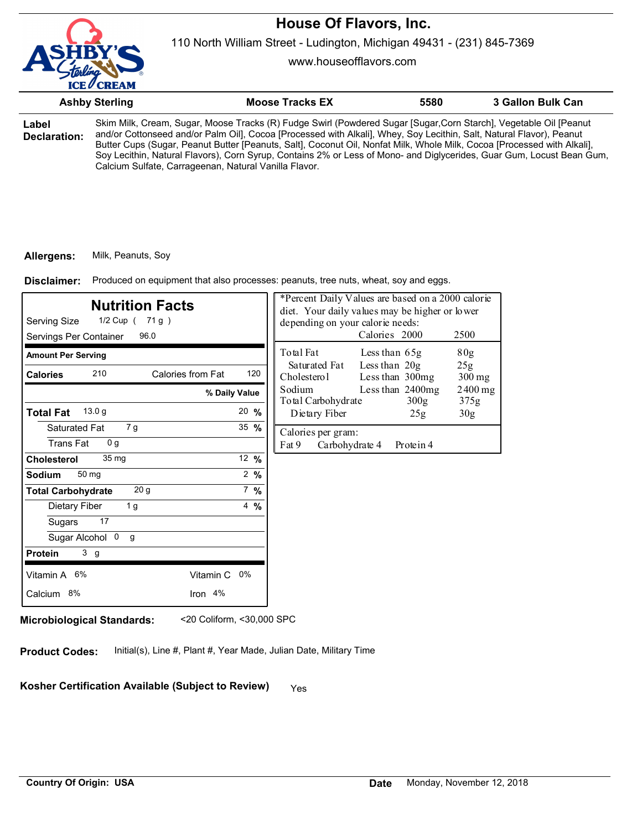

110 North William Street - Ludington, Michigan 49431 - (231) 845-7369

www.houseofflavors.com

|                       | <b>Ashby Sterling</b>                                 | <b>Moose Tracks EX</b>                                                                                                                                                                                                                                                                                                                                                                                                                                                                       | 5580 | 3 Gallon Bulk Can |
|-----------------------|-------------------------------------------------------|----------------------------------------------------------------------------------------------------------------------------------------------------------------------------------------------------------------------------------------------------------------------------------------------------------------------------------------------------------------------------------------------------------------------------------------------------------------------------------------------|------|-------------------|
| Label<br>Declaration: | Calcium Sulfate, Carrageenan, Natural Vanilla Flavor. | Skim Milk, Cream, Sugar, Moose Tracks (R) Fudge Swirl (Powdered Sugar [Sugar,Corn Starch], Vegetable Oil [Peanut<br>and/or Cottonseed and/or Palm Oil], Cocoa [Processed with Alkali], Whey, Soy Lecithin, Salt, Natural Flavor), Peanut<br>Butter Cups (Sugar, Peanut Butter [Peanuts, Salt], Coconut Oil, Nonfat Milk, Whole Milk, Cocoa [Processed with Alkali],<br>Soy Lecithin, Natural Flavors), Corn Syrup, Contains 2% or Less of Mono- and Diglycerides, Guar Gum, Locust Bean Gum, |      |                   |

#### **Allergens:** Milk, Peanuts, Soy

Produced on equipment that also processes: peanuts, tree nuts, wheat, soy and eggs. **Disclaimer:**

| <b>Nutrition Facts</b><br>Serving Size<br>1/2 Cup ( 71 g )<br>Servings Per Container<br>96.0 |                  | *Percent Daily Values are based on a 2000 calorie<br>diet. Your daily values may be higher or lower<br>depending on your calorie needs:<br>Calories 2000<br>2500 |
|----------------------------------------------------------------------------------------------|------------------|------------------------------------------------------------------------------------------------------------------------------------------------------------------|
| <b>Amount Per Serving</b>                                                                    |                  | Total Fat<br>80g<br>Less than $65g$                                                                                                                              |
| 210<br>Calories from Fat<br><b>Calories</b>                                                  | 120              | Less than $20g$<br>Saturated Fat<br>25g<br>Less than 300mg<br>Cholesterol<br>300 mg                                                                              |
|                                                                                              | % Daily Value    | Less than 2400mg<br>Sodium<br>$2400$ mg<br>Total Carbohydrate<br>300 <sub>g</sub><br>375g                                                                        |
| 13.0 <sub>q</sub><br><b>Total Fat</b>                                                        | $20 \frac{9}{6}$ | Dietary Fiber<br>30 <sub>g</sub><br>25g                                                                                                                          |
| 7g<br>Saturated Fat<br><b>Trans Fat</b><br>0 <sub>q</sub>                                    | 35 $%$           | Calories per gram:<br>Fat 9<br>Carbohydrate 4<br>Protein 4                                                                                                       |
| 35 mg<br><b>Cholesterol</b>                                                                  | 12 %             |                                                                                                                                                                  |
| 50 mg<br>Sodium                                                                              | $2 \frac{9}{6}$  |                                                                                                                                                                  |
| 20 <sub>g</sub><br><b>Total Carbohydrate</b>                                                 | $7 \frac{9}{6}$  |                                                                                                                                                                  |
| 1 <sub>g</sub><br>Dietary Fiber                                                              | $4\frac{9}{6}$   |                                                                                                                                                                  |
| 17<br>Sugars                                                                                 |                  |                                                                                                                                                                  |
| Sugar Alcohol 0<br>$\mathbf{q}$                                                              |                  |                                                                                                                                                                  |
| 3 <sub>g</sub><br><b>Protein</b>                                                             |                  |                                                                                                                                                                  |
| Vitamin A 6%<br>Vitamin C 0%                                                                 |                  |                                                                                                                                                                  |
| Iron 4%<br>Calcium 8%                                                                        |                  |                                                                                                                                                                  |

**Microbiological Standards:** <20 Coliform, <30,000 SPC

**Product Codes:** Initial(s), Line #, Plant #, Year Made, Julian Date, Military Time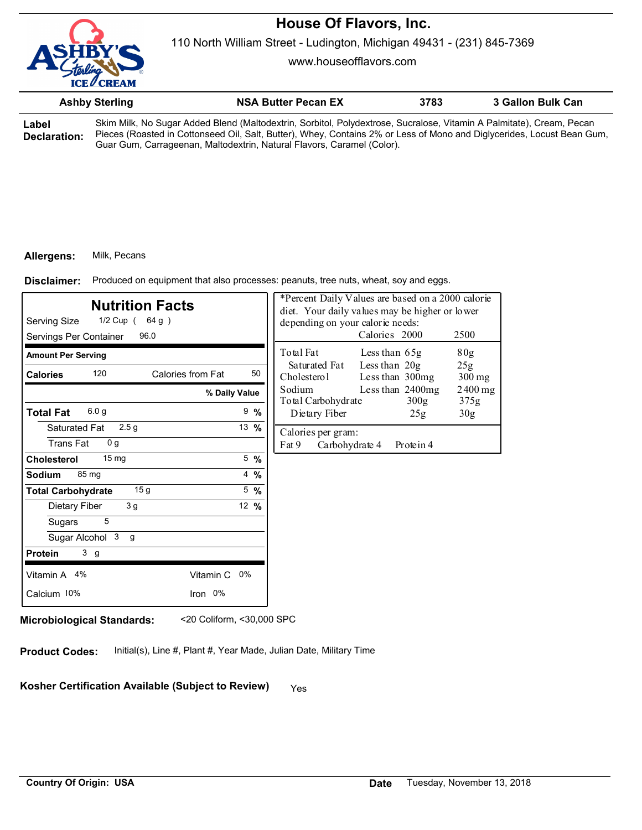110 North William Street - Ludington, Michigan 49431 - (231) 845-7369

www.houseofflavors.com

|                       | <b>Ashby Sterling</b> | <b>NSA Butter Pecan EX</b>                                                                                                                                                                                                                     | 3783 | 3 Gallon Bulk Can |
|-----------------------|-----------------------|------------------------------------------------------------------------------------------------------------------------------------------------------------------------------------------------------------------------------------------------|------|-------------------|
| Label<br>Declaration: |                       | Skim Milk, No Sugar Added Blend (Maltodextrin, Sorbitol, Polydextrose, Sucralose, Vitamin A Palmitate), Cream, Pecan<br>Pieces (Roasted in Cottonseed Oil, Salt, Butter), Whey, Contains 2% or Less of Mono and Diglycerides, Locust Bean Gum, |      |                   |

Guar Gum, Carrageenan, Maltodextrin, Natural Flavors, Caramel (Color).

## **Allergens:** Milk, Pecans

Produced on equipment that also processes: peanuts, tree nuts, wheat, soy and eggs. **Disclaimer:**

| <b>Nutrition Facts</b><br>Serving Size<br>$1/2$ Cup (64 g)<br>96.0<br>Servings Per Container |                 | *Percent Daily Values are based on a 2000 calorie<br>diet. Your daily values may be higher or lower<br>depending on your calorie needs:<br>Calories 2000<br>2500 |
|----------------------------------------------------------------------------------------------|-----------------|------------------------------------------------------------------------------------------------------------------------------------------------------------------|
| <b>Amount Per Serving</b>                                                                    |                 | Total Fat<br>Less than 65g<br>80 <sub>g</sub>                                                                                                                    |
| 120<br>Calories from Fat<br><b>Calories</b>                                                  | 50              | Less than $20g$<br>25 <sub>g</sub><br>Saturated Fat<br>Cholesterol<br>Less than 300mg<br>$300$ mg                                                                |
|                                                                                              | % Daily Value   | Sodium<br>Less than 2400mg<br>$2400$ mg<br>300g<br>Total Carbohydrate<br>375g                                                                                    |
| 6.0 <sub>g</sub><br><b>Total Fat</b>                                                         | $9\frac{9}{6}$  | Dietary Fiber<br>30 <sub>g</sub><br>25g                                                                                                                          |
| 2.5 <sub>g</sub><br>Saturated Fat<br><b>Trans Fat</b><br>0 <sub>q</sub>                      | 13 $%$          | Calories per gram:<br>Fat 9<br>Carbohydrate 4<br>Protein 4                                                                                                       |
| $15 \text{ mg}$<br><b>Cholesterol</b>                                                        | $5 \frac{9}{6}$ |                                                                                                                                                                  |
| 85 mg<br>Sodium                                                                              | $4\frac{9}{6}$  |                                                                                                                                                                  |
| 15 <sub>q</sub><br><b>Total Carbohydrate</b>                                                 | $5\frac{9}{6}$  |                                                                                                                                                                  |
| 3 <sub>g</sub><br>Dietary Fiber                                                              | 12 $%$          |                                                                                                                                                                  |
| 5<br>Sugars                                                                                  |                 |                                                                                                                                                                  |
| Sugar Alcohol 3<br>g                                                                         |                 |                                                                                                                                                                  |
| 3 <sub>g</sub><br><b>Protein</b>                                                             |                 |                                                                                                                                                                  |
| Vitamin A 4%<br>Vitamin C 0%                                                                 |                 |                                                                                                                                                                  |
| Calcium 10%<br>Iron 0%                                                                       |                 |                                                                                                                                                                  |

**Microbiological Standards:** <20 Coliform, <30,000 SPC

**Product Codes:** Initial(s), Line #, Plant #, Year Made, Julian Date, Military Time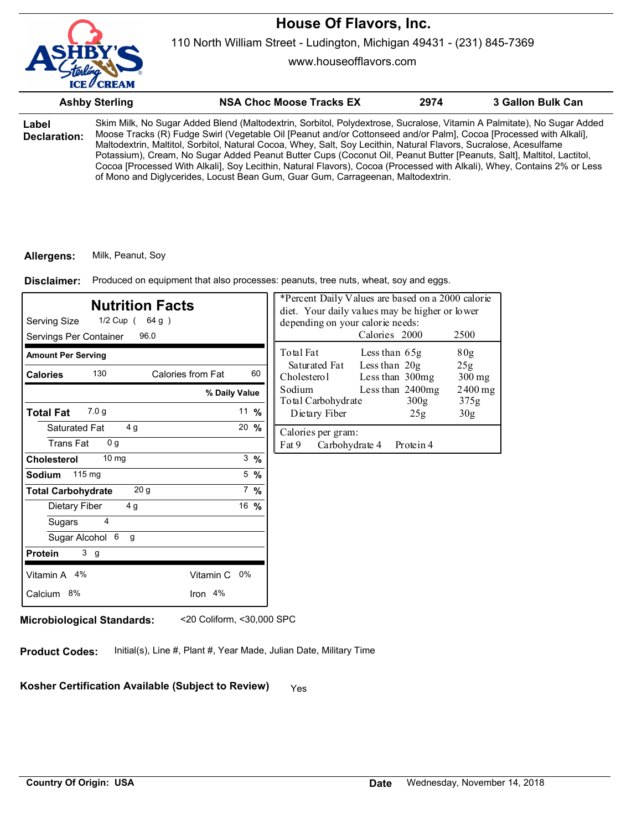

www.houseofflavors.com

|                       | <b>Ashby Sterling</b> | <b>NSA Choc Moose Tracks EX</b>                                                                                                                                                                                                                                                                                                                                                                                                                                                                                                                                                                                                                                                                          | 2974 | 3 Gallon Bulk Can |
|-----------------------|-----------------------|----------------------------------------------------------------------------------------------------------------------------------------------------------------------------------------------------------------------------------------------------------------------------------------------------------------------------------------------------------------------------------------------------------------------------------------------------------------------------------------------------------------------------------------------------------------------------------------------------------------------------------------------------------------------------------------------------------|------|-------------------|
| Label<br>Declaration: |                       | Skim Milk, No Sugar Added Blend (Maltodextrin, Sorbitol, Polydextrose, Sucralose, Vitamin A Palmitate), No Sugar Added<br>Moose Tracks (R) Fudge Swirl (Vegetable Oil [Peanut and/or Cottonseed and/or Palm], Cocoa [Processed with Alkali],<br>Maltodextrin, Maltitol, Sorbitol, Natural Cocoa, Whey, Salt, Soy Lecithin, Natural Flavors, Sucralose, Acesulfame<br>Potassium), Cream, No Sugar Added Peanut Butter Cups (Coconut Oil, Peanut Butter [Peanuts, Salt], Maltitol, Lactitol,<br>Cocoa [Processed With Alkali], Soy Lecithin, Natural Flavors), Cocoa (Processed with Alkali), Whey, Contains 2% or Less<br>of Mono and Diglycerides, Locust Bean Gum, Guar Gum, Carrageenan, Maltodextrin. |      |                   |

#### **Allergens:** Milk, Peanut, Soy

Produced on equipment that also processes: peanuts, tree nuts, wheat, soy and eggs. **Disclaimer:**

| <b>Nutrition Facts</b><br>Serving Size<br>1/2 Cup (64 g)<br>Servings Per Container<br>96.0 |                 | *Percent Daily Values are based on a 2000 calorie<br>diet. Your daily values may be higher or lower<br>depending on your calorie needs:<br>Calories 2000<br>2500 |                                    |                   |
|--------------------------------------------------------------------------------------------|-----------------|------------------------------------------------------------------------------------------------------------------------------------------------------------------|------------------------------------|-------------------|
| <b>Amount Per Serving</b>                                                                  |                 | Total Fat                                                                                                                                                        | Less than 65g                      | 80g               |
| 130<br>Calories from Fat<br><b>Calories</b>                                                | 60              | Saturated Fat<br>Cholesterol                                                                                                                                     | Less than $20g$<br>Less than 300mg | 25g<br>$300$ mg   |
|                                                                                            | % Daily Value   | Sodium<br>Total Carbohydrate                                                                                                                                     | Less than 2400mg<br>300g           | $2400$ mg<br>375g |
| 7.0 <sub>q</sub><br><b>Total Fat</b>                                                       | 11 $%$          | Dietary Fiber                                                                                                                                                    | 25g                                | 30 <sub>g</sub>   |
| 4g<br>Saturated Fat<br><b>Trans Fat</b><br>0 <sub>q</sub>                                  | 20 %            | Calories per gram:<br>Fat 9<br>Carbohydrate 4                                                                                                                    | Protein 4                          |                   |
| 10 <sub>mg</sub><br><b>Cholesterol</b>                                                     | $3 \frac{9}{6}$ |                                                                                                                                                                  |                                    |                   |
| 115 mg<br><b>Sodium</b>                                                                    | $5\frac{9}{6}$  |                                                                                                                                                                  |                                    |                   |
| 20 <sub>g</sub><br><b>Total Carbohydrate</b>                                               | $7\%$           |                                                                                                                                                                  |                                    |                   |
| Dietary Fiber<br>4 g                                                                       | 16 %            |                                                                                                                                                                  |                                    |                   |
| 4<br>Sugars                                                                                |                 |                                                                                                                                                                  |                                    |                   |
| Sugar Alcohol 6<br>g                                                                       |                 |                                                                                                                                                                  |                                    |                   |
| 3 <sub>g</sub><br><b>Protein</b>                                                           |                 |                                                                                                                                                                  |                                    |                   |
| Vitamin A 4%                                                                               | Vitamin C 0%    |                                                                                                                                                                  |                                    |                   |
| Calcium 8%                                                                                 | Iron 4%         |                                                                                                                                                                  |                                    |                   |
|                                                                                            |                 |                                                                                                                                                                  |                                    |                   |

**Microbiological Standards:** <20 Coliform, <30,000 SPC

**Product Codes:** Initial(s), Line #, Plant #, Year Made, Julian Date, Military Time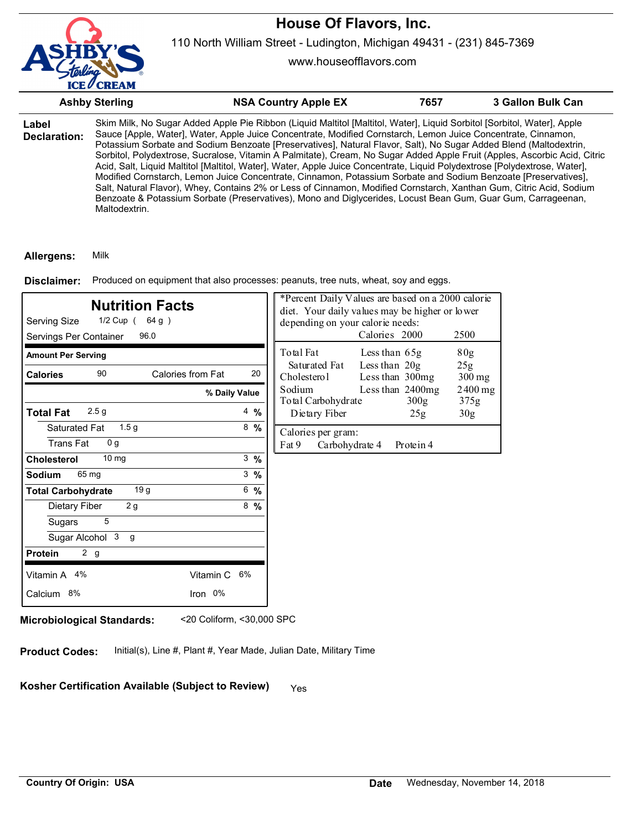

www.houseofflavors.com

|                       | <b>Ashby Sterling</b> | <b>NSA Country Apple EX</b>                                                                                                                                                                                                                                                                                                                                                                                                                                                                                                                                                                                                                                                                                                                                                                                                                                                                                                                                                      | 7657 | 3 Gallon Bulk Can |
|-----------------------|-----------------------|----------------------------------------------------------------------------------------------------------------------------------------------------------------------------------------------------------------------------------------------------------------------------------------------------------------------------------------------------------------------------------------------------------------------------------------------------------------------------------------------------------------------------------------------------------------------------------------------------------------------------------------------------------------------------------------------------------------------------------------------------------------------------------------------------------------------------------------------------------------------------------------------------------------------------------------------------------------------------------|------|-------------------|
| Label<br>Declaration: | Maltodextrin.         | Skim Milk, No Sugar Added Apple Pie Ribbon (Liquid Maltitol [Maltitol, Water], Liquid Sorbitol [Sorbitol, Water], Apple<br>Sauce [Apple, Water], Water, Apple Juice Concentrate, Modified Cornstarch, Lemon Juice Concentrate, Cinnamon,<br>Potassium Sorbate and Sodium Benzoate [Preservatives], Natural Flavor, Salt), No Sugar Added Blend (Maltodextrin,<br>Sorbitol, Polydextrose, Sucralose, Vitamin A Palmitate), Cream, No Sugar Added Apple Fruit (Apples, Ascorbic Acid, Citric<br>Acid, Salt, Liquid Maltitol [Maltitol, Water], Water, Apple Juice Concentrate, Liquid Polydextrose [Polydextrose, Water],<br>Modified Cornstarch, Lemon Juice Concentrate, Cinnamon, Potassium Sorbate and Sodium Benzoate [Preservatives],<br>Salt, Natural Flavor), Whey, Contains 2% or Less of Cinnamon, Modified Cornstarch, Xanthan Gum, Citric Acid, Sodium<br>Benzoate & Potassium Sorbate (Preservatives), Mono and Diglycerides, Locust Bean Gum, Guar Gum, Carrageenan, |      |                   |

#### **Allergens:** Milk

Produced on equipment that also processes: peanuts, tree nuts, wheat, soy and eggs. **Disclaimer:**

| <b>Nutrition Facts</b><br>Serving Size<br>1/2 Cup (64 g)<br>Servings Per Container<br>96.0 |                 | *Percent Daily Values are based on a 2000 calorie<br>diet. Your daily values may be higher or lower<br>depending on your calorie needs:<br>Calories 2000<br>2500 |                                      |                   |  |
|--------------------------------------------------------------------------------------------|-----------------|------------------------------------------------------------------------------------------------------------------------------------------------------------------|--------------------------------------|-------------------|--|
| <b>Amount Per Serving</b>                                                                  |                 | Total Fat                                                                                                                                                        | Less than $65g$                      | 80g               |  |
| 90<br>Calories from Fat<br><b>Calories</b>                                                 | 20              | Saturated Fat<br>Cholesterol                                                                                                                                     | Less than $20g$<br>Less than 300mg   | 25g<br>$300$ mg   |  |
|                                                                                            | % Daily Value   | Sodium<br>Total Carbohydrate                                                                                                                                     | Less than 2400mg<br>300 <sub>g</sub> | $2400$ mg<br>375g |  |
| 2.5 <sub>g</sub><br><b>Total Fat</b>                                                       | $4\frac{9}{6}$  | Dietary Fiber                                                                                                                                                    | 25g                                  | 30 <sub>g</sub>   |  |
| 1.5 <sub>g</sub><br>Saturated Fat                                                          | $8\frac{9}{6}$  | Calories per gram:                                                                                                                                               |                                      |                   |  |
| <b>Trans Fat</b><br>0 <sub>q</sub>                                                         |                 | Fat 9<br>Carbohydrate 4                                                                                                                                          | Protein 4                            |                   |  |
| 10 <sub>mg</sub><br><b>Cholesterol</b>                                                     | $3 \frac{9}{6}$ |                                                                                                                                                                  |                                      |                   |  |
| 65 mg<br>Sodium                                                                            | $3 \frac{9}{6}$ |                                                                                                                                                                  |                                      |                   |  |
| 19 <sub>g</sub><br><b>Total Carbohydrate</b>                                               | $6\frac{9}{6}$  |                                                                                                                                                                  |                                      |                   |  |
| 2g<br>Dietary Fiber                                                                        | $8\,%$          |                                                                                                                                                                  |                                      |                   |  |
| 5<br>Sugars                                                                                |                 |                                                                                                                                                                  |                                      |                   |  |
| Sugar Alcohol 3<br>g                                                                       |                 |                                                                                                                                                                  |                                      |                   |  |
| 2 g<br><b>Protein</b>                                                                      |                 |                                                                                                                                                                  |                                      |                   |  |
| Vitamin A 4%                                                                               | Vitamin C 6%    |                                                                                                                                                                  |                                      |                   |  |
| Calcium 8%                                                                                 | Iron 0%         |                                                                                                                                                                  |                                      |                   |  |

**Microbiological Standards:** <20 Coliform, <30,000 SPC

**Product Codes:** Initial(s), Line #, Plant #, Year Made, Julian Date, Military Time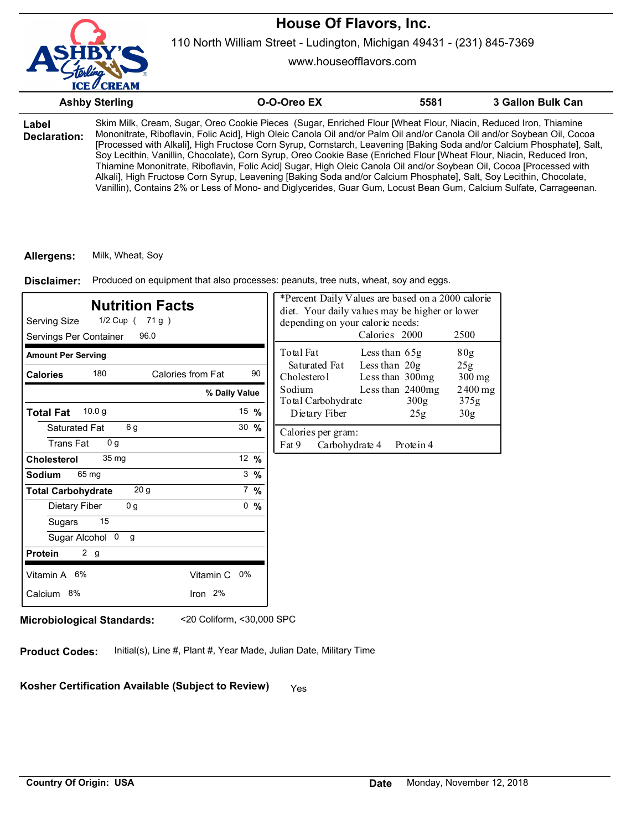

110 North William Street - Ludington, Michigan 49431 - (231) 845-7369

www.houseofflavors.com

|                       | <b>Ashby Sterling</b>                                                                                                                                                                                                                                                                                                                                                                                                                                                                                                                                                                                                                                                                                                                                                                                                                                             | O-O-Oreo EX | 5581 | 3 Gallon Bulk Can |
|-----------------------|-------------------------------------------------------------------------------------------------------------------------------------------------------------------------------------------------------------------------------------------------------------------------------------------------------------------------------------------------------------------------------------------------------------------------------------------------------------------------------------------------------------------------------------------------------------------------------------------------------------------------------------------------------------------------------------------------------------------------------------------------------------------------------------------------------------------------------------------------------------------|-------------|------|-------------------|
| Label<br>Declaration: | Skim Milk, Cream, Sugar, Oreo Cookie Pieces (Sugar, Enriched Flour [Wheat Flour, Niacin, Reduced Iron, Thiamine<br>Mononitrate, Riboflavin, Folic Acid], High Oleic Canola Oil and/or Palm Oil and/or Canola Oil and/or Soybean Oil, Cocoa<br>[Processed with Alkali], High Fructose Corn Syrup, Cornstarch, Leavening [Baking Soda and/or Calcium Phosphate], Salt,<br>Soy Lecithin, Vanillin, Chocolate), Corn Syrup, Oreo Cookie Base (Enriched Flour [Wheat Flour, Niacin, Reduced Iron,<br>Thiamine Mononitrate, Riboflavin, Folic Acid] Sugar, High Oleic Canola Oil and/or Soybean Oil, Cocoa [Processed with<br>Alkali], High Fructose Corn Syrup, Leavening [Baking Soda and/or Calcium Phosphate], Salt, Soy Lecithin, Chocolate,<br>Vanillin), Contains 2% or Less of Mono- and Diglycerides, Guar Gum, Locust Bean Gum, Calcium Sulfate, Carrageenan. |             |      |                   |

### **Allergens:** Milk, Wheat, Soy

Produced on equipment that also processes: peanuts, tree nuts, wheat, soy and eggs. **Disclaimer:**

| <b>Nutrition Facts</b><br>Serving Size<br>1/2 Cup ( 71 g )<br>96.0<br>Servings Per Container |                  | *Percent Daily Values are based on a 2000 calorie<br>diet. Your daily values may be higher or lower<br>depending on your calorie needs:<br>Calories 2000<br>2500 |  |  |  |
|----------------------------------------------------------------------------------------------|------------------|------------------------------------------------------------------------------------------------------------------------------------------------------------------|--|--|--|
| <b>Amount Per Serving</b>                                                                    |                  | Total Fat<br>Less than $65g$<br>80g                                                                                                                              |  |  |  |
| 180<br>Calories from Fat<br><b>Calories</b>                                                  | 90               | Less than $20g$<br>Saturated Fat<br>25g<br>Cholesterol<br>Less than 300mg<br>$300$ mg                                                                            |  |  |  |
|                                                                                              | % Daily Value    | Sodium<br>Less than 2400mg<br>$2400$ mg<br>Total Carbohydrate<br>300 <sub>g</sub><br>375g                                                                        |  |  |  |
| 10.0 <sub>q</sub><br><b>Total Fat</b>                                                        | 15 $%$           | Dietary Fiber<br>25g<br>30 <sub>g</sub>                                                                                                                          |  |  |  |
| 6 g<br>Saturated Fat<br><b>Trans Fat</b><br>0 <sub>g</sub>                                   | $30 \frac{9}{6}$ | Calories per gram:<br>Fat 9<br>Carbohydrate 4<br>Protein 4                                                                                                       |  |  |  |
| 35 mg<br><b>Cholesterol</b>                                                                  | 12 $%$           |                                                                                                                                                                  |  |  |  |
| 65 mg<br>Sodium                                                                              | $3 \frac{9}{6}$  |                                                                                                                                                                  |  |  |  |
| 20 <sub>g</sub><br><b>Total Carbohydrate</b>                                                 | $7 \frac{9}{6}$  |                                                                                                                                                                  |  |  |  |
| 0 <sub>q</sub><br>Dietary Fiber                                                              | 0, 9/6           |                                                                                                                                                                  |  |  |  |
| 15<br>Sugars                                                                                 |                  |                                                                                                                                                                  |  |  |  |
| Sugar Alcohol 0<br>g                                                                         |                  |                                                                                                                                                                  |  |  |  |
| 2 g<br><b>Protein</b>                                                                        |                  |                                                                                                                                                                  |  |  |  |
| Vitamin A 6%<br>Vitamin C 0%                                                                 |                  |                                                                                                                                                                  |  |  |  |
| Iron 2%<br>Calcium 8%                                                                        |                  |                                                                                                                                                                  |  |  |  |

**Microbiological Standards:** <20 Coliform, <30,000 SPC

**Product Codes:** Initial(s), Line #, Plant #, Year Made, Julian Date, Military Time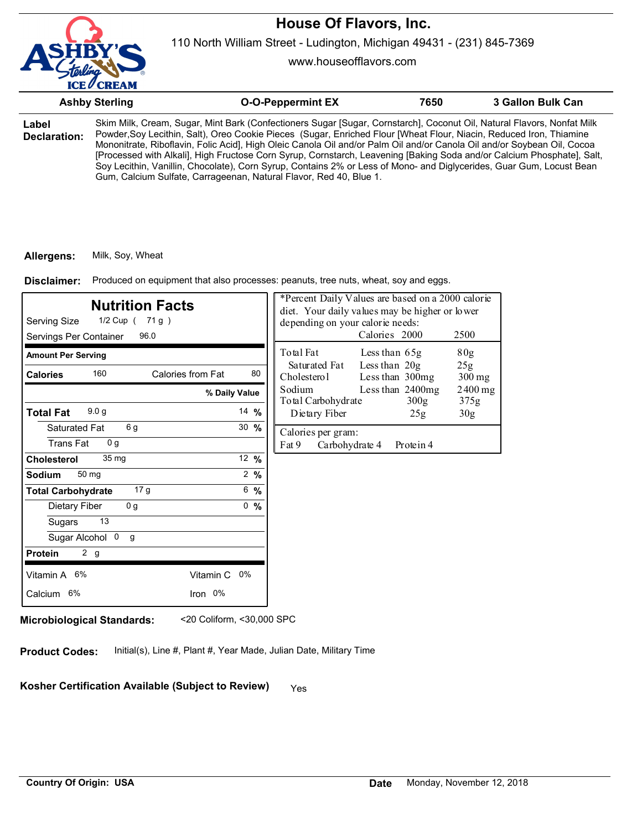

110 North William Street - Ludington, Michigan 49431 - (231) 845-7369

www.houseofflavors.com

|                       | <b>Ashby Sterling</b> | <b>O-O-Peppermint EX</b>                                                                                                                                                                                                                                                                                                                                                                                                                                                                                                                                                                                                                                                                         | 7650 | 3 Gallon Bulk Can |
|-----------------------|-----------------------|--------------------------------------------------------------------------------------------------------------------------------------------------------------------------------------------------------------------------------------------------------------------------------------------------------------------------------------------------------------------------------------------------------------------------------------------------------------------------------------------------------------------------------------------------------------------------------------------------------------------------------------------------------------------------------------------------|------|-------------------|
| Label<br>Declaration: |                       | Skim Milk, Cream, Sugar, Mint Bark (Confectioners Sugar [Sugar, Cornstarch], Coconut Oil, Natural Flavors, Nonfat Milk<br>Powder, Soy Lecithin, Salt), Oreo Cookie Pieces (Sugar, Enriched Flour [Wheat Flour, Niacin, Reduced Iron, Thiamine<br>Mononitrate, Riboflavin, Folic Acid], High Oleic Canola Oil and/or Palm Oil and/or Canola Oil and/or Soybean Oil, Cocoa<br>[Processed with Alkali], High Fructose Corn Syrup, Cornstarch, Leavening [Baking Soda and/or Calcium Phosphate], Salt,<br>Soy Lecithin, Vanillin, Chocolate), Corn Syrup, Contains 2% or Less of Mono- and Diglycerides, Guar Gum, Locust Bean<br>Gum, Calcium Sulfate, Carrageenan, Natural Flavor, Red 40, Blue 1. |      |                   |

#### **Allergens:** Milk, Soy, Wheat

Disclaimer: Produced on equipment that also processes: peanuts, tree nuts, wheat, soy and eggs.

| <b>Nutrition Facts</b><br>Serving Size<br>1/2 Cup ( 71 g )<br>Servings Per Container<br>96.0 |                   | *Percent Daily Values are based on a 2000 calorie<br>diet. Your daily values may be higher or lower<br>depending on your calorie needs: | 2500                         |                                    |                          |                 |
|----------------------------------------------------------------------------------------------|-------------------|-----------------------------------------------------------------------------------------------------------------------------------------|------------------------------|------------------------------------|--------------------------|-----------------|
| <b>Amount Per Serving</b>                                                                    |                   |                                                                                                                                         | Total Fat                    | Less than 65g                      |                          | 80g             |
| 160<br><b>Calories</b>                                                                       | Calories from Fat | 80                                                                                                                                      | Saturated Fat<br>Cholesterol | Less than $20g$<br>Less than 300mg |                          | 25g<br>$300$ mg |
|                                                                                              | % Daily Value     |                                                                                                                                         | Sodium<br>Total Carbohydrate |                                    | Less than 2400mg<br>300g | 2400 mg<br>375g |
| 9.0 <sub>g</sub><br><b>Total Fat</b>                                                         |                   | 14 $%$                                                                                                                                  | Dietary Fiber                |                                    | 25g                      | 30 <sub>g</sub> |
| 6 g<br>Saturated Fat<br><b>Trans Fat</b><br>0 <sub>q</sub>                                   |                   | $30 \frac{9}{6}$                                                                                                                        | Calories per gram:<br>Fat 9  | Carbohydrate 4                     | Protein 4                |                 |
| 35 <sub>mq</sub><br><b>Cholesterol</b>                                                       |                   | 12 %                                                                                                                                    |                              |                                    |                          |                 |
| 50 mg<br><b>Sodium</b>                                                                       |                   | $2 \frac{9}{6}$                                                                                                                         |                              |                                    |                          |                 |
| 17 g<br><b>Total Carbohydrate</b>                                                            |                   | 6, 9/6                                                                                                                                  |                              |                                    |                          |                 |
| 0 <sub>g</sub><br>Dietary Fiber                                                              |                   | 0, 9/6                                                                                                                                  |                              |                                    |                          |                 |
| 13<br>Sugars                                                                                 |                   |                                                                                                                                         |                              |                                    |                          |                 |
| Sugar Alcohol 0<br>g                                                                         |                   |                                                                                                                                         |                              |                                    |                          |                 |
| 2 <sub>g</sub><br><b>Protein</b>                                                             |                   |                                                                                                                                         |                              |                                    |                          |                 |
| Vitamin A 6%                                                                                 | Vitamin C 0%      |                                                                                                                                         |                              |                                    |                          |                 |
| Calcium 6%                                                                                   | Iron 0%           |                                                                                                                                         |                              |                                    |                          |                 |
|                                                                                              |                   |                                                                                                                                         |                              |                                    |                          |                 |

**Microbiological Standards:** <20 Coliform, <30,000 SPC

**Product Codes:** Initial(s), Line #, Plant #, Year Made, Julian Date, Military Time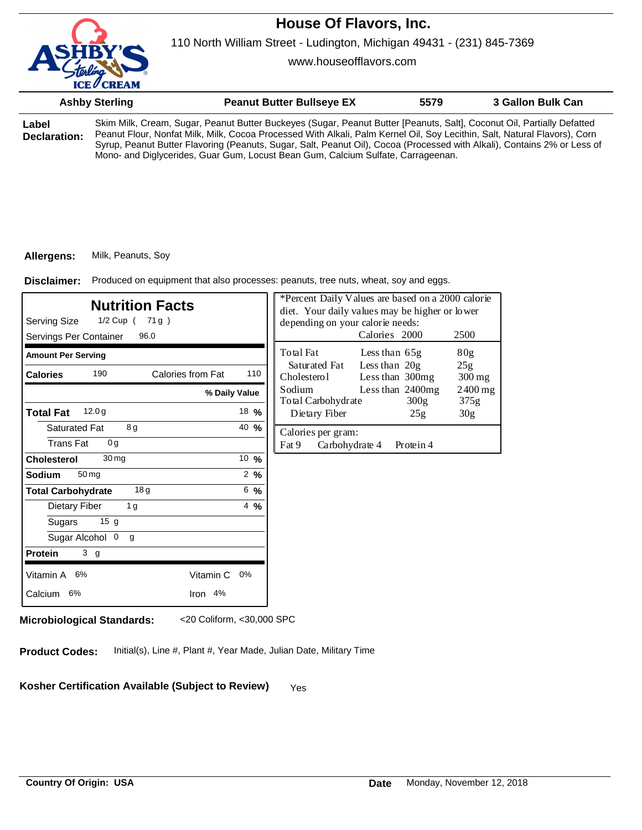

www.houseofflavors.com

|       | <b>Ashby Sterling</b> | <b>Peanut Butter Bullseye EX</b>                                                                                       | 5579 | 3 Gallon Bulk Can |
|-------|-----------------------|------------------------------------------------------------------------------------------------------------------------|------|-------------------|
| Label |                       | Skim Milk, Cream, Sugar, Peanut Butter Buckeyes (Sugar, Peanut Butter [Peanuts, Salt], Coconut Oil, Partially Defatted |      |                   |

**Declaration:** Peanut Flour, Nonfat Milk, Milk, Cocoa Processed With Alkali, Palm Kernel Oil, Soy Lecithin, Salt, Natural Flavors), Corn Syrup, Peanut Butter Flavoring (Peanuts, Sugar, Salt, Peanut Oil), Cocoa (Processed with Alkali), Contains 2% or Less of Mono- and Diglycerides, Guar Gum, Locust Bean Gum, Calcium Sulfate, Carrageenan.

#### **Allergens:** Milk, Peanuts, Soy

Produced on equipment that also processes: peanuts, tree nuts, wheat, soy and eggs. **Disclaimer:**

| <b>Nutrition Facts</b><br>Serving Size<br>1/2 Cup ( 71 g )<br>Servings Per Container<br>96.0 |                  | *Percent Daily Values are based on a 2000 calorie<br>diet. Your daily values may be higher or lower<br>depending on your calorie needs:<br>Calories 2000<br>2500 |                                  |                            |  |
|----------------------------------------------------------------------------------------------|------------------|------------------------------------------------------------------------------------------------------------------------------------------------------------------|----------------------------------|----------------------------|--|
| <b>Amount Per Serving</b>                                                                    |                  | Total Fat                                                                                                                                                        | Less than 65g                    | 80 <sub>g</sub>            |  |
| <b>Calories from Fat</b><br>190<br><b>Calories</b>                                           | 110              | Saturated Fat<br>Cholesterol                                                                                                                                     | Less than 20g<br>Less than 300mg | 25g<br>$300 \,\mathrm{mg}$ |  |
|                                                                                              | % Daily Value    | Sodium<br>Total Carbohydrate                                                                                                                                     | Less than 2400mg<br>300g         | $2400$ mg<br>375g          |  |
| 12.0 <sub>g</sub><br><b>Total Fat</b>                                                        | 18 $%$           | Dietary Fiber                                                                                                                                                    | 25g                              | 30 <sub>g</sub>            |  |
| 8g<br><b>Saturated Fat</b><br><b>Trans Fat</b><br>0 <sub>q</sub>                             | 40 $%$           | Calories per gram:<br>Fat 9<br>Carbohydrate 4                                                                                                                    | Protein 4                        |                            |  |
| 30 <sub>mg</sub><br><b>Cholesterol</b>                                                       | 10 $\frac{9}{6}$ |                                                                                                                                                                  |                                  |                            |  |
| 50 <sub>mg</sub><br>Sodium                                                                   | $2 \frac{9}{6}$  |                                                                                                                                                                  |                                  |                            |  |
| 18 <sub>g</sub><br><b>Total Carbohydrate</b>                                                 | 6, 9/6           |                                                                                                                                                                  |                                  |                            |  |
| <b>Dietary Fiber</b><br>1 <sub>g</sub>                                                       | $4\frac{9}{6}$   |                                                                                                                                                                  |                                  |                            |  |
| 15 <sub>g</sub><br>Sugars                                                                    |                  |                                                                                                                                                                  |                                  |                            |  |
| Sugar Alcohol 0<br>g                                                                         |                  |                                                                                                                                                                  |                                  |                            |  |
| 3 <sub>g</sub><br><b>Protein</b>                                                             |                  |                                                                                                                                                                  |                                  |                            |  |
| Vitamin A 6%<br>Vitamin C                                                                    | 0%               |                                                                                                                                                                  |                                  |                            |  |
| Calcium 6%<br>Iron 4%                                                                        |                  |                                                                                                                                                                  |                                  |                            |  |
|                                                                                              |                  |                                                                                                                                                                  |                                  |                            |  |

**Microbiological Standards:** <20 Coliform, <30,000 SPC

**Product Codes:** Initial(s), Line #, Plant #, Year Made, Julian Date, Military Time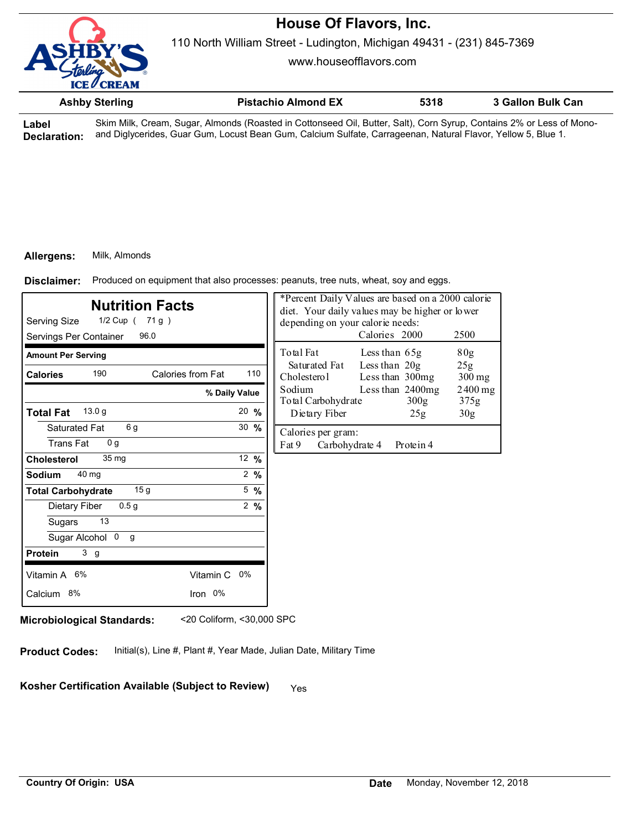

www.houseofflavors.com

| <b>Ashby Sterling</b> | <b>Pistachio Almond EX</b> | 5318 | 3 Gallon Bulk Can |
|-----------------------|----------------------------|------|-------------------|
|                       |                            |      |                   |

**Label Declaration:** Skim Milk, Cream, Sugar, Almonds (Roasted in Cottonseed Oil, Butter, Salt), Corn Syrup, Contains 2% or Less of Monoand Diglycerides, Guar Gum, Locust Bean Gum, Calcium Sulfate, Carrageenan, Natural Flavor, Yellow 5, Blue 1.

## **Allergens:** Milk, Almonds

Produced on equipment that also processes: peanuts, tree nuts, wheat, soy and eggs. **Disclaimer:**

| <b>Nutrition Facts</b><br>1/2 Cup ( 71 g )<br>Serving Size<br>Servings Per Container<br>96.0 |                  | *Percent Daily Values are based on a 2000 calorie<br>diet. Your daily values may be higher or lower<br>depending on your calorie needs:<br>Calories 2000<br>2500 |                                                                                           |  |  |
|----------------------------------------------------------------------------------------------|------------------|------------------------------------------------------------------------------------------------------------------------------------------------------------------|-------------------------------------------------------------------------------------------|--|--|
| <b>Amount Per Serving</b>                                                                    |                  |                                                                                                                                                                  | Total Fat<br>Less than $65g$<br>80g                                                       |  |  |
| 190<br>Calories from Fat<br><b>Calories</b>                                                  |                  | 110                                                                                                                                                              | Less than $20g$<br>Saturated Fat<br>25g<br>Cholesterol<br>Less than 300mg<br>$300$ mg     |  |  |
| % Daily Value                                                                                |                  |                                                                                                                                                                  | Sodium<br>Less than 2400mg<br>$2400$ mg<br>Total Carbohydrate<br>300 <sub>g</sub><br>375g |  |  |
| 13.0 <sub>g</sub><br><b>Total Fat</b>                                                        | $20 \frac{9}{6}$ |                                                                                                                                                                  | Dietary Fiber<br>30 <sub>g</sub><br>25g                                                   |  |  |
| 6g<br>Saturated Fat<br><b>Trans Fat</b><br>0 <sub>q</sub>                                    | 30 $%$           |                                                                                                                                                                  | Calories per gram:<br>Fat 9<br>Carbohydrate 4<br>Protein 4                                |  |  |
| 35 mg<br><b>Cholesterol</b>                                                                  | 12 $%$           |                                                                                                                                                                  |                                                                                           |  |  |
| 40 mg<br>Sodium                                                                              |                  | $2 \frac{9}{6}$                                                                                                                                                  |                                                                                           |  |  |
| 15 <sub>g</sub><br><b>Total Carbohydrate</b>                                                 |                  | $5\frac{9}{6}$                                                                                                                                                   |                                                                                           |  |  |
| 0.5 <sub>q</sub><br>Dietary Fiber                                                            |                  | $2\frac{9}{6}$                                                                                                                                                   |                                                                                           |  |  |
| 13<br>Sugars                                                                                 |                  |                                                                                                                                                                  |                                                                                           |  |  |
| Sugar Alcohol 0<br>g                                                                         |                  |                                                                                                                                                                  |                                                                                           |  |  |
| 3 <sub>g</sub><br><b>Protein</b>                                                             |                  |                                                                                                                                                                  |                                                                                           |  |  |
| Vitamin A 6%<br>Vitamin C 0%                                                                 |                  |                                                                                                                                                                  |                                                                                           |  |  |
| Iron 0%<br>Calcium 8%                                                                        |                  |                                                                                                                                                                  |                                                                                           |  |  |

**Microbiological Standards:** <20 Coliform, <30,000 SPC

**Product Codes:** Initial(s), Line #, Plant #, Year Made, Julian Date, Military Time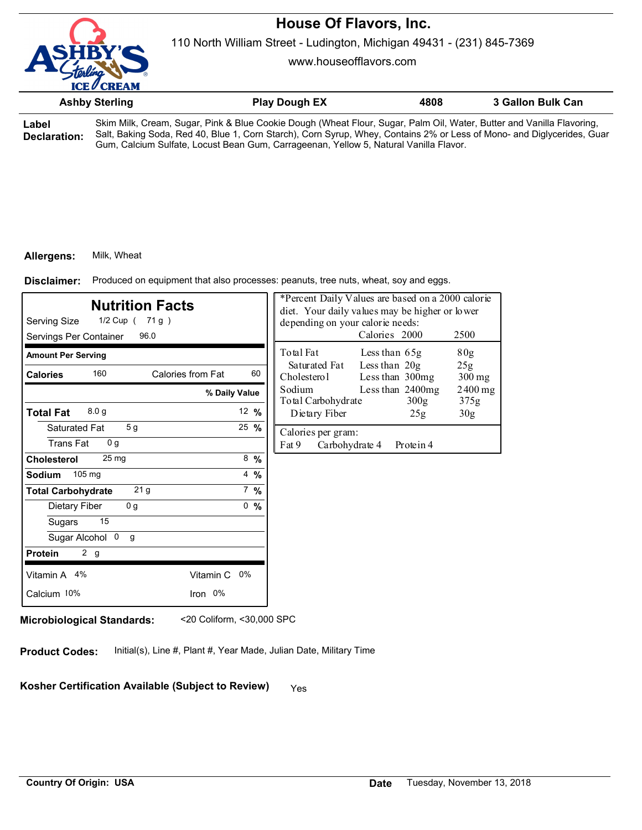

110 North William Street - Ludington, Michigan 49431 - (231) 845-7369

www.houseofflavors.com

|                       | <b>Ashby Sterling</b> | <b>Play Dough EX</b>                                                                                                                                                                                                                            | 4808 | 3 Gallon Bulk Can |
|-----------------------|-----------------------|-------------------------------------------------------------------------------------------------------------------------------------------------------------------------------------------------------------------------------------------------|------|-------------------|
| Label<br>Doclaration: |                       | Skim Milk, Cream, Sugar, Pink & Blue Cookie Dough (Wheat Flour, Sugar, Palm Oil, Water, Butter and Vanilla Flavoring,<br>Salt. Baking Soda, Red 40, Blue 1, Corn Starch), Corn Syrup, Whey, Contains 2% or Less of Mono- and Diglycerides, Guar |      |                   |

**Declaration:** Salt, Baking Soda, Red 40, Blue 1, Corn Starch), Corn Syrup, Whey, Contains 2% or Less of Mono- and Diglycerides, Guar Gum, Calcium Sulfate, Locust Bean Gum, Carrageenan, Yellow 5, Natural Vanilla Flavor.

### **Allergens:** Milk, Wheat

Produced on equipment that also processes: peanuts, tree nuts, wheat, soy and eggs. **Disclaimer:**

| <b>Nutrition Facts</b><br>Serving Size<br>$1/2$ Cup (71g)<br>96.0<br>Servings Per Container |                  | *Percent Daily Values are based on a 2000 calorie<br>diet. Your daily values may be higher or lower<br>depending on your calorie needs:<br>Calories 2000<br>2500 |  |  |  |
|---------------------------------------------------------------------------------------------|------------------|------------------------------------------------------------------------------------------------------------------------------------------------------------------|--|--|--|
| <b>Amount Per Serving</b>                                                                   |                  | Total Fat<br>80g<br>Less than $65g$                                                                                                                              |  |  |  |
| 160<br>Calories from Fat<br><b>Calories</b>                                                 | 60               | Less than $20g$<br>Saturated Fat<br>25g<br>Cholesterol<br>Less than 300mg<br>$300$ mg                                                                            |  |  |  |
|                                                                                             | % Daily Value    | Sodium<br>Less than 2400mg<br>$2400$ mg<br>Total Carbohydrate<br>300 <sub>g</sub><br>375g                                                                        |  |  |  |
| 8.0 <sub>g</sub><br><b>Total Fat</b>                                                        | 12 $%$           | Dietary Fiber<br>30 <sub>g</sub><br>25g                                                                                                                          |  |  |  |
| 5 <sub>g</sub><br>Saturated Fat                                                             | $25 \frac{9}{6}$ | Calories per gram:                                                                                                                                               |  |  |  |
| <b>Trans Fat</b><br>0 <sub>q</sub>                                                          |                  | Fat 9<br>Carbohydrate 4<br>Protein 4                                                                                                                             |  |  |  |
| 25 <sub>mg</sub><br><b>Cholesterol</b>                                                      | $8\frac{9}{6}$   |                                                                                                                                                                  |  |  |  |
| 105 mg<br><b>Sodium</b>                                                                     | $4\frac{9}{6}$   |                                                                                                                                                                  |  |  |  |
| 21 <sub>g</sub><br><b>Total Carbohydrate</b>                                                | $7 \frac{9}{6}$  |                                                                                                                                                                  |  |  |  |
| 0 <sub>g</sub><br>Dietary Fiber                                                             | 0, 9/6           |                                                                                                                                                                  |  |  |  |
| 15<br>Sugars                                                                                |                  |                                                                                                                                                                  |  |  |  |
| Sugar Alcohol 0<br>g                                                                        |                  |                                                                                                                                                                  |  |  |  |
| 2 <sub>g</sub><br><b>Protein</b>                                                            |                  |                                                                                                                                                                  |  |  |  |
| Vitamin A 4%                                                                                | Vitamin C 0%     |                                                                                                                                                                  |  |  |  |
| Calcium 10%                                                                                 | Iron 0%          |                                                                                                                                                                  |  |  |  |
|                                                                                             |                  |                                                                                                                                                                  |  |  |  |

**Microbiological Standards:** <20 Coliform, <30,000 SPC

**Product Codes:** Initial(s), Line #, Plant #, Year Made, Julian Date, Military Time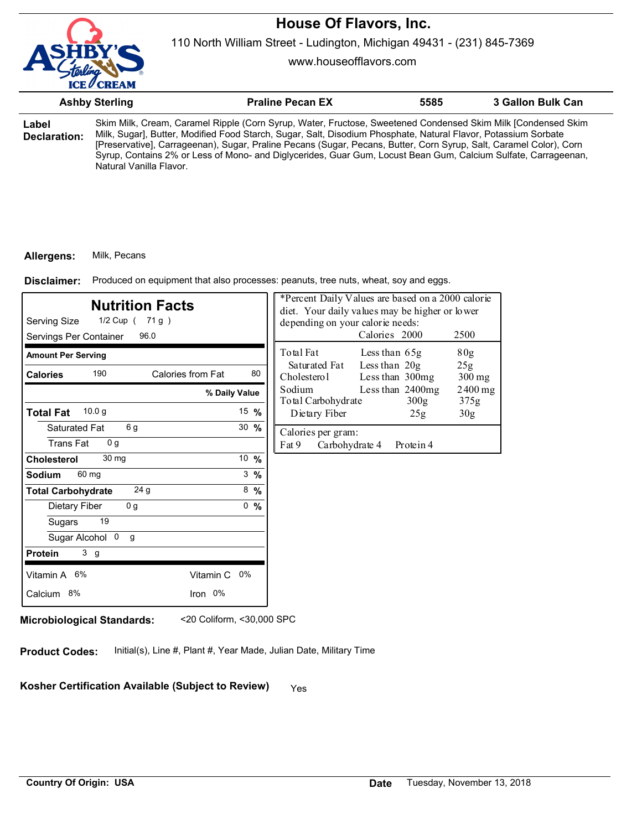

110 North William Street - Ludington, Michigan 49431 - (231) 845-7369

www.houseofflavors.com

|                                        | <b>Ashby Sterling</b>                                                                                                                                                                                                                                                                                                                                                                                                                                                                             |                     | <b>Praline Pecan EX</b>                                      | 5585                                                                                                                 |                                                 | 3 Gallon Bulk Can |
|----------------------------------------|---------------------------------------------------------------------------------------------------------------------------------------------------------------------------------------------------------------------------------------------------------------------------------------------------------------------------------------------------------------------------------------------------------------------------------------------------------------------------------------------------|---------------------|--------------------------------------------------------------|----------------------------------------------------------------------------------------------------------------------|-------------------------------------------------|-------------------|
| Label<br><b>Declaration:</b>           | Skim Milk, Cream, Caramel Ripple (Corn Syrup, Water, Fructose, Sweetened Condensed Skim Milk [Condensed Skim<br>Milk, Sugar], Butter, Modified Food Starch, Sugar, Salt, Disodium Phosphate, Natural Flavor, Potassium Sorbate<br>[Preservative], Carrageenan), Sugar, Praline Pecans (Sugar, Pecans, Butter, Corn Syrup, Salt, Caramel Color), Corn<br>Syrup, Contains 2% or Less of Mono- and Diglycerides, Guar Gum, Locust Bean Gum, Calcium Sulfate, Carrageenan,<br>Natural Vanilla Flavor. |                     |                                                              |                                                                                                                      |                                                 |                   |
| Allergens:<br>Disclaimer:              | Milk, Pecans<br>Produced on equipment that also processes: peanuts, tree nuts, wheat, soy and eggs.                                                                                                                                                                                                                                                                                                                                                                                               |                     |                                                              |                                                                                                                      |                                                 |                   |
| Serving Size<br>Servings Per Container | <b>Nutrition Facts</b><br>1/2 Cup ( 71 g )<br>96.0                                                                                                                                                                                                                                                                                                                                                                                                                                                |                     | depending on your calorie needs:                             | *Percent Daily Values are based on a 2000 calorie<br>diet. Your daily values may be higher or lower<br>Calories 2000 | 2500                                            |                   |
| <b>Amount Per Serving</b>              |                                                                                                                                                                                                                                                                                                                                                                                                                                                                                                   |                     | Total Fat                                                    | Less than $65g$                                                                                                      | 80g                                             |                   |
| <b>Calories</b>                        | 190<br>Calories from Fat                                                                                                                                                                                                                                                                                                                                                                                                                                                                          | 80<br>% Daily Value | Saturated Fat<br>Cholestero1<br>Sodium<br>Total Carbohydrate | Less than $20g$<br>Less than 300mg<br>Less than 2400mg<br>300 <sub>g</sub>                                           | 25g<br>$300 \,\mathrm{mg}$<br>$2400$ mg<br>375g |                   |
| <b>Total Fat</b>                       | 10.0 g                                                                                                                                                                                                                                                                                                                                                                                                                                                                                            | 15 %                | Dietary Fiber                                                | 25g                                                                                                                  | 30 <sub>g</sub>                                 |                   |

| Servings Per Container                             | 96.0              |                  | Calorie                                          |
|----------------------------------------------------|-------------------|------------------|--------------------------------------------------|
| <b>Amount Per Serving</b><br>190                   | Calories from Fat | 80               | Total Fat<br>Less th<br>Saturated Fat<br>Less th |
| <b>Calories</b>                                    | % Daily Value     |                  | Cholesterol<br>Less th<br>Sodium<br>Less th      |
| 10.0 g<br><b>Total Fat</b>                         |                   | 15 $%$           | Total Carbohydrate<br>Dietary Fiber              |
| 6g<br>Saturated Fat<br>0 <sub>g</sub><br>Trans Fat |                   | $30 \frac{9}{6}$ | Calories per gram:<br>Fat 9<br>Carbohydrate 4    |
| 30 <sub>mg</sub><br><b>Cholesterol</b>             |                   | 10 %             |                                                  |
| 60 mg<br><b>Sodium</b>                             |                   | $3\frac{9}{6}$   |                                                  |
| 24 <sub>g</sub><br><b>Total Carbohydrate</b>       |                   | $8\,%$           |                                                  |
| 0 <sub>g</sub><br>Dietary Fiber                    |                   | %<br>0           |                                                  |
| 19<br>Sugars                                       |                   |                  |                                                  |
| Sugar Alcohol 0<br>$\mathsf{q}$                    |                   |                  |                                                  |
| 3 <sub>g</sub><br><b>Protein</b>                   |                   |                  |                                                  |
| Vitamin A 6%                                       | Vitamin C 0%      |                  |                                                  |
| Calcium 8%                                         | Iron 0%           |                  |                                                  |
|                                                    |                   |                  |                                                  |

**Microbiological Standards:** <20 Coliform, <30,000 SPC

**Product Codes:** Initial(s), Line #, Plant #, Year Made, Julian Date, Military Time

Kosher Certification Available (Subject to Review) Yes

Protein 4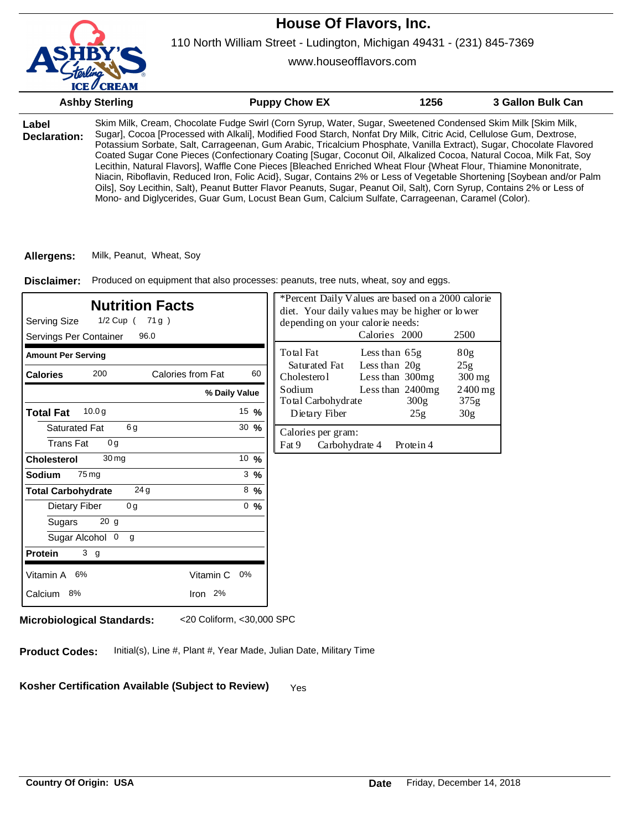110 North William Street - Ludington, Michigan 49431 - (231) 845-7369

www.houseofflavors.com

|                       | <b>Ashby Sterling</b> | <b>Puppy Chow EX</b>                                                                                                                                                                                                                                                                                                                                                                                                                                                                                                                                                                                                                                                                                                                                                                                                                                                                                                                                           | 1256 | 3 Gallon Bulk Can |
|-----------------------|-----------------------|----------------------------------------------------------------------------------------------------------------------------------------------------------------------------------------------------------------------------------------------------------------------------------------------------------------------------------------------------------------------------------------------------------------------------------------------------------------------------------------------------------------------------------------------------------------------------------------------------------------------------------------------------------------------------------------------------------------------------------------------------------------------------------------------------------------------------------------------------------------------------------------------------------------------------------------------------------------|------|-------------------|
| Label<br>Declaration: |                       | Skim Milk, Cream, Chocolate Fudge Swirl (Corn Syrup, Water, Sugar, Sweetened Condensed Skim Milk [Skim Milk,<br>Sugar], Cocoa [Processed with Alkali], Modified Food Starch, Nonfat Dry Milk, Citric Acid, Cellulose Gum, Dextrose,<br>Potassium Sorbate, Salt, Carrageenan, Gum Arabic, Tricalcium Phosphate, Vanilla Extract), Sugar, Chocolate Flavored<br>Coated Sugar Cone Pieces (Confectionary Coating [Sugar, Coconut Oil, Alkalized Cocoa, Natural Cocoa, Milk Fat, Soy<br>Lecithin, Natural Flavors], Waffle Cone Pieces [Bleached Enriched Wheat Flour {Wheat Flour, Thiamine Mononitrate,<br>Niacin, Riboflavin, Reduced Iron, Folic Acid}, Sugar, Contains 2% or Less of Vegetable Shortening [Soybean and/or Palm<br>Oils], Soy Lecithin, Salt), Peanut Butter Flavor Peanuts, Sugar, Peanut Oil, Salt), Corn Syrup, Contains 2% or Less of<br>Mono- and Diglycerides, Guar Gum, Locust Bean Gum, Calcium Sulfate, Carrageenan, Caramel (Color). |      |                   |
|                       |                       |                                                                                                                                                                                                                                                                                                                                                                                                                                                                                                                                                                                                                                                                                                                                                                                                                                                                                                                                                                |      |                   |

**Allergens:** Milk, Peanut, Wheat, Soy

Disclaimer: Produced on equipment that also processes: peanuts, tree nuts, wheat, soy and eggs.

| *Percent Daily Values are based on a 2000 calorie<br><b>Nutrition Facts</b><br>diet. Your daily values may be higher or lower<br>Serving Size<br>1/2 Cup (<br>71g)<br>depending on your calorie needs:<br>Calories 2000<br>Servings Per Container<br>96.0 |                  |                                                                      |                                  | 2500                       |  |
|-----------------------------------------------------------------------------------------------------------------------------------------------------------------------------------------------------------------------------------------------------------|------------------|----------------------------------------------------------------------|----------------------------------|----------------------------|--|
| <b>Amount Per Serving</b>                                                                                                                                                                                                                                 |                  | Total Fat                                                            | Less than 65g                    | 80 <sub>g</sub>            |  |
| 200<br>Calories from Fat<br><b>Calories</b>                                                                                                                                                                                                               | 60               | Saturated Fat<br>Cholesterol                                         | Less than 20g<br>Less than 300mg | 25g<br>$300 \,\mathrm{mg}$ |  |
|                                                                                                                                                                                                                                                           | % Daily Value    | Sodium<br>Less than 2400mg<br>300 <sub>g</sub><br>Total Carbohydrate |                                  | 2400 mg<br>375g            |  |
| 10.0 <sub>g</sub><br><b>Total Fat</b>                                                                                                                                                                                                                     | 15 $%$           | Dietary Fiber                                                        | 25g                              | 30 <sub>g</sub>            |  |
| 6g<br><b>Saturated Fat</b><br><b>Trans Fat</b><br>0 <sub>q</sub>                                                                                                                                                                                          | $30 \frac{9}{6}$ | Calories per gram:<br>Fat 9<br>Carbohydrate 4                        | Protein 4                        |                            |  |
| 30 <sub>mg</sub><br><b>Cholesterol</b>                                                                                                                                                                                                                    | 10 $%$           |                                                                      |                                  |                            |  |
| 75 mg<br>Sodium                                                                                                                                                                                                                                           | $3\%$            |                                                                      |                                  |                            |  |
| 24 <sub>g</sub><br><b>Total Carbohydrate</b>                                                                                                                                                                                                              | $8\%$            |                                                                      |                                  |                            |  |
| Dietary Fiber<br>0 <sub>g</sub>                                                                                                                                                                                                                           | 0, 96            |                                                                      |                                  |                            |  |
| 20 g<br>Sugars                                                                                                                                                                                                                                            |                  |                                                                      |                                  |                            |  |
| Sugar Alcohol 0<br>g                                                                                                                                                                                                                                      |                  |                                                                      |                                  |                            |  |
| 3 <sub>g</sub><br><b>Protein</b>                                                                                                                                                                                                                          |                  |                                                                      |                                  |                            |  |
| Vitamin A<br>Vitamin C<br>6%                                                                                                                                                                                                                              | 0%               |                                                                      |                                  |                            |  |
| Calcium 8%<br>Iron 2%                                                                                                                                                                                                                                     |                  |                                                                      |                                  |                            |  |

**Microbiological Standards:** <20 Coliform, <30,000 SPC

**Product Codes:** Initial(s), Line #, Plant #, Year Made, Julian Date, Military Time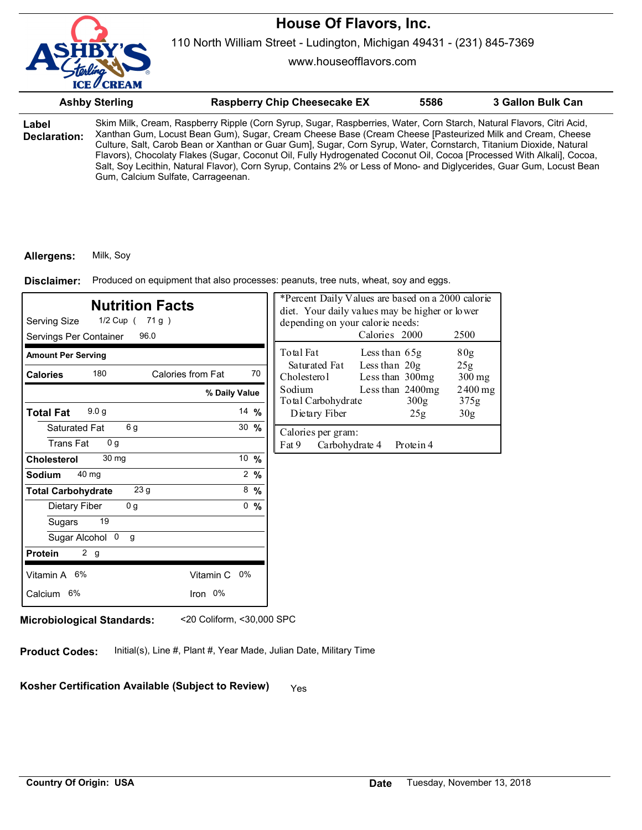

www.houseofflavors.com

|                       | <b>Ashby Sterling</b>              | <b>Raspberry Chip Cheesecake EX</b>                                                                                                                                                                                                                                                                                                                                                                                                                                                                                                                                                                       | 5586 | 3 Gallon Bulk Can |
|-----------------------|------------------------------------|-----------------------------------------------------------------------------------------------------------------------------------------------------------------------------------------------------------------------------------------------------------------------------------------------------------------------------------------------------------------------------------------------------------------------------------------------------------------------------------------------------------------------------------------------------------------------------------------------------------|------|-------------------|
| Label<br>Declaration: | Gum, Calcium Sulfate, Carrageenan. | Skim Milk, Cream, Raspberry Ripple (Corn Syrup, Sugar, Raspberries, Water, Corn Starch, Natural Flavors, Citri Acid,<br>Xanthan Gum, Locust Bean Gum), Sugar, Cream Cheese Base (Cream Cheese [Pasteurized Milk and Cream, Cheese<br>Culture, Salt, Carob Bean or Xanthan or Guar Gum], Sugar, Corn Syrup, Water, Cornstarch, Titanium Dioxide, Natural<br>Flavors), Chocolaty Flakes (Sugar, Coconut Oil, Fully Hydrogenated Coconut Oil, Cocoa [Processed With Alkali], Cocoa,<br>Salt, Soy Lecithin, Natural Flavor), Corn Syrup, Contains 2% or Less of Mono- and Diglycerides, Guar Gum, Locust Bean |      |                   |

#### **Allergens:** Milk, Soy

Produced on equipment that also processes: peanuts, tree nuts, wheat, soy and eggs. **Disclaimer:**

| <b>Nutrition Facts</b><br>Serving Size<br>1/2 Cup ( 71 g )<br>Servings Per Container<br>96.0 |                  | *Percent Daily Values are based on a 2000 calorie<br>diet. Your daily values may be higher or lower<br>depending on your calorie needs:<br>Calories 2000<br>2500 |                                      |                   |
|----------------------------------------------------------------------------------------------|------------------|------------------------------------------------------------------------------------------------------------------------------------------------------------------|--------------------------------------|-------------------|
| <b>Amount Per Serving</b>                                                                    |                  | Total Fat                                                                                                                                                        | Less than 65g                        | 80 <sub>g</sub>   |
| 180<br>Calories from Fat<br><b>Calories</b>                                                  | 70               | Saturated Fat<br>Cholesterol                                                                                                                                     | Less than 20g<br>Less than 300mg     | 25g<br>$300$ mg   |
|                                                                                              | % Daily Value    | Sodium<br>Total Carbohydrate                                                                                                                                     | Less than 2400mg<br>300 <sub>g</sub> | $2400$ mg<br>375g |
| 9.0 <sub>g</sub><br><b>Total Fat</b>                                                         | 14 $%$           | Dietary Fiber                                                                                                                                                    | 25g                                  | 30 <sub>g</sub>   |
| 6g<br>Saturated Fat<br><b>Trans Fat</b><br>0 <sub>q</sub>                                    | $30 \frac{9}{6}$ | Calories per gram:<br>Fat 9<br>Carbohydrate 4                                                                                                                    | Protein 4                            |                   |
| 30 mg<br><b>Cholesterol</b>                                                                  | 10 %             |                                                                                                                                                                  |                                      |                   |
| 40 mg<br><b>Sodium</b>                                                                       | $2 \frac{9}{6}$  |                                                                                                                                                                  |                                      |                   |
| 23 g<br><b>Total Carbohydrate</b>                                                            | $8\frac{9}{6}$   |                                                                                                                                                                  |                                      |                   |
| 0 <sub>g</sub><br>Dietary Fiber                                                              | 0, 9/6           |                                                                                                                                                                  |                                      |                   |
| 19<br>Sugars                                                                                 |                  |                                                                                                                                                                  |                                      |                   |
| Sugar Alcohol 0<br>$\mathsf{q}$                                                              |                  |                                                                                                                                                                  |                                      |                   |
| 2 <sub>g</sub><br><b>Protein</b>                                                             |                  |                                                                                                                                                                  |                                      |                   |
| Vitamin A 6%<br>Vitamin C 0%                                                                 |                  |                                                                                                                                                                  |                                      |                   |
| Iron 0%<br>Calcium 6%                                                                        |                  |                                                                                                                                                                  |                                      |                   |

**Microbiological Standards:** <20 Coliform, <30,000 SPC

**Product Codes:** Initial(s), Line #, Plant #, Year Made, Julian Date, Military Time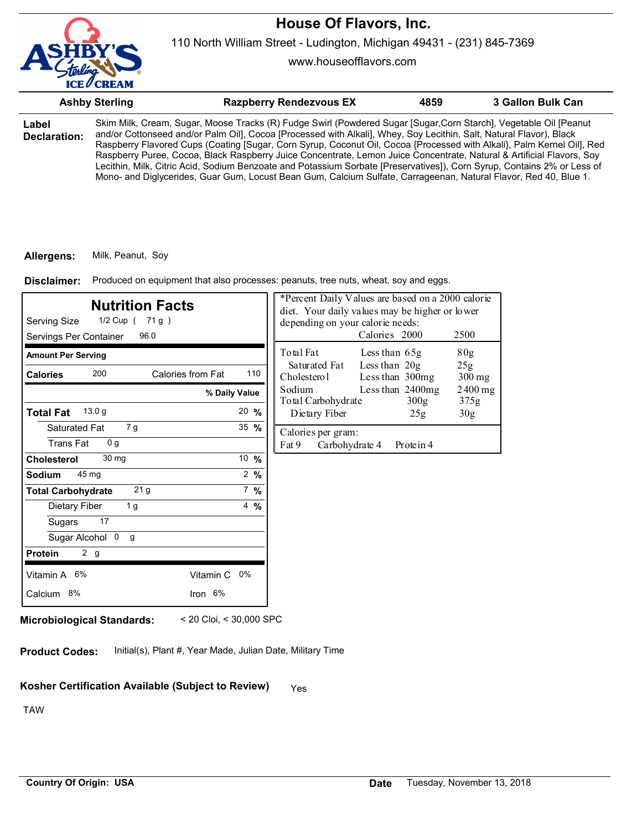

www.houseofflavors.com

|                       | <b>Ashby Sterling</b> | <b>Razpberry Rendezvous EX</b>                                                                                                                                                                                                                                                                                                                                                                                                                                                                                                                                                                                                                                                                                                            | 4859 | 3 Gallon Bulk Can |
|-----------------------|-----------------------|-------------------------------------------------------------------------------------------------------------------------------------------------------------------------------------------------------------------------------------------------------------------------------------------------------------------------------------------------------------------------------------------------------------------------------------------------------------------------------------------------------------------------------------------------------------------------------------------------------------------------------------------------------------------------------------------------------------------------------------------|------|-------------------|
| Label<br>Declaration: |                       | Skim Milk, Cream, Sugar, Moose Tracks (R) Fudge Swirl (Powdered Sugar [Sugar,Corn Starch], Vegetable Oil [Peanut<br>and/or Cottonseed and/or Palm Oil], Cocoa [Processed with Alkali], Whey, Soy Lecithin, Salt, Natural Flavor), Black<br>Raspberry Flavored Cups (Coating [Sugar, Corn Syrup, Coconut Oil, Cocoa {Processed with Alkali}, Palm Kernel Oil], Red<br>Raspberry Puree, Cocoa, Black Raspberry Juice Concentrate, Lemon Juice Concentrate, Natural & Artificial Flavors, Soy<br>Lecithin, Milk, Citric Acid, Sodium Benzoate and Potassium Sorbate [Preservatives]), Corn Syrup, Contains 2% or Less of<br>Mono- and Diglycerides, Guar Gum, Locust Bean Gum, Calcium Sulfate, Carrageenan, Natural Flavor, Red 40, Blue 1. |      |                   |

#### **Allergens:** Milk, Peanut, Soy

Produced on equipment that also processes: peanuts, tree nuts, wheat, soy and eggs. **Disclaimer:**

| <b>Nutrition Facts</b><br>Serving Size<br>1/2 Cup ( 71 g )<br>96.0<br>Servings Per Container |                  | *Percent Daily Values are based on a 2000 calorie<br>diet. Your daily values may be higher or lower<br>depending on your calorie needs:<br>Calories 2000<br>2500 |
|----------------------------------------------------------------------------------------------|------------------|------------------------------------------------------------------------------------------------------------------------------------------------------------------|
| <b>Amount Per Serving</b>                                                                    |                  | Total Fat<br>80 <sub>g</sub><br>Less than 65g                                                                                                                    |
| 200<br>Calories from Fat<br><b>Calories</b>                                                  | 110              | Less than 20g<br>Saturated Fat<br>25g<br>Cholesterol<br>Less than 300mg<br>$300$ mg                                                                              |
| % Daily Value                                                                                |                  | Sodium<br>Less than 2400mg<br>$2400$ mg<br>Total Carbohydrate<br>375g<br>300g                                                                                    |
| 13.0 <sub>g</sub><br><b>Total Fat</b>                                                        | $20 \frac{9}{6}$ | Dietary Fiber<br>30 <sub>g</sub><br>25g                                                                                                                          |
| Saturated Fat<br>7 g<br>0 <sub>g</sub><br>Trans Fat                                          | 35 $%$           | Calories per gram:<br>Fat 9<br>Carbohydrate 4<br>Protein 4                                                                                                       |
| 30 mg<br><b>Cholesterol</b>                                                                  | 10 $%$           |                                                                                                                                                                  |
| 45 mg<br><b>Sodium</b>                                                                       | $2 \frac{9}{6}$  |                                                                                                                                                                  |
| 21 <sub>g</sub><br><b>Total Carbohydrate</b>                                                 | $7 \frac{9}{6}$  |                                                                                                                                                                  |
| Dietary Fiber<br>1 g                                                                         | $4\frac{9}{6}$   |                                                                                                                                                                  |
| 17<br>Sugars                                                                                 |                  |                                                                                                                                                                  |
| Sugar Alcohol 0<br>g                                                                         |                  |                                                                                                                                                                  |
| 2 g<br><b>Protein</b>                                                                        |                  |                                                                                                                                                                  |
| Vitamin A 6%<br>Vitamin C 0%                                                                 |                  |                                                                                                                                                                  |
| Iron 6%<br>Calcium 8%                                                                        |                  |                                                                                                                                                                  |

**Microbiological Standards:** < 20 Cloi, < 30,000 SPC

**Product Codes:** Initial(s), Plant #, Year Made, Julian Date, Military Time

# Kosher Certification Available (Subject to Review) Yes

TAW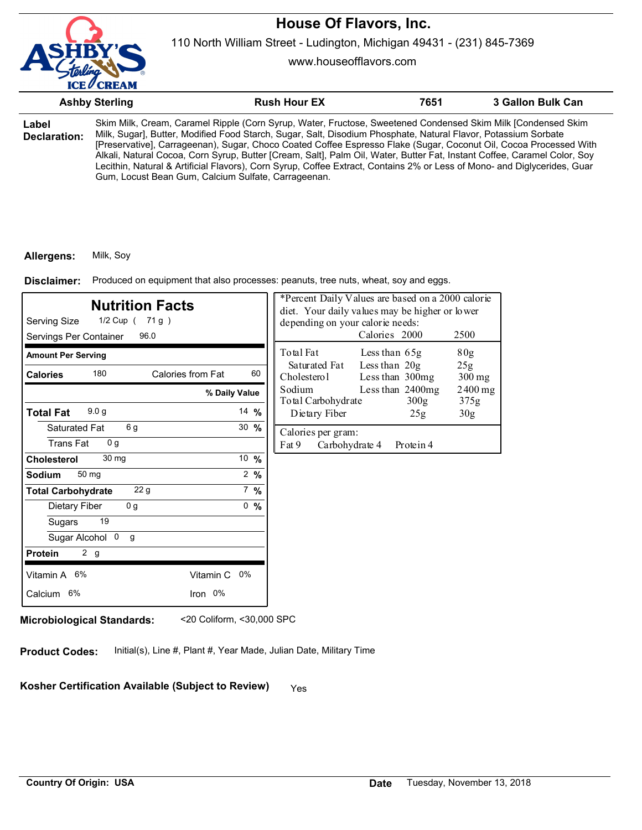

110 North William Street - Ludington, Michigan 49431 - (231) 845-7369

www.houseofflavors.com

|                       | <b>Ashby Sterling</b>                                                                                                                                                                                                                                                                                                                                                                                                                                                                                                                                                                                                                                              | <b>Rush Hour EX</b> | 7651 | 3 Gallon Bulk Can |
|-----------------------|--------------------------------------------------------------------------------------------------------------------------------------------------------------------------------------------------------------------------------------------------------------------------------------------------------------------------------------------------------------------------------------------------------------------------------------------------------------------------------------------------------------------------------------------------------------------------------------------------------------------------------------------------------------------|---------------------|------|-------------------|
| Label<br>Declaration: | Skim Milk, Cream, Caramel Ripple (Corn Syrup, Water, Fructose, Sweetened Condensed Skim Milk [Condensed Skim<br>Milk, Sugar], Butter, Modified Food Starch, Sugar, Salt, Disodium Phosphate, Natural Flavor, Potassium Sorbate<br>[Preservative], Carrageenan), Sugar, Choco Coated Coffee Espresso Flake (Sugar, Coconut Oil, Cocoa Processed With<br>Alkali, Natural Cocoa, Corn Syrup, Butter [Cream, Salt], Palm Oil, Water, Butter Fat, Instant Coffee, Caramel Color, Soy<br>Lecithin, Natural & Artificial Flavors), Corn Syrup, Coffee Extract, Contains 2% or Less of Mono- and Diglycerides, Guar<br>Gum, Locust Bean Gum, Calcium Sulfate, Carrageenan. |                     |      |                   |

### **Allergens:** Milk, Soy

Produced on equipment that also processes: peanuts, tree nuts, wheat, soy and eggs. **Disclaimer:**

| <b>Nutrition Facts</b><br>Serving Size<br>1/2 Cup ( 71 g )<br>Servings Per Container<br>96.0 |                  | *Percent Daily Values are based on a 2000 calorie<br>diet. Your daily values may be higher or lower<br>depending on your calorie needs:<br>Calories 2000<br>2500 |                                      |                   |
|----------------------------------------------------------------------------------------------|------------------|------------------------------------------------------------------------------------------------------------------------------------------------------------------|--------------------------------------|-------------------|
| <b>Amount Per Serving</b>                                                                    |                  | Total Fat                                                                                                                                                        | Less than 65g                        | 80 <sub>g</sub>   |
| 180<br>Calories from Fat<br><b>Calories</b>                                                  | 60               | Saturated Fat<br>Cholesterol                                                                                                                                     | Less than 20g<br>Less than 300mg     | 25g<br>$300$ mg   |
|                                                                                              | % Daily Value    | Sodium<br>Total Carbohydrate                                                                                                                                     | Less than 2400mg<br>300 <sub>g</sub> | $2400$ mg<br>375g |
| 9.0 <sub>g</sub><br><b>Total Fat</b>                                                         | 14 $%$           | Dietary Fiber                                                                                                                                                    | 25g                                  | 30 <sub>g</sub>   |
| 6g<br>Saturated Fat<br><b>Trans Fat</b><br>0 <sub>q</sub>                                    | $30 \frac{9}{6}$ | Calories per gram:<br>Fat 9<br>Carbohydrate 4                                                                                                                    | Protein 4                            |                   |
| 30 mg<br><b>Cholesterol</b>                                                                  | 10 %             |                                                                                                                                                                  |                                      |                   |
| 50 mg<br><b>Sodium</b>                                                                       | $2 \frac{9}{6}$  |                                                                                                                                                                  |                                      |                   |
| 22 <sub>g</sub><br><b>Total Carbohydrate</b>                                                 | $7\%$            |                                                                                                                                                                  |                                      |                   |
| 0 <sub>g</sub><br>Dietary Fiber                                                              | 0, 9/6           |                                                                                                                                                                  |                                      |                   |
| 19<br>Sugars                                                                                 |                  |                                                                                                                                                                  |                                      |                   |
| Sugar Alcohol 0<br>$\mathsf{q}$                                                              |                  |                                                                                                                                                                  |                                      |                   |
| 2 <sub>g</sub><br><b>Protein</b>                                                             |                  |                                                                                                                                                                  |                                      |                   |
| Vitamin A 6%                                                                                 | Vitamin C 0%     |                                                                                                                                                                  |                                      |                   |
| Calcium 6%                                                                                   | Iron 0%          |                                                                                                                                                                  |                                      |                   |

**Microbiological Standards:** <20 Coliform, <30,000 SPC

**Product Codes:** Initial(s), Line #, Plant #, Year Made, Julian Date, Military Time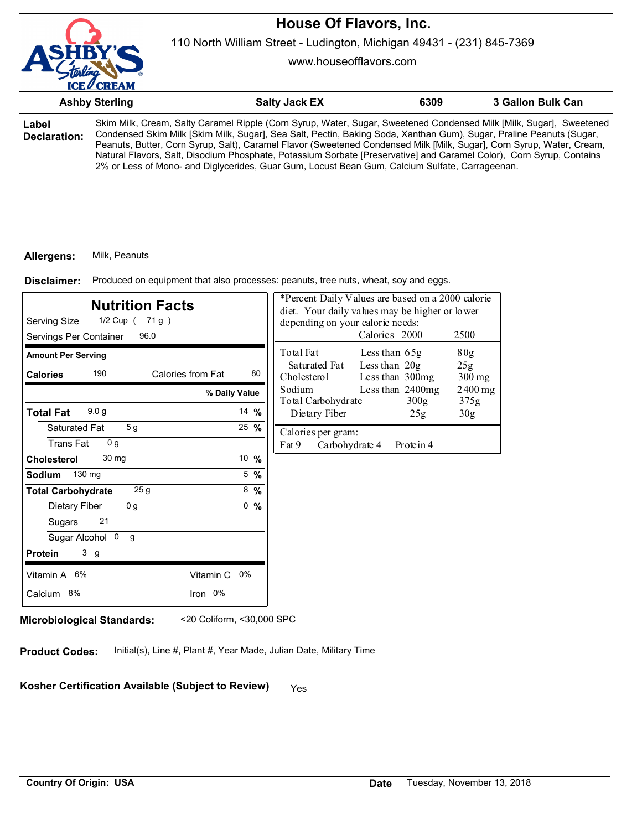

110 North William Street - Ludington, Michigan 49431 - (231) 845-7369

www.houseofflavors.com

|                       | <b>Ashby Sterling</b>                                                                                                                                                                                                                                                                                                                                                                                                                                                                                                                                                                         | <b>Salty Jack EX</b> | 6309 | 3 Gallon Bulk Can |
|-----------------------|-----------------------------------------------------------------------------------------------------------------------------------------------------------------------------------------------------------------------------------------------------------------------------------------------------------------------------------------------------------------------------------------------------------------------------------------------------------------------------------------------------------------------------------------------------------------------------------------------|----------------------|------|-------------------|
| Label<br>Declaration: | Skim Milk, Cream, Salty Caramel Ripple (Corn Syrup, Water, Sugar, Sweetened Condensed Milk [Milk, Sugar], Sweetened<br>Condensed Skim Milk [Skim Milk, Sugar], Sea Salt, Pectin, Baking Soda, Xanthan Gum), Sugar, Praline Peanuts (Sugar,<br>Peanuts, Butter, Corn Syrup, Salt), Caramel Flavor (Sweetened Condensed Milk [Milk, Sugar], Corn Syrup, Water, Cream,<br>Natural Flavors, Salt, Disodium Phosphate, Potassium Sorbate [Preservative] and Caramel Color), Corn Syrup, Contains<br>2% or Less of Mono- and Diglycerides, Guar Gum, Locust Bean Gum, Calcium Sulfate, Carrageenan. |                      |      |                   |

#### **Allergens:** Milk, Peanuts

Produced on equipment that also processes: peanuts, tree nuts, wheat, soy and eggs. **Disclaimer:**

| Serving Size<br>Servings Per Container              | <b>Nutrition Facts</b><br>1/2 Cup ( 71 g )<br>96.0 |                | *Percent Daily Values are based on a 2000 calorie<br>diet. Your daily values may be higher or lower<br>depending on your calorie needs:<br>Calories 2000 |                 |                  | 2500              |
|-----------------------------------------------------|----------------------------------------------------|----------------|----------------------------------------------------------------------------------------------------------------------------------------------------------|-----------------|------------------|-------------------|
| <b>Amount Per Serving</b>                           |                                                    |                | Total Fat                                                                                                                                                | Less than 65g   |                  | 80 <sub>g</sub>   |
| 190<br><b>Calories</b>                              | Calories from Fat                                  | 80             | Saturated Fat<br>Cholesterol                                                                                                                             | Less than $20g$ | Less than 300mg  | 25g<br>$300$ mg   |
|                                                     | % Daily Value                                      |                | Less than 2400mg<br>Sodium<br>Total Carbohydrate                                                                                                         |                 | 300 <sub>g</sub> | $2400$ mg<br>375g |
| 9.0 <sub>g</sub><br><b>Total Fat</b>                |                                                    | 14 $%$         | Dietary Fiber                                                                                                                                            |                 | 25g              | 30 <sub>g</sub>   |
| Saturated Fat<br><b>Trans Fat</b><br>0 <sub>q</sub> | 5 <sub>g</sub>                                     | 25 %           | Calories per gram:<br>Fat 9                                                                                                                              | Carbohydrate 4  | Protein 4        |                   |
| 30 mg<br><b>Cholesterol</b>                         |                                                    | 10 %           |                                                                                                                                                          |                 |                  |                   |
| 130 mg<br><b>Sodium</b>                             |                                                    | $5\frac{9}{6}$ |                                                                                                                                                          |                 |                  |                   |
| <b>Total Carbohydrate</b>                           | 25 <sub>g</sub>                                    | $8\frac{9}{6}$ |                                                                                                                                                          |                 |                  |                   |
| Dietary Fiber                                       | 0 <sub>g</sub>                                     | 0, 9/6         |                                                                                                                                                          |                 |                  |                   |
| 21<br>Sugars                                        |                                                    |                |                                                                                                                                                          |                 |                  |                   |
| Sugar Alcohol 0                                     | g                                                  |                |                                                                                                                                                          |                 |                  |                   |
| 3 <sub>g</sub><br><b>Protein</b>                    |                                                    |                |                                                                                                                                                          |                 |                  |                   |
| Vitamin A 6%                                        | Vitamin C 0%                                       |                |                                                                                                                                                          |                 |                  |                   |
| Calcium 8%                                          | Iron 0%                                            |                |                                                                                                                                                          |                 |                  |                   |

**Microbiological Standards:** <20 Coliform, <30,000 SPC

**Product Codes:** Initial(s), Line #, Plant #, Year Made, Julian Date, Military Time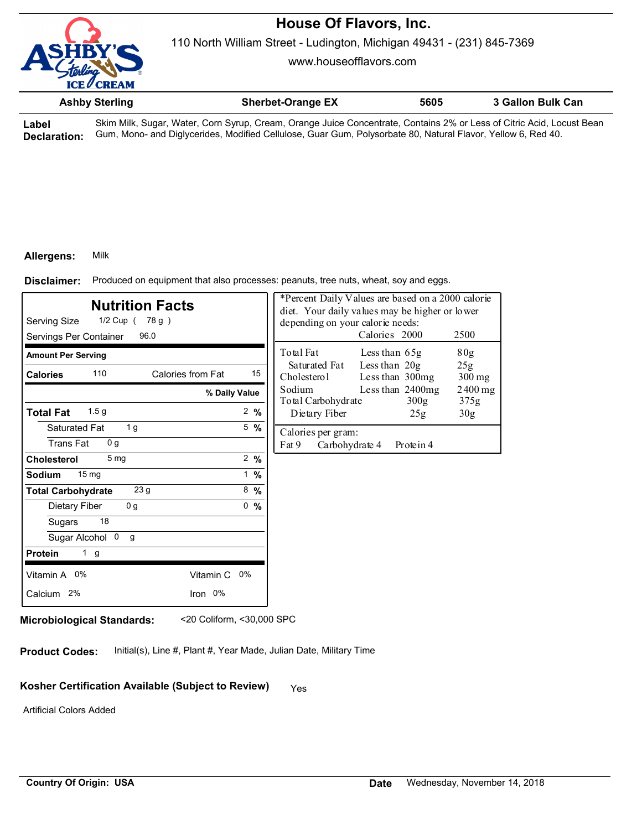

110 North William Street - Ludington, Michigan 49431 - (231) 845-7369

www.houseofflavors.com

| <b>Ashby Sterling</b> | <b>Sherbet-Orange EX</b> | 5605 | 3 Gallon Bulk Can |
|-----------------------|--------------------------|------|-------------------|
|                       |                          |      |                   |

**Label Declaration:** Skim Milk, Sugar, Water, Corn Syrup, Cream, Orange Juice Concentrate, Contains 2% or Less of Citric Acid, Locust Bean Gum, Mono- and Diglycerides, Modified Cellulose, Guar Gum, Polysorbate 80, Natural Flavor, Yellow 6, Red 40.

#### **Allergens:** Milk

Produced on equipment that also processes: peanuts, tree nuts, wheat, soy and eggs. **Disclaimer:**

| <b>Nutrition Facts</b><br>Serving Size<br>1/2 Cup (78 g)<br>Servings Per Container<br>96.0 |                 | depending on your calorie needs:              | *Percent Daily Values are based on a 2000 calorie<br>diet. Your daily values may be higher or lower<br>Calories 2000 | 2500              |
|--------------------------------------------------------------------------------------------|-----------------|-----------------------------------------------|----------------------------------------------------------------------------------------------------------------------|-------------------|
| <b>Amount Per Serving</b>                                                                  |                 | Total Fat                                     | Less than 65g                                                                                                        | 80 <sub>g</sub>   |
| 110<br>Calories from Fat<br><b>Calories</b>                                                | 15              | Saturated Fat<br>Cholesterol                  | Less than 20g<br>Less than 300mg                                                                                     | 25g<br>$300$ mg   |
|                                                                                            | % Daily Value   | Sodium<br>Total Carbohydrate                  | Less than 2400mg<br>300 <sub>g</sub>                                                                                 | $2400$ mg<br>375g |
| 1.5 <sub>g</sub><br><b>Total Fat</b>                                                       | $2 \frac{9}{6}$ | Dietary Fiber                                 | 25g                                                                                                                  | 30 <sub>g</sub>   |
| 1 <sub>g</sub><br>Saturated Fat<br>0 <sub>q</sub><br><b>Trans Fat</b>                      | $5\frac{9}{6}$  | Calories per gram:<br>Fat 9<br>Carbohydrate 4 | Protein 4                                                                                                            |                   |
| 5 <sub>mg</sub><br><b>Cholesterol</b>                                                      | 2 $%$           |                                               |                                                                                                                      |                   |
| 15 <sub>mg</sub><br><b>Sodium</b>                                                          | $1 \frac{9}{6}$ |                                               |                                                                                                                      |                   |
| 23 g<br><b>Total Carbohydrate</b>                                                          | $8\frac{9}{6}$  |                                               |                                                                                                                      |                   |
| 0 <sub>g</sub><br>Dietary Fiber                                                            | 0, 9/6          |                                               |                                                                                                                      |                   |
| 18<br>Sugars                                                                               |                 |                                               |                                                                                                                      |                   |
| Sugar Alcohol 0<br>g                                                                       |                 |                                               |                                                                                                                      |                   |
| <b>Protein</b><br>1 g                                                                      |                 |                                               |                                                                                                                      |                   |
| Vitamin A 0%                                                                               | Vitamin C 0%    |                                               |                                                                                                                      |                   |
| Calcium 2%                                                                                 | Iron 0%         |                                               |                                                                                                                      |                   |

**Microbiological Standards:** <20 Coliform, <30,000 SPC

**Product Codes:** Initial(s), Line #, Plant #, Year Made, Julian Date, Military Time

# Kosher Certification Available (Subject to Review) Yes

Artificial Colors Added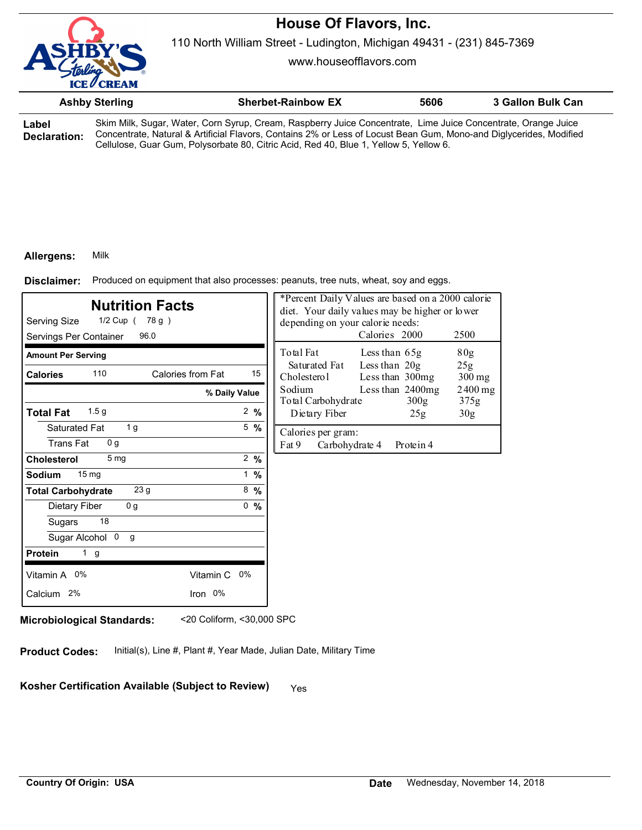

110 North William Street - Ludington, Michigan 49431 - (231) 845-7369

www.houseofflavors.com

|                              | <b>Ashby Sterling</b> | <b>Sherbet-Rainbow EX</b>                                                                                                                                                                                                           | 5606 | 3 Gallon Bulk Can |
|------------------------------|-----------------------|-------------------------------------------------------------------------------------------------------------------------------------------------------------------------------------------------------------------------------------|------|-------------------|
| Label<br><b>Declaration:</b> |                       | Skim Milk, Sugar, Water, Corn Syrup, Cream, Raspberry Juice Concentrate, Lime Juice Concentrate, Orange Juice<br>Concentrate, Natural & Artificial Flavors, Contains 2% or Less of Locust Bean Gum, Mono-and Diglycerides, Modified |      |                   |

Cellulose, Guar Gum, Polysorbate 80, Citric Acid, Red 40, Blue 1, Yellow 5, Yellow 6.

### **Allergens:** Milk

Produced on equipment that also processes: peanuts, tree nuts, wheat, soy and eggs. **Disclaimer:**

| <b>Nutrition Facts</b><br>Serving Size<br>$1/2$ Cup (78 g)<br>96.0<br>Servings Per Container |                 | *Percent Daily Values are based on a 2000 calorie<br>diet. Your daily values may be higher or lower<br>depending on your calorie needs:<br>Calories 2000<br>2500 |
|----------------------------------------------------------------------------------------------|-----------------|------------------------------------------------------------------------------------------------------------------------------------------------------------------|
| <b>Amount Per Serving</b>                                                                    |                 | Total Fat<br>80g<br>Less than $65g$                                                                                                                              |
| 110<br>Calories from Fat<br><b>Calories</b>                                                  | 15              | Less than $20g$<br>Saturated Fat<br>25g<br>Cholesterol<br>Less than 300mg<br>$300$ mg                                                                            |
|                                                                                              | % Daily Value   | Sodium<br>Less than 2400mg<br>$2400$ mg<br>Total Carbohydrate<br>300 <sub>g</sub><br>375g                                                                        |
| 1.5 <sub>g</sub><br><b>Total Fat</b>                                                         | $2 \frac{9}{6}$ | Dietary Fiber<br>30 <sub>g</sub><br>25g                                                                                                                          |
| 1 g<br>Saturated Fat<br><b>Trans Fat</b><br>0 <sub>q</sub>                                   | $5\%$           | Calories per gram:<br>Fat 9<br>Carbohydrate 4<br>Protein 4                                                                                                       |
| 5 <sub>mq</sub><br>Cholesterol                                                               | 2 %             |                                                                                                                                                                  |
| 15 <sub>mg</sub><br>Sodium                                                                   | 1 %             |                                                                                                                                                                  |
| 23 <sub>g</sub><br><b>Total Carbohydrate</b>                                                 | $8\frac{9}{6}$  |                                                                                                                                                                  |
| 0 <sub>g</sub><br>Dietary Fiber                                                              | 0, 9/6          |                                                                                                                                                                  |
| 18<br>Sugars                                                                                 |                 |                                                                                                                                                                  |
| Sugar Alcohol 0<br>g                                                                         |                 |                                                                                                                                                                  |
| <b>Protein</b><br>1 <sub>g</sub>                                                             |                 |                                                                                                                                                                  |
| Vitamin A 0%<br>Vitamin C 0%                                                                 |                 |                                                                                                                                                                  |
| Iron 0%<br>Calcium 2%                                                                        |                 |                                                                                                                                                                  |
|                                                                                              |                 |                                                                                                                                                                  |

**Microbiological Standards:** <20 Coliform, <30,000 SPC

**Product Codes:** Initial(s), Line #, Plant #, Year Made, Julian Date, Military Time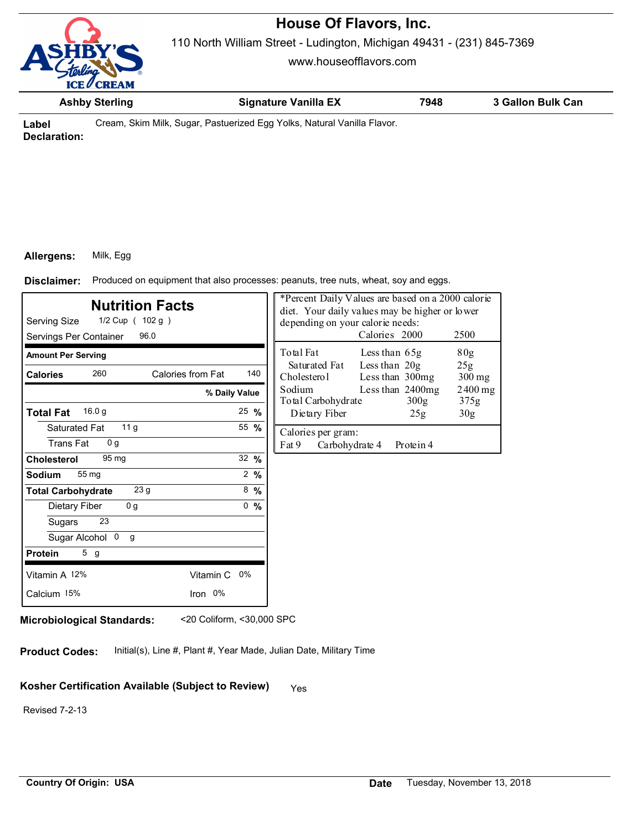110 North William Street - Ludington, Michigan 49431 - (231) 845-7369

www.houseofflavors.com



**Ashby Sterling Signature Vanilla EX 7948 3 Gallon Bulk Can**

**Label Declaration:** Cream, Skim Milk, Sugar, Pastuerized Egg Yolks, Natural Vanilla Flavor.

## **Allergens:** Milk, Egg

Produced on equipment that also processes: peanuts, tree nuts, wheat, soy and eggs. **Disclaimer:**

| <b>Nutrition Facts</b><br>Serving Size<br>$1/2$ Cup ( $102 g$ )<br>96.0<br>Servings Per Container                  |                           | *Percent Daily Values are based on a 2000 calorie<br>diet. Your daily values may be higher or lower<br>depending on your calorie needs:<br>Calories 2000 | 2500              |
|--------------------------------------------------------------------------------------------------------------------|---------------------------|----------------------------------------------------------------------------------------------------------------------------------------------------------|-------------------|
| <b>Amount Per Serving</b>                                                                                          |                           | Total Fat<br>Less than $65g$                                                                                                                             | 80g               |
| 260<br>Calories from Fat<br><b>Calories</b>                                                                        | 140                       | Less than 20g<br>Saturated Fat<br>Cholesterol<br>Less than 300mg                                                                                         | 25g<br>$300$ mg   |
| % Daily Value                                                                                                      |                           | Sodium<br>Less than 2400mg<br>Total Carbohydrate<br>300 <sub>g</sub>                                                                                     | $2400$ mg<br>375g |
| 16.0 <sub>g</sub><br><b>Total Fat</b>                                                                              | $25 \frac{9}{6}$          | Dietary Fiber<br>25g                                                                                                                                     | 30 <sub>g</sub>   |
| 11 <sub>g</sub><br>Saturated Fat<br>0 <sub>q</sub><br><b>Trans Fat</b><br>$95 \,\mathrm{mg}$<br><b>Cholesterol</b> | 55 %<br>$32 \frac{9}{6}$  | Calories per gram:<br>Fat 9<br>Carbohydrate 4<br>Protein 4                                                                                               |                   |
| <b>Sodium</b><br>55 mg<br>23 <sub>g</sub><br><b>Total Carbohydrate</b>                                             | $2 \frac{9}{6}$<br>8, 9/6 |                                                                                                                                                          |                   |
| Dietary Fiber<br>0 <sub>g</sub><br>23<br>Sugars<br>Sugar Alcohol 0<br>g                                            | 0, 9/6                    |                                                                                                                                                          |                   |
| 5g<br>Protein                                                                                                      |                           |                                                                                                                                                          |                   |
| Vitamin A 12%<br>Vitamin C 0%                                                                                      |                           |                                                                                                                                                          |                   |
| Calcium 15%<br>Iron 0%                                                                                             |                           |                                                                                                                                                          |                   |

**Microbiological Standards:** <20 Coliform, <30,000 SPC

**Product Codes:** Initial(s), Line #, Plant #, Year Made, Julian Date, Military Time

# Kosher Certification Available (Subject to Review) Yes

Revised 7-2-13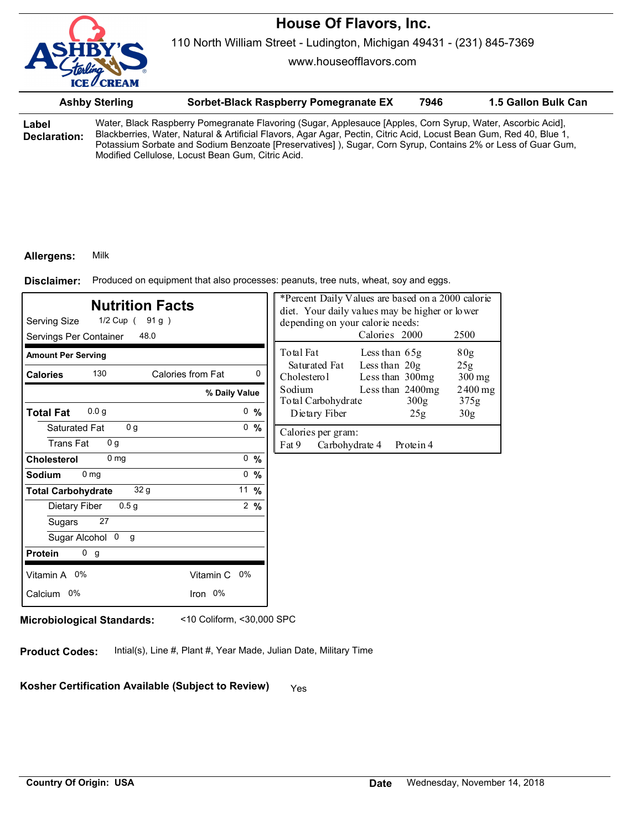

www.houseofflavors.com

|                       | Sorbet-Black Raspberry Pomegranate EX<br><b>Ashby Sterling</b><br>Water, Black Raspberry Pomegranate Flavoring (Sugar, Applesauce [Apples, Corn Syrup, Water, Ascorbic Acid],<br>Blackberries, Water, Natural & Artificial Flavors, Agar Agar, Pectin, Citric Acid, Locust Bean Gum, Red 40, Blue 1, |                                                                                                                                                                  | 7946 | 1.5 Gallon Bulk Can |
|-----------------------|------------------------------------------------------------------------------------------------------------------------------------------------------------------------------------------------------------------------------------------------------------------------------------------------------|------------------------------------------------------------------------------------------------------------------------------------------------------------------|------|---------------------|
| Label<br>Declaration: |                                                                                                                                                                                                                                                                                                      | Potassium Sorbate and Sodium Benzoate [Preservatives]), Sugar, Corn Syrup, Contains 2% or Less of Guar Gum,<br>Modified Cellulose, Locust Bean Gum, Citric Acid. |      |                     |

#### **Allergens:** Milk

Produced on equipment that also processes: peanuts, tree nuts, wheat, soy and eggs. **Disclaimer:**

| <b>Nutrition Facts</b><br>Serving Size<br>1/2 Cup (91g)<br>Servings Per Container<br>48.0                                                                                            |                                                       | *Percent Daily Values are based on a 2000 calorie<br>diet. Your daily values may be higher or lower<br>depending on your calorie needs:<br>Calories 2000<br>2500       |
|--------------------------------------------------------------------------------------------------------------------------------------------------------------------------------------|-------------------------------------------------------|------------------------------------------------------------------------------------------------------------------------------------------------------------------------|
| <b>Amount Per Serving</b><br>130<br>Calories from Fat<br><b>Calories</b>                                                                                                             | $\mathbf{0}$                                          | Total Fat<br>80 <sub>g</sub><br>Less than 65g<br>Less than $20g$<br>Saturated Fat<br>25g                                                                               |
| % Daily Value<br>0.0 <sub>g</sub><br><b>Total Fat</b>                                                                                                                                | 0, 9/6                                                | Cholesterol<br>Less than 300mg<br>$300$ mg<br>Sodium<br>Less than 2400mg<br>$2400$ mg<br>Total Carbohydrate<br>300g<br>375g<br>Dietary Fiber<br>30 <sub>g</sub><br>25g |
| 0 <sub>g</sub><br>Saturated Fat<br><b>Trans Fat</b><br>0 <sub>g</sub>                                                                                                                | 0, 9/6                                                | Calories per gram:<br>Fat 9<br>Carbohydrate 4<br>Protein 4                                                                                                             |
| 0 <sub>mg</sub><br><b>Cholesterol</b><br>0 <sub>mg</sub><br>Sodium<br>32 g<br><b>Total Carbohydrate</b><br>0.5 <sub>g</sub><br>Dietary Fiber<br>27<br>Sugars<br>Sugar Alcohol 0<br>g | 0, 9/6<br>$0 \frac{9}{6}$<br>11 $%$<br>$2\frac{9}{6}$ |                                                                                                                                                                        |
| 0 g<br><b>Protein</b><br>Vitamin A 0%<br>Vitamin C 0%                                                                                                                                |                                                       |                                                                                                                                                                        |
| Iron 0%<br>Calcium 0%                                                                                                                                                                |                                                       |                                                                                                                                                                        |

**Microbiological Standards:** <10 Coliform, <30,000 SPC

**Product Codes:** Intial(s), Line #, Plant #, Year Made, Julian Date, Military Time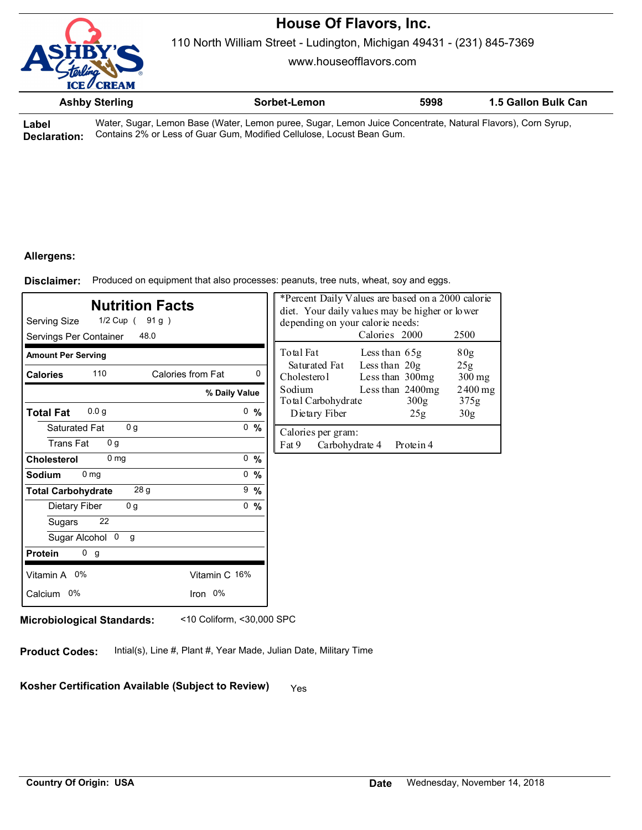

110 North William Street - Ludington, Michigan 49431 - (231) 845-7369

www.houseofflavors.com

|        | <b>Ashby Sterling</b> | Sorbet-Lemon                                                                                            | 5998 | 1.5 Gallon Bulk Can |
|--------|-----------------------|---------------------------------------------------------------------------------------------------------|------|---------------------|
| l ahal |                       | Mater Sugar Lemon Rase (Water Lemon pureo, Sugar Lemon, Juice Concentrate, Natural Flavors), Corn Syrup |      |                     |

**Label Declaration:** , Sugar, Lemon Base (Water, Lemon puree, Sugar, Lemon Juice Concentrate, Natural Flavors), Corn Syrup, Contains 2% or Less of Guar Gum, Modified Cellulose, Locust Bean Gum.

## **Allergens:**

Produced on equipment that also processes: peanuts, tree nuts, wheat, soy and eggs. **Disclaimer:**

| <b>Nutrition Facts</b><br>Serving Size<br>1/2 Cup (91g)<br>Servings Per Container<br>48.0 |                 | depending on your calorie needs:              | *Percent Daily Values are based on a 2000 calorie<br>diet. Your daily values may be higher or lower<br>Calories 2000 | 2500              |
|-------------------------------------------------------------------------------------------|-----------------|-----------------------------------------------|----------------------------------------------------------------------------------------------------------------------|-------------------|
| <b>Amount Per Serving</b>                                                                 |                 | Total Fat                                     | Less than $65g$                                                                                                      | 80g               |
| 110<br>Calories from Fat<br><b>Calories</b>                                               | 0               | Saturated Fat<br>Cholesterol                  | Less than 20g<br>Less than 300mg                                                                                     | 25g<br>$300$ mg   |
|                                                                                           | % Daily Value   | Sodium<br>Total Carbohydrate                  | Less than 2400mg<br>300 <sub>g</sub>                                                                                 | $2400$ mg<br>375g |
| 0.0 <sub>q</sub><br><b>Total Fat</b>                                                      | 0, 96           | Dietary Fiber                                 | 25g                                                                                                                  | 30 <sub>g</sub>   |
| 0 <sub>q</sub><br>Saturated Fat<br><b>Trans Fat</b><br>0 <sub>q</sub>                     | 0, 96           | Calories per gram:<br>Fat 9<br>Carbohydrate 4 | Protein 4                                                                                                            |                   |
| 0 <sub>mg</sub><br>Cholesterol                                                            | 0, 9/6          |                                               |                                                                                                                      |                   |
| 0 <sub>mg</sub><br>Sodium                                                                 | $0 \frac{9}{6}$ |                                               |                                                                                                                      |                   |
| 28 <sub>g</sub><br><b>Total Carbohydrate</b>                                              | $9 - \%$        |                                               |                                                                                                                      |                   |
| 0 <sub>g</sub><br>Dietary Fiber                                                           | 0, 9/6          |                                               |                                                                                                                      |                   |
| 22<br>Sugars                                                                              |                 |                                               |                                                                                                                      |                   |
| Sugar Alcohol 0<br>g                                                                      |                 |                                               |                                                                                                                      |                   |
| 0 <sub>g</sub><br><b>Protein</b>                                                          |                 |                                               |                                                                                                                      |                   |
| Vitamin A 0%                                                                              | Vitamin C 16%   |                                               |                                                                                                                      |                   |
| Calcium 0%                                                                                | Iron 0%         |                                               |                                                                                                                      |                   |
|                                                                                           |                 |                                               |                                                                                                                      |                   |

**Microbiological Standards:** <10 Coliform, <30,000 SPC

**Product Codes:** Intial(s), Line #, Plant #, Year Made, Julian Date, Military Time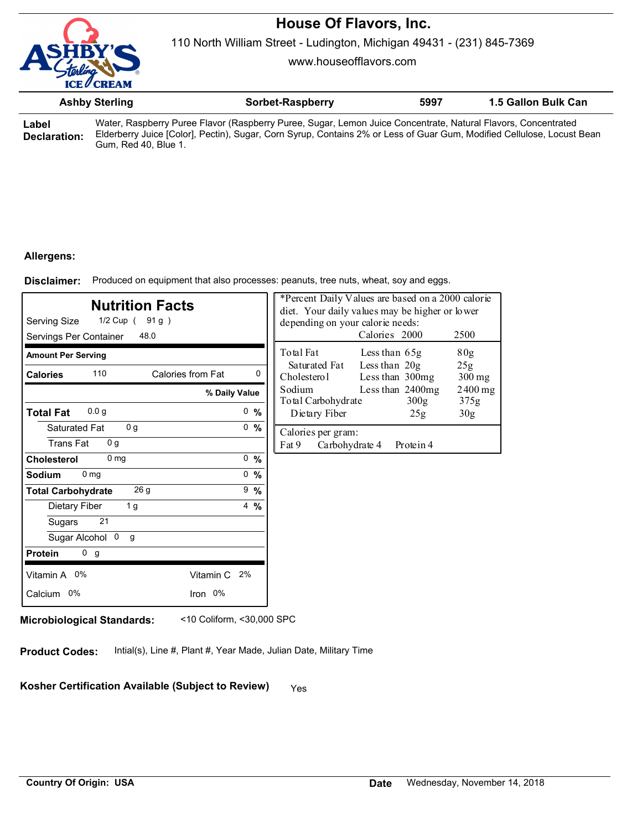

110 North William Street - Ludington, Michigan 49431 - (231) 845-7369

www.houseofflavors.com

|       | <b>Ashby Sterling</b> | Sorbet-Raspberry                                                                                                                                                                                                                                                                                                                               | 5997 | 1.5 Gallon Bulk Can |
|-------|-----------------------|------------------------------------------------------------------------------------------------------------------------------------------------------------------------------------------------------------------------------------------------------------------------------------------------------------------------------------------------|------|---------------------|
| Label |                       | Water, Raspberry Puree Flavor (Raspberry Puree, Sugar, Lemon Juice Concentrate, Natural Flavors, Concentrated<br>FILL IT TO IT ON OUR OUTSTANDING THE RESERVED OF THE RESERVED OF THE RESERVED OF THE RESERVED OF THE RESERVED OF THE RESERVED OF THE RESERVED OF THE RESERVED OF THE RESERVED OF THE RESERVED OF THE RESERVED OF THE RESERVED |      |                     |

**Declaration:** Elderberry Juice [Color], Pectin), Sugar, Corn Syrup, Contains 2% or Less of Guar Gum, Modified Cellulose, Locust Bean Gum, Red 40, Blue 1.

## **Allergens:**

Produced on equipment that also processes: peanuts, tree nuts, wheat, soy and eggs. **Disclaimer:**

| <b>Nutrition Facts</b><br>Serving Size<br>1/2 Cup (91g)<br>Servings Per Container<br>48.0 |                | *Percent Daily Values are based on a 2000 calorie<br>diet. Your daily values may be higher or lower<br>depending on your calorie needs:<br>Calories 2000<br>2500 |
|-------------------------------------------------------------------------------------------|----------------|------------------------------------------------------------------------------------------------------------------------------------------------------------------|
| <b>Amount Per Serving</b>                                                                 |                | Total Fat<br>Less than 65g<br>80g                                                                                                                                |
| 110<br>Calories from Fat<br><b>Calories</b>                                               | $\mathbf{0}$   | Less than $20g$<br>Saturated Fat<br>25g<br>Cholesterol<br>Less than 300mg<br>$300 \,\mathrm{mg}$                                                                 |
| % Daily Value                                                                             |                | Sodium<br>Less than $2400mg$<br>$2400$ mg<br>Total Carbohydrate<br>300 <sub>g</sub><br>375g                                                                      |
| 0.0 <sub>q</sub><br><b>Total Fat</b>                                                      | 0, 96          | Dietary Fiber<br>30 <sub>g</sub><br>25g                                                                                                                          |
| 0 <sub>q</sub><br>Saturated Fat<br><b>Trans Fat</b><br>0 <sub>q</sub>                     | 0, 96          | Calories per gram:<br>Fat 9<br>Carbohydrate 4<br>Protein 4                                                                                                       |
| 0 <sub>mg</sub><br>Cholesterol                                                            | 0, 9/6         |                                                                                                                                                                  |
| 0 <sub>mg</sub><br>Sodium                                                                 | 0, 9/6         |                                                                                                                                                                  |
| 26 <sub>g</sub><br><b>Total Carbohydrate</b>                                              | $9 - \%$       |                                                                                                                                                                  |
| 1 g<br>Dietary Fiber                                                                      | $4\frac{9}{6}$ |                                                                                                                                                                  |
| 21<br>Sugars                                                                              |                |                                                                                                                                                                  |
| Sugar Alcohol 0<br>g                                                                      |                |                                                                                                                                                                  |
| 0 <sub>g</sub><br><b>Protein</b>                                                          |                |                                                                                                                                                                  |
| Vitamin A 0%<br>Vitamin C                                                                 | 2%             |                                                                                                                                                                  |
| Iron 0%<br>Calcium 0%                                                                     |                |                                                                                                                                                                  |

**Microbiological Standards:** <10 Coliform, <30,000 SPC

**Product Codes:** Intial(s), Line #, Plant #, Year Made, Julian Date, Military Time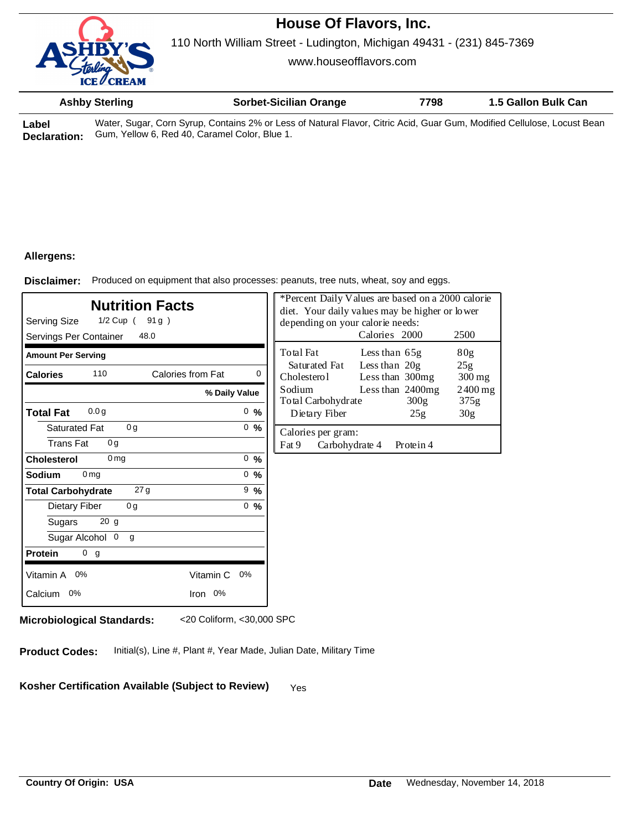

110 North William Street - Ludington, Michigan 49431 - (231) 845-7369

www.houseofflavors.com

|   | <b>Ashby Sterling</b> | <b>Sorbet-Sicilian Orange</b>                                                                                     | 7798 | 1.5 Gallon Bulk Can |
|---|-----------------------|-------------------------------------------------------------------------------------------------------------------|------|---------------------|
| . |                       | Water Overy Oare Overy Opptains 00/ and age of Natural Florida Oidio Anid Over Over Madified Oallyban Laguet Dage |      |                     |

**Label Declaration:** Water, Sugar, Corn Syrup, Contains 2% or Less of Natural Flavor, Citric Acid, Guar Gum, Modified Cellulose, Locust Bean Gum, Yellow 6, Red 40, Caramel Color, Blue 1.

### **Allergens:**

Produced on equipment that also processes: peanuts, tree nuts, wheat, soy and eggs. **Disclaimer:**

| <b>Nutrition Facts</b><br>Serving Size<br>1/2 Cup (91g)<br>Servings Per Container<br>48.0 |                                    |          | *Percent Daily Values are based on a 2000 calorie<br>diet. Your daily values may be higher or lower<br>depending on your calorie needs: | Calories 2000                  |                                        | 2500                                     |
|-------------------------------------------------------------------------------------------|------------------------------------|----------|-----------------------------------------------------------------------------------------------------------------------------------------|--------------------------------|----------------------------------------|------------------------------------------|
| <b>Amount Per Serving</b>                                                                 |                                    |          | Total Fat<br>Saturated Fat                                                                                                              | Less than 65g<br>Less than 20g |                                        | 80 <sub>g</sub><br>25g                   |
| 110<br><b>Calories</b>                                                                    | Calories from Fat<br>% Daily Value | $\Omega$ | Cholesterol<br>Sodium<br>Total Carbohydrate                                                                                             | Less than 300mg                | Less than $2400mg$<br>300 <sub>g</sub> | $300 \,\mathrm{mg}$<br>$2400$ mg<br>375g |
| 0.0 <sub>q</sub><br><b>Total Fat</b>                                                      |                                    | 0, 9/6   | Dietary Fiber                                                                                                                           |                                | 25g                                    | 30 <sub>g</sub>                          |
| Saturated Fat<br>0 <sub>g</sub><br>0 <sub>q</sub><br><b>Trans Fat</b>                     |                                    | 0, 9/6   | Calories per gram:<br>Fat 9<br>Carbohydrate 4                                                                                           |                                | Protein 4                              |                                          |
| 0 <sub>mg</sub><br><b>Cholesterol</b>                                                     |                                    | 0, 96    |                                                                                                                                         |                                |                                        |                                          |
| Sodium<br>0 <sub>mg</sub>                                                                 |                                    | 0, 96    |                                                                                                                                         |                                |                                        |                                          |
| 27 <sub>g</sub><br><b>Total Carbohydrate</b>                                              |                                    | $9\%$    |                                                                                                                                         |                                |                                        |                                          |
| 0g<br>Dietary Fiber                                                                       |                                    | 0, 96    |                                                                                                                                         |                                |                                        |                                          |
| 20 <sub>g</sub><br>Sugars                                                                 |                                    |          |                                                                                                                                         |                                |                                        |                                          |
| Sugar Alcohol 0<br>g                                                                      |                                    |          |                                                                                                                                         |                                |                                        |                                          |
| 0 <sub>g</sub><br><b>Protein</b>                                                          |                                    |          |                                                                                                                                         |                                |                                        |                                          |
| Vitamin A 0%                                                                              | Vitamin C                          | $0\%$    |                                                                                                                                         |                                |                                        |                                          |
| Calcium 0%                                                                                | Iron 0%                            |          |                                                                                                                                         |                                |                                        |                                          |

**Microbiological Standards:** <20 Coliform, <30,000 SPC

**Product Codes:** Initial(s), Line #, Plant #, Year Made, Julian Date, Military Time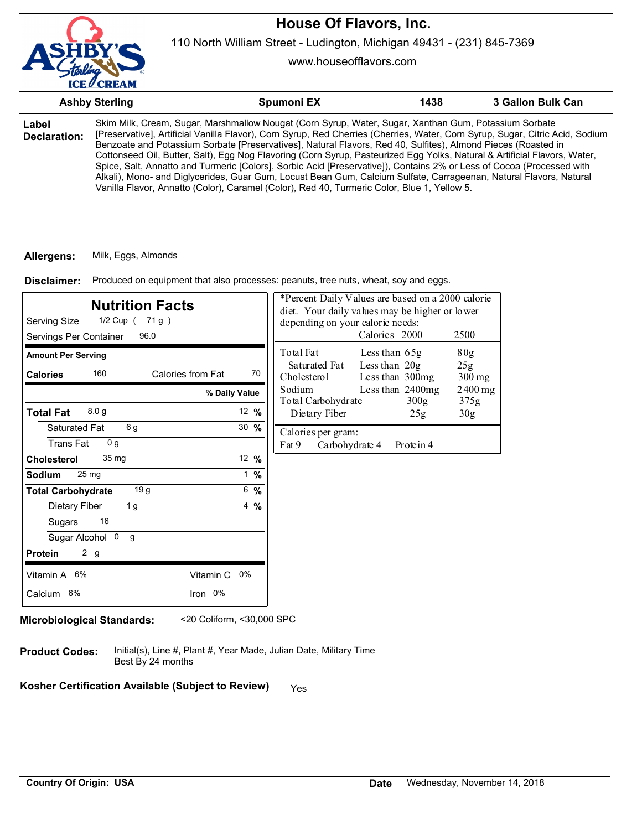

110 North William Street - Ludington, Michigan 49431 - (231) 845-7369

www.houseofflavors.com

|                       | <b>Ashby Sterling</b> | Spumoni EX                                                                                                                                                                                                                                                                                                                                                                                                                                                                                                                                                                                                                                                                                                                                                                                                                         | 1438 | 3 Gallon Bulk Can |
|-----------------------|-----------------------|------------------------------------------------------------------------------------------------------------------------------------------------------------------------------------------------------------------------------------------------------------------------------------------------------------------------------------------------------------------------------------------------------------------------------------------------------------------------------------------------------------------------------------------------------------------------------------------------------------------------------------------------------------------------------------------------------------------------------------------------------------------------------------------------------------------------------------|------|-------------------|
| Label<br>Declaration: |                       | Skim Milk, Cream, Sugar, Marshmallow Nougat (Corn Syrup, Water, Sugar, Xanthan Gum, Potassium Sorbate<br>[Preservative], Artificial Vanilla Flavor), Corn Syrup, Red Cherries (Cherries, Water, Corn Syrup, Sugar, Citric Acid, Sodium<br>Benzoate and Potassium Sorbate [Preservatives], Natural Flavors, Red 40, Sulfites), Almond Pieces (Roasted in<br>Cottonseed Oil, Butter, Salt), Egg Nog Flavoring (Corn Syrup, Pasteurized Egg Yolks, Natural & Artificial Flavors, Water,<br>Spice, Salt, Annatto and Turmeric [Colors], Sorbic Acid [Preservative]), Contains 2% or Less of Cocoa (Processed with<br>Alkali), Mono- and Diglycerides, Guar Gum, Locust Bean Gum, Calcium Sulfate, Carrageenan, Natural Flavors, Natural<br>Vanilla Flavor, Annatto (Color), Caramel (Color), Red 40, Turmeric Color, Blue 1, Yellow 5. |      |                   |

#### **Allergens:** Milk, Eggs, Almonds

Produced on equipment that also processes: peanuts, tree nuts, wheat, soy and eggs. **Disclaimer:**

| <b>Nutrition Facts</b><br>Serving Size<br>1/2 Cup ( 71 g )<br>Servings Per Container<br>96.0    |                            | *Percent Daily Values are based on a 2000 calorie<br>diet. Your daily values may be higher or lower<br>depending on your calorie needs:<br>Calories 2000<br>2500 |
|-------------------------------------------------------------------------------------------------|----------------------------|------------------------------------------------------------------------------------------------------------------------------------------------------------------|
| <b>Amount Per Serving</b><br>160<br>Calories from Fat<br><b>Calories</b>                        | 70                         | Total Fat<br>Less than $65g$<br>80g<br>Less than $20g$<br>Saturated Fat<br>25g<br>Less than 300mg<br>Cholesterol                                                 |
| 8.0 <sub>g</sub>                                                                                | % Daily Value              | $300 \,\mathrm{mg}$<br>Sodium<br>Less than 2400mg<br>$2400$ mg<br>Total Carbohydrate<br>300 <sub>g</sub><br>375g                                                 |
| <b>Total Fat</b><br>6 g<br>Saturated Fat<br>0 <sub>q</sub><br><b>Trans Fat</b>                  | 12 $%$<br>$30 \frac{9}{6}$ | Dietary Fiber<br>25g<br>30 <sub>g</sub><br>Calories per gram:<br>Fat 9<br>Carbohydrate 4<br>Protein 4                                                            |
| 35 <sub>mg</sub><br><b>Cholesterol</b><br>25 <sub>mg</sub><br>Sodium                            | 12 $%$<br>1 %              |                                                                                                                                                                  |
| 19 <sub>g</sub><br><b>Total Carbohydrate</b><br>1 <sub>g</sub><br>Dietary Fiber<br>16<br>Sugars | 6 %<br>$4\frac{9}{6}$      |                                                                                                                                                                  |
| Sugar Alcohol 0<br>g<br>2 g<br><b>Protein</b>                                                   |                            |                                                                                                                                                                  |
| Vitamin A 6%<br>Vitamin C 0%<br>Calcium 6%<br>Iron 0%                                           |                            |                                                                                                                                                                  |

**Microbiological Standards:** <20 Coliform, <30,000 SPC

Initial(s), Line #, Plant #, Year Made, Julian Date, Military Time Best By 24 months **Product Codes:**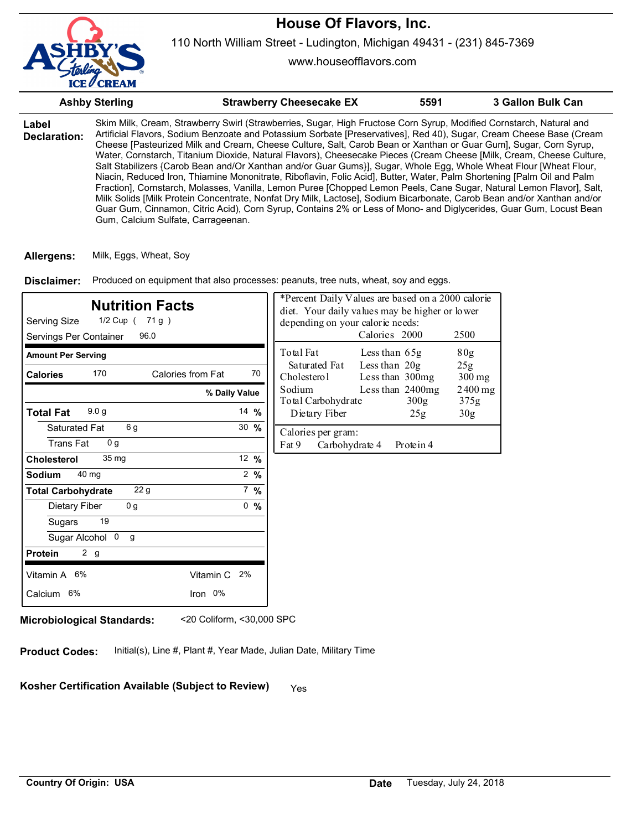

www.houseofflavors.com

|                       | <b>Ashby Sterling</b>              | <b>Strawberry Cheesecake EX</b>                                                                                                                                                                                                                                                                                                                                                                                                                                                                                                                                                                                                                                                                                                                                                                                                                                                                                                                                                                                                                                                                               | 5591 | 3 Gallon Bulk Can |
|-----------------------|------------------------------------|---------------------------------------------------------------------------------------------------------------------------------------------------------------------------------------------------------------------------------------------------------------------------------------------------------------------------------------------------------------------------------------------------------------------------------------------------------------------------------------------------------------------------------------------------------------------------------------------------------------------------------------------------------------------------------------------------------------------------------------------------------------------------------------------------------------------------------------------------------------------------------------------------------------------------------------------------------------------------------------------------------------------------------------------------------------------------------------------------------------|------|-------------------|
| Label<br>Declaration: | Gum, Calcium Sulfate, Carrageenan. | Skim Milk, Cream, Strawberry Swirl (Strawberries, Sugar, High Fructose Corn Syrup, Modified Cornstarch, Natural and<br>Artificial Flavors, Sodium Benzoate and Potassium Sorbate [Preservatives], Red 40), Sugar, Cream Cheese Base (Cream<br>Cheese [Pasteurized Milk and Cream, Cheese Culture, Salt, Carob Bean or Xanthan or Guar Gum], Sugar, Corn Syrup,<br>Water, Cornstarch, Titanium Dioxide, Natural Flavors), Cheesecake Pieces (Cream Cheese [Milk, Cream, Cheese Culture,<br>Salt Stabilizers {Carob Bean and/Or Xanthan and/or Guar Gums}], Sugar, Whole Egg, Whole Wheat Flour [Wheat Flour,<br>Niacin, Reduced Iron, Thiamine Mononitrate, Riboflavin, Folic Acid], Butter, Water, Palm Shortening [Palm Oil and Palm<br>Fraction], Cornstarch, Molasses, Vanilla, Lemon Puree [Chopped Lemon Peels, Cane Sugar, Natural Lemon Flavor], Salt,<br>Milk Solids [Milk Protein Concentrate, Nonfat Dry Milk, Lactose], Sodium Bicarbonate, Carob Bean and/or Xanthan and/or<br>Guar Gum, Cinnamon, Citric Acid), Corn Syrup, Contains 2% or Less of Mono- and Diglycerides, Guar Gum, Locust Bean |      |                   |

**Allergens:** Milk, Eggs, Wheat, Soy

Produced on equipment that also processes: peanuts, tree nuts, wheat, soy and eggs. **Disclaimer:**

| <b>Nutrition Facts</b><br>Serving Size<br>1/2 Cup ( 71 g )<br>Servings Per Container<br>96.0 |                  | *Percent Daily Values are based on a 2000 calorie<br>diet. Your daily values may be higher or lower<br>depending on your calorie needs: | Calories 2000                        | 2500                        |
|----------------------------------------------------------------------------------------------|------------------|-----------------------------------------------------------------------------------------------------------------------------------------|--------------------------------------|-----------------------------|
| <b>Amount Per Serving</b>                                                                    |                  | Total Fat                                                                                                                               | Less than $65g$                      | 80g                         |
| 170<br>Calories from Fat<br><b>Calories</b>                                                  | 70               | Saturated Fat<br>Cholesterol                                                                                                            | Less than $20g$<br>Less than 300mg   | 25 <sub>g</sub><br>$300$ mg |
| % Daily Value                                                                                |                  | Sodium<br>Total Carbohydrate                                                                                                            | Less than 2400mg<br>300 <sub>g</sub> | $2400$ mg<br>375g           |
| 9.0 <sub>g</sub><br><b>Total Fat</b>                                                         | 14 $%$           | Dietary Fiber                                                                                                                           | 25g                                  | 30 <sub>g</sub>             |
| 6g<br>Saturated Fat<br>0 <sub>q</sub><br><b>Trans Fat</b>                                    | $30 \frac{9}{6}$ | Calories per gram:<br>Fat 9<br>Carbohydrate 4                                                                                           | Protein 4                            |                             |
| 35 <sub>mg</sub><br>Cholesterol                                                              | 12 $%$           |                                                                                                                                         |                                      |                             |
| 40 mg<br>Sodium                                                                              | $2\frac{9}{6}$   |                                                                                                                                         |                                      |                             |
| 22 <sub>g</sub><br><b>Total Carbohydrate</b>                                                 | $7\%$            |                                                                                                                                         |                                      |                             |
| 0 <sub>q</sub><br>Dietary Fiber                                                              | 0, 9/6           |                                                                                                                                         |                                      |                             |
| 19<br>Sugars                                                                                 |                  |                                                                                                                                         |                                      |                             |
| Sugar Alcohol 0<br>g                                                                         |                  |                                                                                                                                         |                                      |                             |
| 2 g<br><b>Protein</b>                                                                        |                  |                                                                                                                                         |                                      |                             |
| Vitamin A 6%<br>Vitamin C 2%                                                                 |                  |                                                                                                                                         |                                      |                             |
| Iron 0%<br>Calcium 6%                                                                        |                  |                                                                                                                                         |                                      |                             |

**Microbiological Standards:** <20 Coliform, <30,000 SPC

**Product Codes:** Initial(s), Line #, Plant #, Year Made, Julian Date, Military Time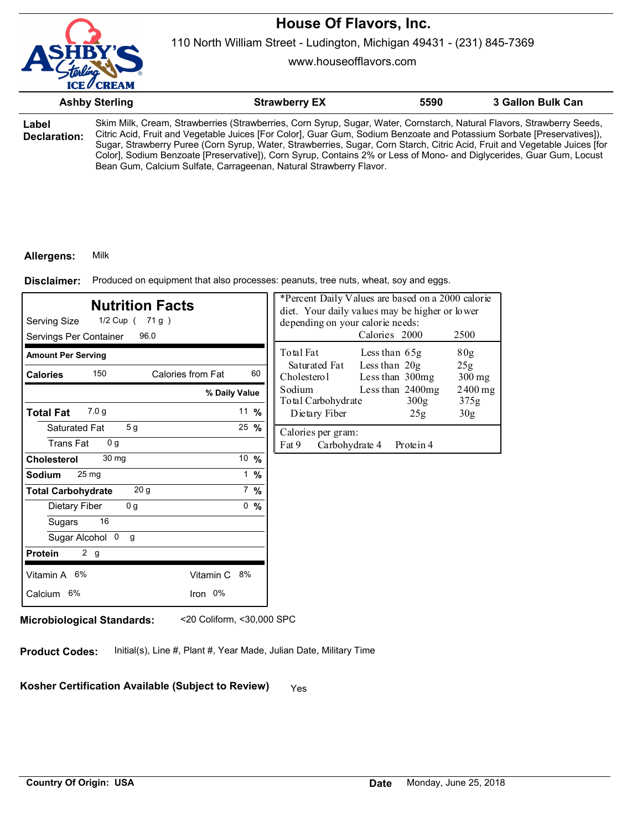

110 North William Street - Ludington, Michigan 49431 - (231) 845-7369

www.houseofflavors.com

|                       | <b>Ashby Sterling</b>                                                                                                                                                                                                                                                                                                                                                                                                                                                                                                                                                        | <b>Strawberry EX</b> | 5590 | 3 Gallon Bulk Can |
|-----------------------|------------------------------------------------------------------------------------------------------------------------------------------------------------------------------------------------------------------------------------------------------------------------------------------------------------------------------------------------------------------------------------------------------------------------------------------------------------------------------------------------------------------------------------------------------------------------------|----------------------|------|-------------------|
| Label<br>Declaration: | Skim Milk, Cream, Strawberries (Strawberries, Corn Syrup, Sugar, Water, Cornstarch, Natural Flavors, Strawberry Seeds,<br>Citric Acid, Fruit and Vegetable Juices [For Color], Guar Gum, Sodium Benzoate and Potassium Sorbate [Preservatives]),<br>Sugar, Strawberry Puree (Corn Syrup, Water, Strawberries, Sugar, Corn Starch, Citric Acid, Fruit and Vegetable Juices [for<br>Color], Sodium Benzoate [Preservative]), Corn Syrup, Contains 2% or Less of Mono- and Diglycerides, Guar Gum, Locust<br>Bean Gum, Calcium Sulfate, Carrageenan, Natural Strawberry Flavor. |                      |      |                   |

#### **Allergens:** Milk

Produced on equipment that also processes: peanuts, tree nuts, wheat, soy and eggs. **Disclaimer:**

| <b>Nutrition Facts</b><br>Serving Size<br>1/2 Cup ( 71 g )<br>Servings Per Container<br>96.0 |                   |        | *Percent Daily Values are based on a 2000 calorie<br>diet. Your daily values may be higher or lower<br>depending on your calorie needs: | Calories 2000                    |                                      | 2500              |
|----------------------------------------------------------------------------------------------|-------------------|--------|-----------------------------------------------------------------------------------------------------------------------------------------|----------------------------------|--------------------------------------|-------------------|
| <b>Amount Per Serving</b>                                                                    |                   |        | Total Fat                                                                                                                               | Less than 65g                    |                                      | 80 <sub>g</sub>   |
| 150<br><b>Calories</b>                                                                       | Calories from Fat | 60     | Saturated Fat<br>Cholesterol                                                                                                            | Less than 20g<br>Less than 300mg |                                      | 25g<br>$300$ mg   |
|                                                                                              | % Daily Value     |        | Sodium<br>Total Carbohydrate                                                                                                            |                                  | Less than 2400mg<br>300 <sub>g</sub> | $2400$ mg<br>375g |
| 7.0 <sub>g</sub><br><b>Total Fat</b>                                                         |                   | 11 $%$ | Dietary Fiber                                                                                                                           |                                  | 25g                                  | 30 <sub>g</sub>   |
| 5 <sub>g</sub><br>Saturated Fat<br><b>Trans Fat</b><br>0 <sub>q</sub>                        |                   | 25 %   | Calories per gram:<br>Fat 9<br>Carbohydrate 4                                                                                           |                                  | Protein 4                            |                   |
| 30 mg<br><b>Cholesterol</b>                                                                  |                   | 10 %   |                                                                                                                                         |                                  |                                      |                   |
| 25 <sub>mg</sub><br><b>Sodium</b>                                                            |                   | 1 $%$  |                                                                                                                                         |                                  |                                      |                   |
| 20 <sub>g</sub><br><b>Total Carbohydrate</b>                                                 |                   | $7\%$  |                                                                                                                                         |                                  |                                      |                   |
| 0 <sub>g</sub><br>Dietary Fiber                                                              |                   | 0, 9/6 |                                                                                                                                         |                                  |                                      |                   |
| 16<br>Sugars                                                                                 |                   |        |                                                                                                                                         |                                  |                                      |                   |
| Sugar Alcohol 0<br>$\mathsf{q}$                                                              |                   |        |                                                                                                                                         |                                  |                                      |                   |
| 2 <sub>g</sub><br><b>Protein</b>                                                             |                   |        |                                                                                                                                         |                                  |                                      |                   |
| Vitamin A 6%                                                                                 | Vitamin C 8%      |        |                                                                                                                                         |                                  |                                      |                   |
| Calcium 6%                                                                                   | Iron 0%           |        |                                                                                                                                         |                                  |                                      |                   |

**Microbiological Standards:** <20 Coliform, <30,000 SPC

**Product Codes:** Initial(s), Line #, Plant #, Year Made, Julian Date, Military Time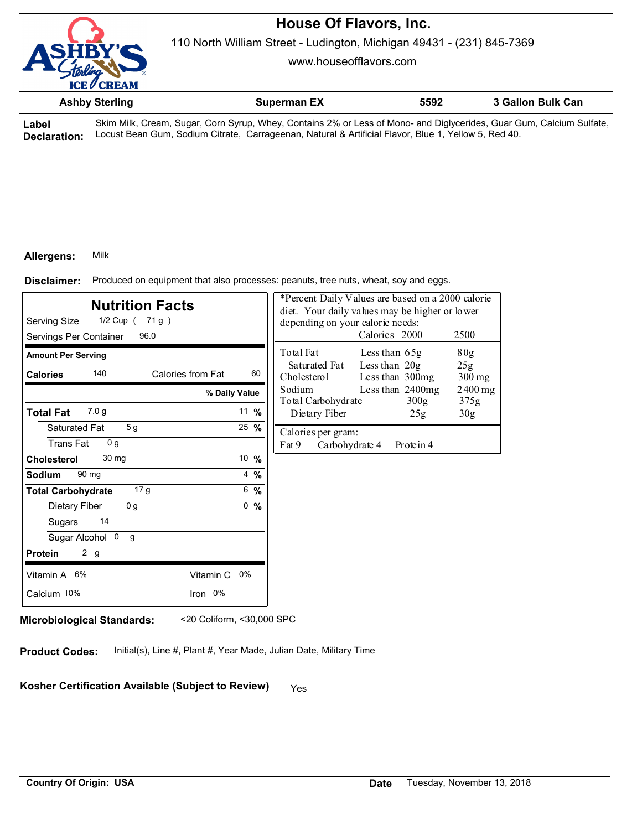

110 North William Street - Ludington, Michigan 49431 - (231) 845-7369

www.houseofflavors.com

|           | <b>Ashby Sterling</b> | <b>Superman EX</b>                                                                                                   | 5592 | 3 Gallon Bulk Can |
|-----------|-----------------------|----------------------------------------------------------------------------------------------------------------------|------|-------------------|
| $-1$ $-1$ |                       | Olive Milly Ossame Organ Ossa Organ Mlhary Ospheina 90/ and see of Mana and Diglycamidea Organ Organ Osloima Orlfebe |      |                   |

**Label Declaration:** Skim Milk, Cream, Sugar, Corn Syrup, Whey, Contains 2% or Less of Mono- and Diglycerides, Guar Gum, Calcium Sulfate, Locust Bean Gum, Sodium Citrate, Carrageenan, Natural & Artificial Flavor, Blue 1, Yellow 5, Red 40.

### **Allergens:** Milk

Produced on equipment that also processes: peanuts, tree nuts, wheat, soy and eggs. **Disclaimer:**

| <b>Nutrition Facts</b><br>Serving Size<br>$1/2$ Cup (71g)<br>96.0<br>Servings Per Container | *Percent Daily Values are based on a 2000 calorie<br>diet. Your daily values may be higher or lower<br>depending on your calorie needs:<br>Calories 2000<br>2500 |                                               |                                      |                   |
|---------------------------------------------------------------------------------------------|------------------------------------------------------------------------------------------------------------------------------------------------------------------|-----------------------------------------------|--------------------------------------|-------------------|
| <b>Amount Per Serving</b>                                                                   |                                                                                                                                                                  | Total Fat                                     | Less than $65g$                      | 80g               |
| 140<br>Calories from Fat<br><b>Calories</b>                                                 | 60                                                                                                                                                               | Saturated Fat<br>Cholesterol                  | Less than $20g$<br>Less than 300mg   | 25g<br>$300$ mg   |
|                                                                                             | Sodium<br>% Daily Value<br>Total Carbohydrate                                                                                                                    |                                               | Less than 2400mg<br>300 <sub>g</sub> | $2400$ mg<br>375g |
| 7.0 <sub>g</sub><br><b>Total Fat</b>                                                        | 11 $%$                                                                                                                                                           | Dietary Fiber                                 | 25g                                  | 30 <sub>g</sub>   |
| 5 <sub>g</sub><br>Saturated Fat<br><b>Trans Fat</b><br>0 <sub>q</sub>                       | $25 \frac{9}{6}$                                                                                                                                                 | Calories per gram:<br>Fat 9<br>Carbohydrate 4 | Protein 4                            |                   |
| 30 mg<br>Cholesterol                                                                        | 10 %                                                                                                                                                             |                                               |                                      |                   |
| 90 mg<br>Sodium                                                                             | $4\frac{9}{6}$                                                                                                                                                   |                                               |                                      |                   |
| 17 <sub>g</sub><br><b>Total Carbohydrate</b>                                                | 6, 9/6                                                                                                                                                           |                                               |                                      |                   |
| 0 <sub>g</sub><br>Dietary Fiber                                                             | 0, 9/6                                                                                                                                                           |                                               |                                      |                   |
| 14<br>Sugars                                                                                |                                                                                                                                                                  |                                               |                                      |                   |
| Sugar Alcohol 0<br>g                                                                        |                                                                                                                                                                  |                                               |                                      |                   |
| 2 <sub>g</sub><br><b>Protein</b>                                                            |                                                                                                                                                                  |                                               |                                      |                   |
| Vitamin A 6%                                                                                | Vitamin C 0%                                                                                                                                                     |                                               |                                      |                   |
| Calcium 10%<br>Iron 0%                                                                      |                                                                                                                                                                  |                                               |                                      |                   |
|                                                                                             |                                                                                                                                                                  |                                               |                                      |                   |

**Microbiological Standards:** <20 Coliform, <30,000 SPC

**Product Codes:** Initial(s), Line #, Plant #, Year Made, Julian Date, Military Time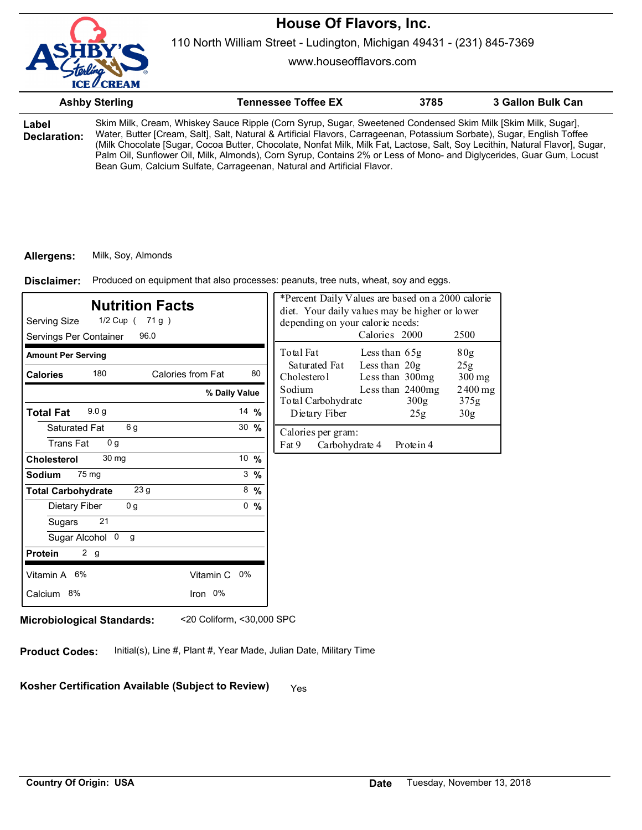110 North William Street - Ludington, Michigan 49431 - (231) 845-7369

www.houseofflavors.com

|                       | <b>Ashby Sterling</b> | <b>Tennessee Toffee EX</b>                                                                                                                                                                                                                                                                                                                                                                                                                                                                                                                                                | 3785 | 3 Gallon Bulk Can |
|-----------------------|-----------------------|---------------------------------------------------------------------------------------------------------------------------------------------------------------------------------------------------------------------------------------------------------------------------------------------------------------------------------------------------------------------------------------------------------------------------------------------------------------------------------------------------------------------------------------------------------------------------|------|-------------------|
| Label<br>Declaration: |                       | Skim Milk, Cream, Whiskey Sauce Ripple (Corn Syrup, Sugar, Sweetened Condensed Skim Milk [Skim Milk, Sugar],<br>Water, Butter [Cream, Salt], Salt, Natural & Artificial Flavors, Carrageenan, Potassium Sorbate), Sugar, English Toffee<br>(Milk Chocolate [Sugar, Cocoa Butter, Chocolate, Nonfat Milk, Milk Fat, Lactose, Salt, Soy Lecithin, Natural Flavor], Sugar,<br>Palm Oil, Sunflower Oil, Milk, Almonds), Corn Syrup, Contains 2% or Less of Mono- and Diglycerides, Guar Gum, Locust<br>Bean Gum, Calcium Sulfate, Carrageenan, Natural and Artificial Flavor. |      |                   |

#### **Allergens:** Milk, Soy, Almonds

Produced on equipment that also processes: peanuts, tree nuts, wheat, soy and eggs. **Disclaimer:**

| Servings Per Container<br><b>Amount Per Serving</b><br>180<br>Calories from Fat<br><b>Calories</b> |                  |                 | Total Fat<br>80 <sub>g</sub><br>Less than $65g$                                     |
|----------------------------------------------------------------------------------------------------|------------------|-----------------|-------------------------------------------------------------------------------------|
|                                                                                                    |                  |                 |                                                                                     |
|                                                                                                    |                  | 80              | Less than 20g<br>Saturated Fat<br>25g<br>Cholesterol<br>Less than 300mg<br>$300$ mg |
|                                                                                                    | % Daily Value    |                 | Sodium<br>Less than 2400mg<br>$2400$ mg<br>Total Carbohydrate<br>300g<br>375g       |
| 9.0 <sub>g</sub><br><b>Total Fat</b>                                                               | 14 %             |                 | Dietary Fiber<br>30 <sub>g</sub><br>25g                                             |
| 6 g<br>Saturated Fat<br><b>Trans Fat</b><br>0 <sub>q</sub>                                         | $30 \frac{9}{6}$ |                 | Calories per gram:<br>Fat 9<br>Carbohydrate 4<br>Protein 4                          |
| 30 mg<br><b>Cholesterol</b>                                                                        | $10 \frac{9}{6}$ |                 |                                                                                     |
| 75 mg<br>Sodium                                                                                    |                  | $3 \frac{9}{6}$ |                                                                                     |
| 23 <sub>g</sub><br><b>Total Carbohydrate</b>                                                       |                  | 8, 9/6          |                                                                                     |
| 0 <sub>g</sub><br>Dietary Fiber                                                                    |                  | 0, 9/6          |                                                                                     |
| 21<br>Sugars                                                                                       |                  |                 |                                                                                     |
| Sugar Alcohol 0<br>g                                                                               |                  |                 |                                                                                     |
| 2 g<br><b>Protein</b>                                                                              |                  |                 |                                                                                     |
| Vitamin A 6%<br>Vitamin C                                                                          | 0%               |                 |                                                                                     |
| Iron 0%<br>Calcium 8%                                                                              |                  |                 |                                                                                     |

**Microbiological Standards:** <20 Coliform, <30,000 SPC

**Product Codes:** Initial(s), Line #, Plant #, Year Made, Julian Date, Military Time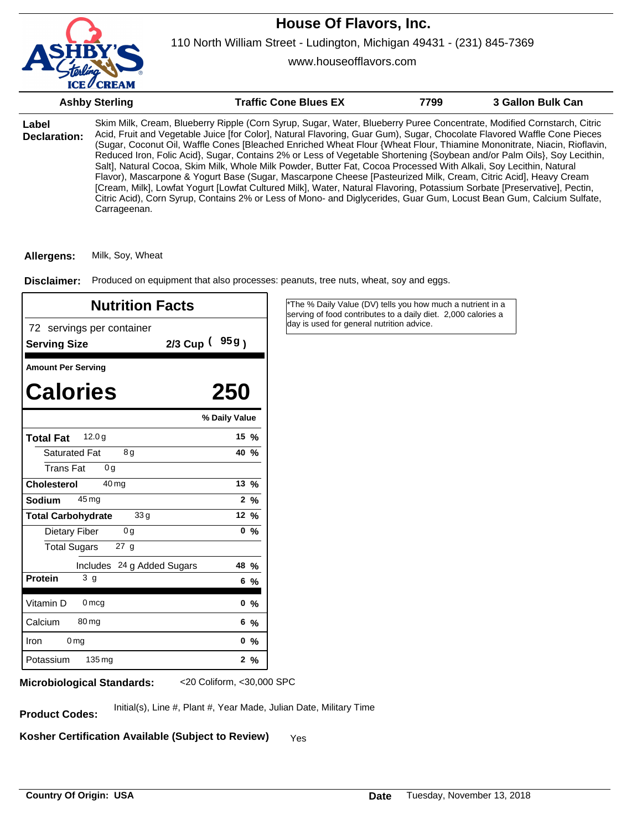

www.houseofflavors.com

|                              | <b>Ashby Sterling</b> | <b>Traffic Cone Blues EX</b>                                                                                                                                                                                                                                                                                                                                                                                                                                                                                                                                                                                                                                                                                                                                                                                                                                                                                                                                                                         | 7799 | 3 Gallon Bulk Can |
|------------------------------|-----------------------|------------------------------------------------------------------------------------------------------------------------------------------------------------------------------------------------------------------------------------------------------------------------------------------------------------------------------------------------------------------------------------------------------------------------------------------------------------------------------------------------------------------------------------------------------------------------------------------------------------------------------------------------------------------------------------------------------------------------------------------------------------------------------------------------------------------------------------------------------------------------------------------------------------------------------------------------------------------------------------------------------|------|-------------------|
| Label<br><b>Declaration:</b> | Carrageenan.          | Skim Milk, Cream, Blueberry Ripple (Corn Syrup, Sugar, Water, Blueberry Puree Concentrate, Modified Cornstarch, Citric<br>Acid, Fruit and Vegetable Juice [for Color], Natural Flavoring, Guar Gum), Sugar, Chocolate Flavored Waffle Cone Pieces<br>(Sugar, Coconut Oil, Waffle Cones [Bleached Enriched Wheat Flour {Wheat Flour, Thiamine Mononitrate, Niacin, Rioflavin,<br>Reduced Iron, Folic Acid}, Sugar, Contains 2% or Less of Vegetable Shortening {Soybean and/or Palm Oils}, Soy Lecithin,<br>Salt], Natural Cocoa, Skim Milk, Whole Milk Powder, Butter Fat, Cocoa Processed With Alkali, Soy Lecithin, Natural<br>Flavor), Mascarpone & Yogurt Base (Sugar, Mascarpone Cheese [Pasteurized Milk, Cream, Citric Acid], Heavy Cream<br>[Cream, Milk], Lowfat Yogurt [Lowfat Cultured Milk], Water, Natural Flavoring, Potassium Sorbate [Preservative], Pectin,<br>Citric Acid), Corn Syrup, Contains 2% or Less of Mono- and Diglycerides, Guar Gum, Locust Bean Gum, Calcium Sulfate, |      |                   |

**Allergens:** Milk, Soy, Wheat

Disclaimer: Produced on equipment that also processes: peanuts, tree nuts, wheat, soy and eggs.

| <b>Nutrition Facts</b>                           |                   | *The % Daily Value (DV) tells you how much a nutrient in a<br>serving of food contributes to a daily diet. 2,000 calories a |
|--------------------------------------------------|-------------------|-----------------------------------------------------------------------------------------------------------------------------|
| 72 servings per container<br><b>Serving Size</b> | $2/3$ Cup $(95g)$ | day is used for general nutrition advice.                                                                                   |
| <b>Amount Per Serving</b>                        |                   |                                                                                                                             |
| <b>Calories</b>                                  | 250               |                                                                                                                             |
|                                                  | % Daily Value     |                                                                                                                             |
| 12.0 <sub>g</sub><br><b>Total Fat</b>            | $15 \frac{9}{6}$  |                                                                                                                             |
| 8g<br><b>Saturated Fat</b>                       | 40 %              |                                                                                                                             |
| <b>Trans Fat</b><br>0 <sub>g</sub>               |                   |                                                                                                                             |
| 40 <sub>mg</sub><br><b>Cholesterol</b>           | 13 %              |                                                                                                                             |
| $45 \,\mathrm{mg}$<br><b>Sodium</b>              | $2\%$             |                                                                                                                             |
| 33 <sub>g</sub><br><b>Total Carbohydrate</b>     | 12 %              |                                                                                                                             |
| Dietary Fiber<br>0 <sub>g</sub>                  | $0\%$             |                                                                                                                             |
| <b>Total Sugars</b><br>27 <sub>g</sub>           |                   |                                                                                                                             |
| Includes 24 g Added Sugars                       | 48 %              |                                                                                                                             |
| 3 <sub>g</sub><br><b>Protein</b>                 | $6\frac{9}{6}$    |                                                                                                                             |
| Vitamin D<br>0 <sub>mcg</sub>                    | 0, 9/6            |                                                                                                                             |
| Calcium<br>$80 \,\mathrm{mg}$                    | $6\,%$            |                                                                                                                             |
| 0 <sub>mg</sub><br><b>Iron</b>                   | 0, 9/6            |                                                                                                                             |
| 135 mg<br>Potassium                              | $2\frac{9}{6}$    |                                                                                                                             |

**Microbiological Standards:** <20 Coliform, <30,000 SPC

Initial(s), Line #, Plant #, Year Made, Julian Date, Military Time **Product Codes:**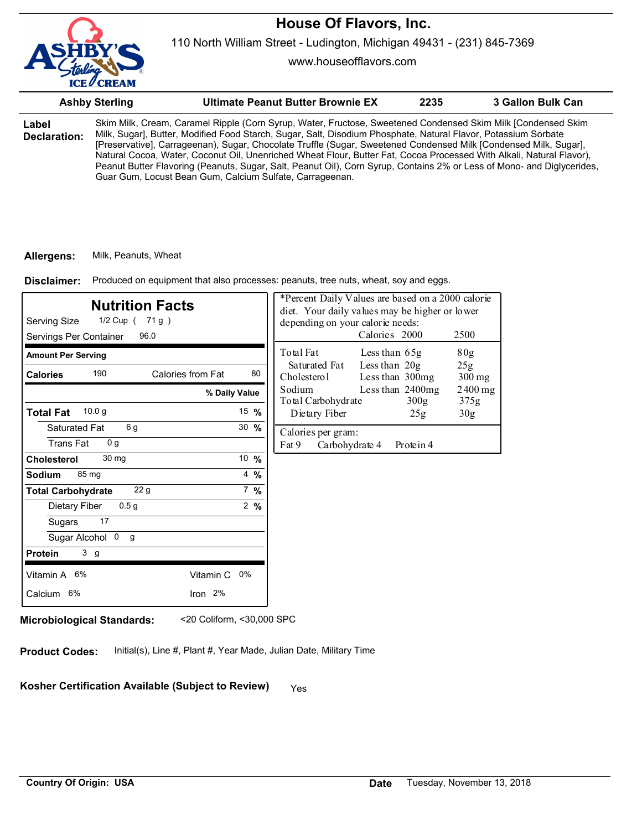

www.houseofflavors.com

|                       | <b>Ashby Sterling</b> | Ultimate Peanut Butter Brownie EX                                                                                                                                                                                                                                                                                                                                                                                                                                                                                                                                                                                                                                | 2235 | 3 Gallon Bulk Can |
|-----------------------|-----------------------|------------------------------------------------------------------------------------------------------------------------------------------------------------------------------------------------------------------------------------------------------------------------------------------------------------------------------------------------------------------------------------------------------------------------------------------------------------------------------------------------------------------------------------------------------------------------------------------------------------------------------------------------------------------|------|-------------------|
| Label<br>Declaration: |                       | Skim Milk, Cream, Caramel Ripple (Corn Syrup, Water, Fructose, Sweetened Condensed Skim Milk [Condensed Skim<br>Milk, Sugar], Butter, Modified Food Starch, Sugar, Salt, Disodium Phosphate, Natural Flavor, Potassium Sorbate<br>[Preservative], Carrageenan), Sugar, Chocolate Truffle (Sugar, Sweetened Condensed Milk [Condensed Milk, Sugar],<br>Natural Cocoa, Water, Coconut Oil, Unenriched Wheat Flour, Butter Fat, Cocoa Processed With Alkali, Natural Flavor),<br>Peanut Butter Flavoring (Peanuts, Sugar, Salt, Peanut Oil), Corn Syrup, Contains 2% or Less of Mono- and Diglycerides,<br>Guar Gum, Locust Bean Gum, Calcium Sulfate, Carrageenan. |      |                   |

#### **Allergens:** Milk, Peanuts, Wheat

Produced on equipment that also processes: peanuts, tree nuts, wheat, soy and eggs. **Disclaimer:**

| <b>Nutrition Facts</b><br>Serving Size<br>1/2 Cup ( 71 g )<br>96.0<br>Servings Per Container | *Percent Daily Values are based on a 2000 calorie<br>diet. Your daily values may be higher or lower<br>depending on your calorie needs:<br>Calories 2000<br>2500 |                                                                                                |
|----------------------------------------------------------------------------------------------|------------------------------------------------------------------------------------------------------------------------------------------------------------------|------------------------------------------------------------------------------------------------|
| <b>Amount Per Serving</b>                                                                    |                                                                                                                                                                  | Total Fat<br>80 <sub>g</sub><br>Less than 65g                                                  |
| 190<br>Calories from Fat<br><b>Calories</b>                                                  | 80                                                                                                                                                               | Less than 20g<br>Saturated Fat<br>25g<br>Cholesterol<br>Less than 300mg<br>$300 \,\mathrm{mg}$ |
| % Daily Value                                                                                |                                                                                                                                                                  | Sodium<br>Less than 2400mg<br>$2400$ mg<br>Total Carbohydrate<br>300g<br>375g                  |
| 10.0 g<br><b>Total Fat</b>                                                                   | 15 $%$                                                                                                                                                           | Dietary Fiber<br>30 <sub>g</sub><br>25g                                                        |
| 6g<br>Saturated Fat                                                                          | $30 \frac{9}{6}$                                                                                                                                                 | Calories per gram:                                                                             |
| <b>Trans Fat</b><br>0 <sub>q</sub>                                                           |                                                                                                                                                                  | Fat 9<br>Carbohydrate 4<br>Protein 4                                                           |
| 30 mg<br>Cholesterol                                                                         | 10 $%$                                                                                                                                                           |                                                                                                |
| 85 mg<br>Sodium                                                                              | $4\frac{9}{6}$                                                                                                                                                   |                                                                                                |
| 22 <sub>g</sub><br><b>Total Carbohydrate</b>                                                 | $7\%$                                                                                                                                                            |                                                                                                |
| 0.5 <sub>g</sub><br>Dietary Fiber                                                            | $2\frac{9}{6}$                                                                                                                                                   |                                                                                                |
| 17<br>Sugars                                                                                 |                                                                                                                                                                  |                                                                                                |
| Sugar Alcohol 0<br>g                                                                         |                                                                                                                                                                  |                                                                                                |
| 3 <sub>g</sub><br><b>Protein</b>                                                             |                                                                                                                                                                  |                                                                                                |
| Vitamin A 6%<br>Vitamin C 0%                                                                 |                                                                                                                                                                  |                                                                                                |
| Iron 2%<br>Calcium 6%                                                                        |                                                                                                                                                                  |                                                                                                |
|                                                                                              |                                                                                                                                                                  |                                                                                                |

**Microbiological Standards:** <20 Coliform, <30,000 SPC

**Product Codes:** Initial(s), Line #, Plant #, Year Made, Julian Date, Military Time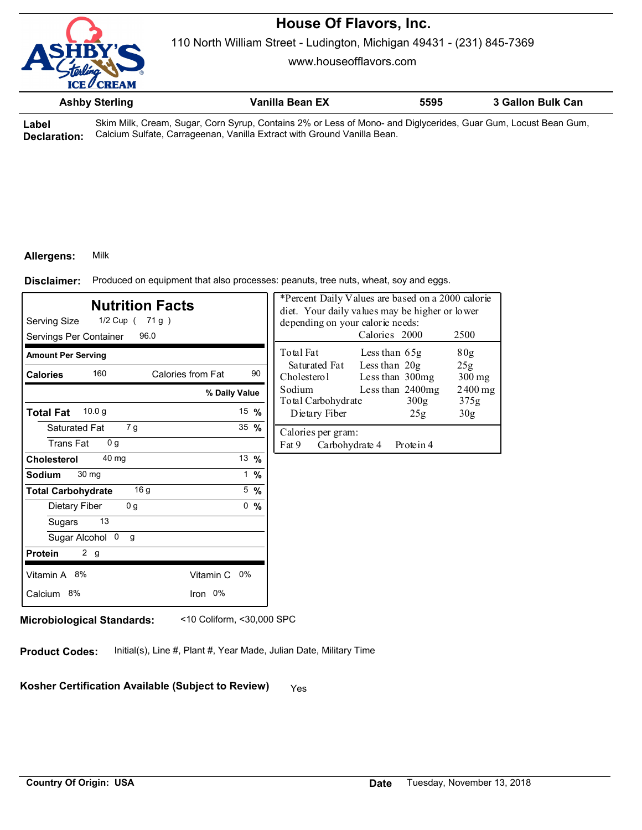

110 North William Street - Ludington, Michigan 49431 - (231) 845-7369

www.houseofflavors.com

| <b>Ashby Sterling</b> | Vanilla Bean EX | 5595 | 3 Gallon Bulk Can |
|-----------------------|-----------------|------|-------------------|
|                       |                 |      |                   |

**Label Declaration:** Skim Milk, Cream, Sugar, Corn Syrup, Contains 2% or Less of Mono- and Diglycerides, Guar Gum, Locust Bean Gum, Calcium Sulfate, Carrageenan, Vanilla Extract with Ground Vanilla Bean.

### **Allergens:** Milk

Produced on equipment that also processes: peanuts, tree nuts, wheat, soy and eggs. **Disclaimer:**

| <b>Nutrition Facts</b><br>Serving Size<br>1/2 Cup ( 71 g )<br>96.0<br>Servings Per Container |                  |                 | *Percent Daily Values are based on a 2000 calorie<br>diet. Your daily values may be higher or lower<br>depending on your calorie needs:<br>Calories 2000<br>2500 |                   |  |
|----------------------------------------------------------------------------------------------|------------------|-----------------|------------------------------------------------------------------------------------------------------------------------------------------------------------------|-------------------|--|
| <b>Amount Per Serving</b>                                                                    |                  |                 | Total Fat<br>Less than 65g                                                                                                                                       | 80 <sub>g</sub>   |  |
| 160<br>Calories from Fat<br><b>Calories</b>                                                  |                  | 90              | Less than 20g<br>Saturated Fat<br>Less than 300mg<br>Cholesterol                                                                                                 | 25g<br>$300$ mg   |  |
| % Daily Value                                                                                |                  |                 | Less than 2400mg<br>Sodium<br>Total Carbohydrate<br>300g                                                                                                         | $2400$ mg<br>375g |  |
| 10.0 g<br><b>Total Fat</b>                                                                   | 15 $%$           |                 | Dietary Fiber<br>25g                                                                                                                                             | 30 <sub>g</sub>   |  |
| 7 g<br>Saturated Fat<br><b>Trans Fat</b><br>0 <sub>q</sub>                                   | $35 \frac{9}{6}$ |                 | Calories per gram:<br>Fat 9<br>Carbohydrate 4<br>Protein 4                                                                                                       |                   |  |
| 40 mg<br>Cholesterol                                                                         | 13 $%$           |                 |                                                                                                                                                                  |                   |  |
| 30 mg<br>Sodium                                                                              |                  | $1 \frac{9}{6}$ |                                                                                                                                                                  |                   |  |
| 16q<br><b>Total Carbohydrate</b>                                                             | $5\frac{9}{6}$   |                 |                                                                                                                                                                  |                   |  |
| 0 <sub>g</sub><br>Dietary Fiber                                                              | 0, 9/6           |                 |                                                                                                                                                                  |                   |  |
| 13<br>Sugars                                                                                 |                  |                 |                                                                                                                                                                  |                   |  |
| Sugar Alcohol 0<br>g                                                                         |                  |                 |                                                                                                                                                                  |                   |  |
| 2 <sub>g</sub><br><b>Protein</b>                                                             |                  |                 |                                                                                                                                                                  |                   |  |
| Vitamin C 0%<br>Vitamin A 8%                                                                 |                  |                 |                                                                                                                                                                  |                   |  |
| Calcium 8%<br>Iron 0%                                                                        |                  |                 |                                                                                                                                                                  |                   |  |

**Microbiological Standards:** <10 Coliform, <30,000 SPC

**Product Codes:** Initial(s), Line #, Plant #, Year Made, Julian Date, Military Time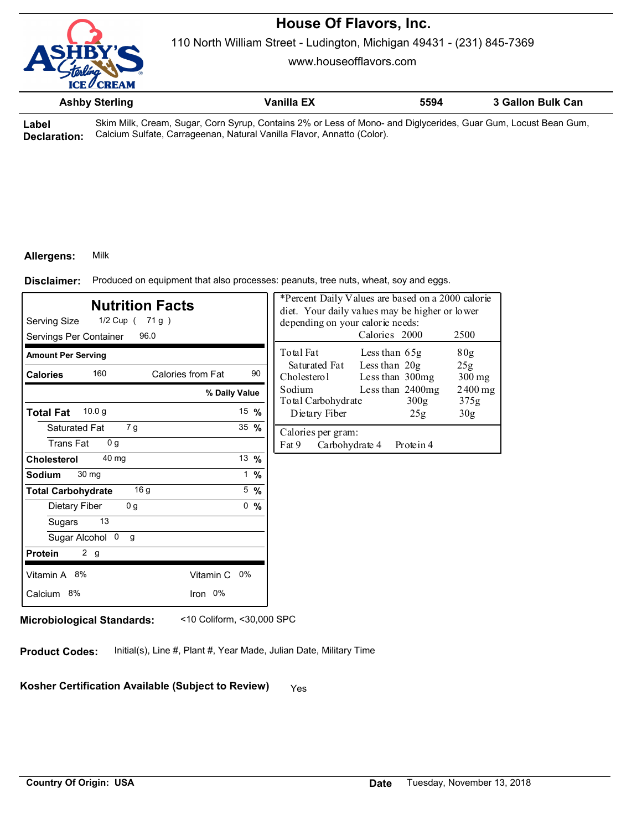

110 North William Street - Ludington, Michigan 49431 - (231) 845-7369

www.houseofflavors.com

|       | <b>Ashby Sterling</b> | Vanilla EX                                                                                                | 5594 | 3 Gallon Bulk Can |  |
|-------|-----------------------|-----------------------------------------------------------------------------------------------------------|------|-------------------|--|
| امطما |                       | Skim Milk Croam Sugar Corp Syrup Contains 2% or Loss of Mone, and Diglycorides, Guar Gum, Locust Boan Gum |      |                   |  |

**Label Declaration:** Skim Milk, Cream, Sugar, Corn Syrup, Contains 2% or Less of Mono- and Diglycerides, Guar Gum, Locust Bean Gum, Calcium Sulfate, Carrageenan, Natural Vanilla Flavor, Annatto (Color).

#### **Allergens:** Milk

Produced on equipment that also processes: peanuts, tree nuts, wheat, soy and eggs. **Disclaimer:**

| <b>Nutrition Facts</b><br>Serving Size<br>$1/2$ Cup (71g)<br>96.0<br>Servings Per Container |                  | *Percent Daily Values are based on a 2000 calorie<br>diet. Your daily values may be higher or lower<br>depending on your calorie needs:<br>Calories 2000<br>2500 |
|---------------------------------------------------------------------------------------------|------------------|------------------------------------------------------------------------------------------------------------------------------------------------------------------|
| <b>Amount Per Serving</b>                                                                   |                  | Total Fat<br>80g<br>Less than $65g$                                                                                                                              |
| 160<br>Calories from Fat<br><b>Calories</b>                                                 | 90               | Less than $20g$<br>Saturated Fat<br>25g<br>Cholesterol<br>Less than 300mg<br>$300$ mg                                                                            |
|                                                                                             | % Daily Value    | Sodium<br>Less than 2400mg<br>$2400$ mg<br>Total Carbohydrate<br>300 <sub>g</sub><br>375g                                                                        |
| 10.0 <sub>g</sub><br><b>Total Fat</b>                                                       | 15 $%$           | Dietary Fiber<br>30 <sub>g</sub><br>25g                                                                                                                          |
| 7 g<br>Saturated Fat                                                                        | $35 \frac{9}{6}$ | Calories per gram:                                                                                                                                               |
| <b>Trans Fat</b><br>0 <sub>q</sub>                                                          |                  | Fat 9<br>Carbohydrate 4<br>Protein 4                                                                                                                             |
| 40 mg<br>Cholesterol                                                                        | 13 $%$           |                                                                                                                                                                  |
| 30 mg<br>Sodium                                                                             | $1 \frac{9}{6}$  |                                                                                                                                                                  |
| 16 <sub>g</sub><br><b>Total Carbohydrate</b>                                                | $5\%$            |                                                                                                                                                                  |
| 0 <sub>g</sub><br>Dietary Fiber                                                             | 0, 9/6           |                                                                                                                                                                  |
| 13<br>Sugars                                                                                |                  |                                                                                                                                                                  |
| Sugar Alcohol 0<br>g                                                                        |                  |                                                                                                                                                                  |
| 2 <sub>g</sub><br><b>Protein</b>                                                            |                  |                                                                                                                                                                  |
| Vitamin A 8%<br>Vitamin C 0%                                                                |                  |                                                                                                                                                                  |
| Iron 0%<br>Calcium 8%                                                                       |                  |                                                                                                                                                                  |
|                                                                                             |                  |                                                                                                                                                                  |

**Microbiological Standards:** <10 Coliform, <30,000 SPC

**Product Codes:** Initial(s), Line #, Plant #, Year Made, Julian Date, Military Time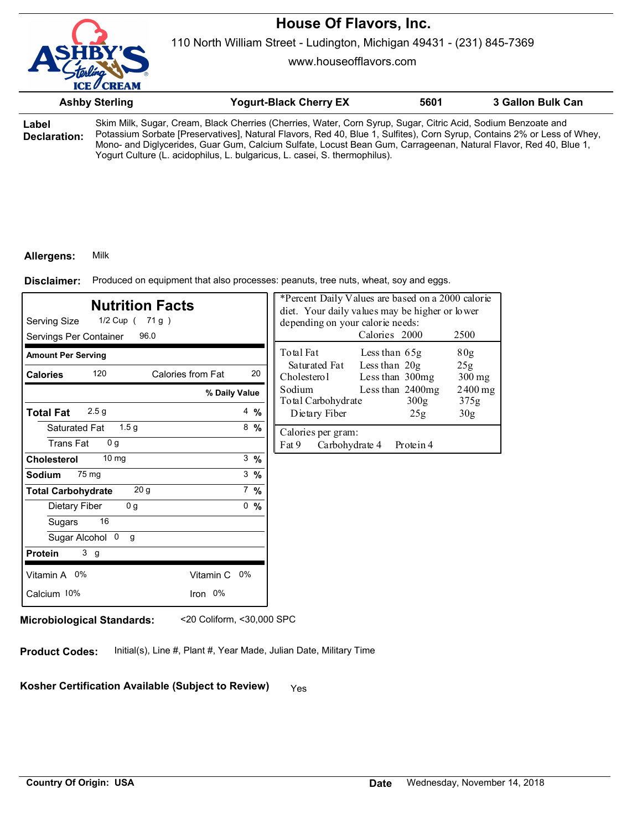

110 North William Street - Ludington, Michigan 49431 - (231) 845-7369

www.houseofflavors.com

| <b>Ashby Sterling</b> |  | <b>Yogurt-Black Cherry EX</b>                                                                                                                                                                                                            | 5601 | <b>3 Gallon Bulk Can</b> |
|-----------------------|--|------------------------------------------------------------------------------------------------------------------------------------------------------------------------------------------------------------------------------------------|------|--------------------------|
| Label<br>Declaration: |  | Skim Milk, Sugar, Cream, Black Cherries (Cherries, Water, Corn Syrup, Sugar, Citric Acid, Sodium Benzoate and<br>Potassium Sorbate [Preservatives], Natural Flavors, Red 40, Blue 1, Sulfites), Corn Syrup, Contains 2% or Less of Whey, |      |                          |

Mono- and Diglycerides, Guar Gum, Calcium Sulfate, Locust Bean Gum, Carrageenan, Natural Flavor, Red 40, Blue 1, Yogurt Culture (L. acidophilus, L. bulgaricus, L. casei, S. thermophilus).

### **Allergens:** Milk

Produced on equipment that also processes: peanuts, tree nuts, wheat, soy and eggs. **Disclaimer:**

| <b>Nutrition Facts</b><br>Serving Size<br>1/2 Cup ( 71 g )<br>96.0<br>Servings Per Container |                 | depending on your calorie needs:              | *Percent Daily Values are based on a 2000 calorie<br>diet. Your daily values may be higher or lower<br>Calories 2000 | 2500                       |
|----------------------------------------------------------------------------------------------|-----------------|-----------------------------------------------|----------------------------------------------------------------------------------------------------------------------|----------------------------|
| <b>Amount Per Serving</b>                                                                    |                 | Total Fat                                     | Less than 65g                                                                                                        | 80 <sub>g</sub>            |
| 120<br>Calories from Fat<br><b>Calories</b>                                                  | 20              | Saturated Fat<br>Cholesterol                  | Less than 20g<br>Less than 300mg                                                                                     | 25g<br>$300 \,\mathrm{mg}$ |
|                                                                                              | % Daily Value   | Sodium<br>Total Carbohydrate                  | Less than 2400mg<br>300g                                                                                             | $2400$ mg<br>375g          |
| 2.5 <sub>g</sub><br><b>Total Fat</b>                                                         | $4\frac{9}{6}$  | Dietary Fiber                                 | 25g                                                                                                                  | 30 <sub>g</sub>            |
| 1.5 <sub>g</sub><br>Saturated Fat<br><b>Trans Fat</b><br>0 <sub>q</sub>                      | $8\frac{9}{6}$  | Calories per gram:<br>Fat 9<br>Carbohydrate 4 | Protein 4                                                                                                            |                            |
| $10 \text{ mg}$<br>Cholesterol                                                               | $3 \frac{9}{6}$ |                                               |                                                                                                                      |                            |
| 75 mg<br>Sodium                                                                              | $3 \frac{9}{6}$ |                                               |                                                                                                                      |                            |
| 20 <sub>g</sub><br><b>Total Carbohydrate</b>                                                 | $7\frac{9}{6}$  |                                               |                                                                                                                      |                            |
| 0 <sub>g</sub><br>Dietary Fiber                                                              | 0, 9/6          |                                               |                                                                                                                      |                            |
| 16<br>Sugars                                                                                 |                 |                                               |                                                                                                                      |                            |
| Sugar Alcohol 0<br>g                                                                         |                 |                                               |                                                                                                                      |                            |
| 3 <sub>g</sub><br><b>Protein</b>                                                             |                 |                                               |                                                                                                                      |                            |
| Vitamin A 0%<br>Vitamin C 0%                                                                 |                 |                                               |                                                                                                                      |                            |
| Calcium 10%<br>Iron 0%                                                                       |                 |                                               |                                                                                                                      |                            |
|                                                                                              |                 |                                               |                                                                                                                      |                            |

**Microbiological Standards:** <20 Coliform, <30,000 SPC

**Product Codes:** Initial(s), Line #, Plant #, Year Made, Julian Date, Military Time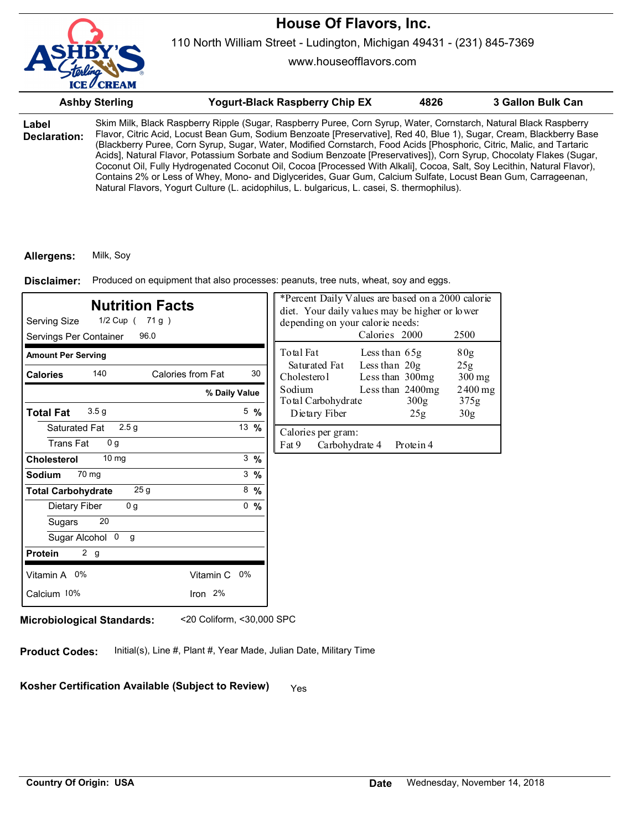

www.houseofflavors.com

|                       | <b>Ashby Sterling</b> | <b>Yogurt-Black Raspberry Chip EX</b>                                                                                                                                                                                                                                                                                                                                                                                                                                                                                                                                                                                                                                                                                                                                                                                                 | 4826 | 3 Gallon Bulk Can |
|-----------------------|-----------------------|---------------------------------------------------------------------------------------------------------------------------------------------------------------------------------------------------------------------------------------------------------------------------------------------------------------------------------------------------------------------------------------------------------------------------------------------------------------------------------------------------------------------------------------------------------------------------------------------------------------------------------------------------------------------------------------------------------------------------------------------------------------------------------------------------------------------------------------|------|-------------------|
| Label<br>Declaration: |                       | Skim Milk, Black Raspberry Ripple (Sugar, Raspberry Puree, Corn Syrup, Water, Cornstarch, Natural Black Raspberry<br>Flavor, Citric Acid, Locust Bean Gum, Sodium Benzoate [Preservative], Red 40, Blue 1), Sugar, Cream, Blackberry Base<br>(Blackberry Puree, Corn Syrup, Sugar, Water, Modified Cornstarch, Food Acids [Phosphoric, Citric, Malic, and Tartaric<br>Acids], Natural Flavor, Potassium Sorbate and Sodium Benzoate [Preservatives]), Corn Syrup, Chocolaty Flakes (Sugar,<br>Coconut Oil, Fully Hydrogenated Coconut Oil, Cocoa [Processed With Alkali], Cocoa, Salt, Soy Lecithin, Natural Flavor),<br>Contains 2% or Less of Whey, Mono- and Diglycerides, Guar Gum, Calcium Sulfate, Locust Bean Gum, Carrageenan,<br>Natural Flavors, Yogurt Culture (L. acidophilus, L. bulgaricus, L. casei, S. thermophilus). |      |                   |

#### **Allergens:** Milk, Soy

Produced on equipment that also processes: peanuts, tree nuts, wheat, soy and eggs. **Disclaimer:**

| <b>Nutrition Facts</b><br>Serving Size<br>1/2 Cup ( 71 g )<br>Servings Per Container<br>96.0 |                   |                 | *Percent Daily Values are based on a 2000 calorie<br>diet. Your daily values may be higher or lower<br>depending on your calorie needs:<br>Calories 2000 |                                    |                          | 2500              |
|----------------------------------------------------------------------------------------------|-------------------|-----------------|----------------------------------------------------------------------------------------------------------------------------------------------------------|------------------------------------|--------------------------|-------------------|
| <b>Amount Per Serving</b>                                                                    |                   |                 | Total Fat                                                                                                                                                | Less than $65g$                    |                          | 80g               |
| 140<br><b>Calories</b>                                                                       | Calories from Fat | 30              | Saturated Fat<br>Cholesterol                                                                                                                             | Less than $20g$<br>Less than 300mg |                          | 25g<br>$300$ mg   |
|                                                                                              | % Daily Value     |                 | Sodium<br>Total Carbohydrate                                                                                                                             |                                    | Less than 2400mg<br>300g | $2400$ mg<br>375g |
| 3.5 <sub>g</sub><br><b>Total Fat</b>                                                         |                   | $5 \frac{9}{6}$ | Dietary Fiber                                                                                                                                            |                                    | 25g                      | 30 <sub>g</sub>   |
| 2.5 <sub>g</sub><br>Saturated Fat<br><b>Trans Fat</b><br>0 <sub>q</sub>                      |                   | 13 $%$          | Calories per gram:<br>Fat 9                                                                                                                              | Carbohydrate 4                     | Protein 4                |                   |
| 10 <sub>mg</sub><br>Cholesterol                                                              |                   | $3 \frac{9}{6}$ |                                                                                                                                                          |                                    |                          |                   |
| 70 mg<br>Sodium                                                                              |                   | $3 \frac{9}{6}$ |                                                                                                                                                          |                                    |                          |                   |
| 25 <sub>g</sub><br><b>Total Carbohydrate</b>                                                 |                   | $8\frac{9}{6}$  |                                                                                                                                                          |                                    |                          |                   |
| 0 <sub>g</sub><br>Dietary Fiber                                                              |                   | 0, 9/6          |                                                                                                                                                          |                                    |                          |                   |
| 20<br>Sugars                                                                                 |                   |                 |                                                                                                                                                          |                                    |                          |                   |
| Sugar Alcohol 0<br>g                                                                         |                   |                 |                                                                                                                                                          |                                    |                          |                   |
| 2 g<br><b>Protein</b>                                                                        |                   |                 |                                                                                                                                                          |                                    |                          |                   |
| Vitamin A 0%                                                                                 | Vitamin C 0%      |                 |                                                                                                                                                          |                                    |                          |                   |
| Calcium 10%                                                                                  | Iron 2%           |                 |                                                                                                                                                          |                                    |                          |                   |
|                                                                                              |                   |                 |                                                                                                                                                          |                                    |                          |                   |

**Microbiological Standards:** <20 Coliform, <30,000 SPC

**Product Codes:** Initial(s), Line #, Plant #, Year Made, Julian Date, Military Time